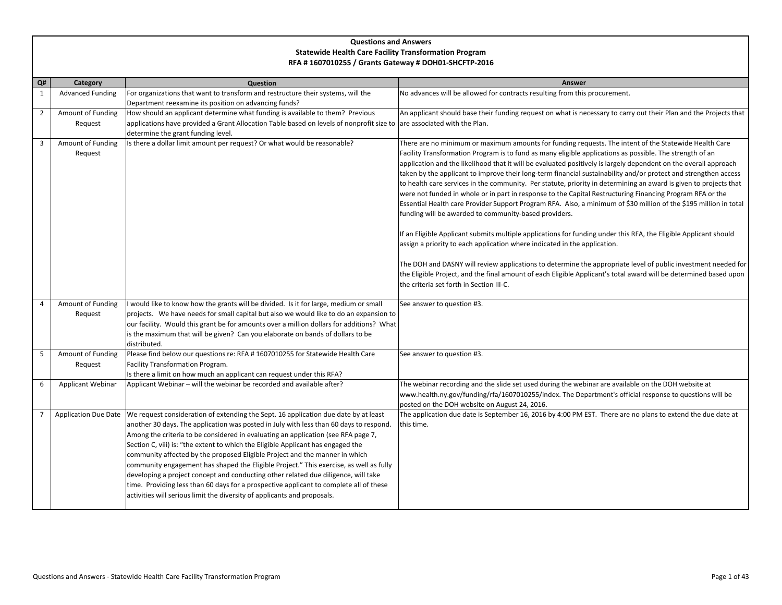## **Questions and Answers Statewide Health Care Facility Transformation Program RFA # 1607010255 / Grants Gateway # DOH01-SHCFTP-2016**

| Q#             | Category                     | Question                                                                                                                                                                                                                                                                                                                                                                                                                                                                                                                                                                                                                                                                                                                                                                                    | Answer                                                                                                                                                                                                                                                                                                                                                                                                                                                                                                                                                                                                                                                                                                                                                                                                                                                                                                                                                                                                                                                                                                                                                                                                                                                                                                                                                      |
|----------------|------------------------------|---------------------------------------------------------------------------------------------------------------------------------------------------------------------------------------------------------------------------------------------------------------------------------------------------------------------------------------------------------------------------------------------------------------------------------------------------------------------------------------------------------------------------------------------------------------------------------------------------------------------------------------------------------------------------------------------------------------------------------------------------------------------------------------------|-------------------------------------------------------------------------------------------------------------------------------------------------------------------------------------------------------------------------------------------------------------------------------------------------------------------------------------------------------------------------------------------------------------------------------------------------------------------------------------------------------------------------------------------------------------------------------------------------------------------------------------------------------------------------------------------------------------------------------------------------------------------------------------------------------------------------------------------------------------------------------------------------------------------------------------------------------------------------------------------------------------------------------------------------------------------------------------------------------------------------------------------------------------------------------------------------------------------------------------------------------------------------------------------------------------------------------------------------------------|
| 1              | <b>Advanced Funding</b>      | For organizations that want to transform and restructure their systems, will the                                                                                                                                                                                                                                                                                                                                                                                                                                                                                                                                                                                                                                                                                                            | No advances will be allowed for contracts resulting from this procurement.                                                                                                                                                                                                                                                                                                                                                                                                                                                                                                                                                                                                                                                                                                                                                                                                                                                                                                                                                                                                                                                                                                                                                                                                                                                                                  |
|                |                              | Department reexamine its position on advancing funds?                                                                                                                                                                                                                                                                                                                                                                                                                                                                                                                                                                                                                                                                                                                                       |                                                                                                                                                                                                                                                                                                                                                                                                                                                                                                                                                                                                                                                                                                                                                                                                                                                                                                                                                                                                                                                                                                                                                                                                                                                                                                                                                             |
| $\overline{2}$ | Amount of Funding            | How should an applicant determine what funding is available to them? Previous                                                                                                                                                                                                                                                                                                                                                                                                                                                                                                                                                                                                                                                                                                               | An applicant should base their funding request on what is necessary to carry out their Plan and the Projects that                                                                                                                                                                                                                                                                                                                                                                                                                                                                                                                                                                                                                                                                                                                                                                                                                                                                                                                                                                                                                                                                                                                                                                                                                                           |
|                | Request                      | applications have provided a Grant Allocation Table based on levels of nonprofit size to are associated with the Plan.                                                                                                                                                                                                                                                                                                                                                                                                                                                                                                                                                                                                                                                                      |                                                                                                                                                                                                                                                                                                                                                                                                                                                                                                                                                                                                                                                                                                                                                                                                                                                                                                                                                                                                                                                                                                                                                                                                                                                                                                                                                             |
|                |                              | determine the grant funding level.                                                                                                                                                                                                                                                                                                                                                                                                                                                                                                                                                                                                                                                                                                                                                          |                                                                                                                                                                                                                                                                                                                                                                                                                                                                                                                                                                                                                                                                                                                                                                                                                                                                                                                                                                                                                                                                                                                                                                                                                                                                                                                                                             |
| 3              | Amount of Funding<br>Request | Is there a dollar limit amount per request? Or what would be reasonable?                                                                                                                                                                                                                                                                                                                                                                                                                                                                                                                                                                                                                                                                                                                    | There are no minimum or maximum amounts for funding requests. The intent of the Statewide Health Care<br>Facility Transformation Program is to fund as many eligible applications as possible. The strength of an<br>application and the likelihood that it will be evaluated positively is largely dependent on the overall approach<br>taken by the applicant to improve their long-term financial sustainability and/or protect and strengthen access<br>to health care services in the community. Per statute, priority in determining an award is given to projects that<br>were not funded in whole or in part in response to the Capital Restructuring Financing Program RFA or the<br>Essential Health care Provider Support Program RFA. Also, a minimum of \$30 million of the \$195 million in total<br>funding will be awarded to community-based providers.<br>If an Eligible Applicant submits multiple applications for funding under this RFA, the Eligible Applicant should<br>assign a priority to each application where indicated in the application.<br>The DOH and DASNY will review applications to determine the appropriate level of public investment needed for<br>the Eligible Project, and the final amount of each Eligible Applicant's total award will be determined based upon<br>the criteria set forth in Section III-C. |
| $\overline{4}$ | Amount of Funding<br>Request | I would like to know how the grants will be divided. Is it for large, medium or small<br>projects. We have needs for small capital but also we would like to do an expansion to<br>our facility. Would this grant be for amounts over a million dollars for additions? What<br>is the maximum that will be given? Can you elaborate on bands of dollars to be                                                                                                                                                                                                                                                                                                                                                                                                                               | See answer to question #3.                                                                                                                                                                                                                                                                                                                                                                                                                                                                                                                                                                                                                                                                                                                                                                                                                                                                                                                                                                                                                                                                                                                                                                                                                                                                                                                                  |
|                |                              | distributed.                                                                                                                                                                                                                                                                                                                                                                                                                                                                                                                                                                                                                                                                                                                                                                                |                                                                                                                                                                                                                                                                                                                                                                                                                                                                                                                                                                                                                                                                                                                                                                                                                                                                                                                                                                                                                                                                                                                                                                                                                                                                                                                                                             |
| 5              | Amount of Funding<br>Request | Please find below our questions re: RFA # 1607010255 for Statewide Health Care<br>Facility Transformation Program.<br>Is there a limit on how much an applicant can request under this RFA?                                                                                                                                                                                                                                                                                                                                                                                                                                                                                                                                                                                                 | See answer to question #3.                                                                                                                                                                                                                                                                                                                                                                                                                                                                                                                                                                                                                                                                                                                                                                                                                                                                                                                                                                                                                                                                                                                                                                                                                                                                                                                                  |
| 6              | <b>Applicant Webinar</b>     | Applicant Webinar - will the webinar be recorded and available after?                                                                                                                                                                                                                                                                                                                                                                                                                                                                                                                                                                                                                                                                                                                       | The webinar recording and the slide set used during the webinar are available on the DOH website at<br>www.health.ny.gov/funding/rfa/1607010255/index. The Department's official response to questions will be<br>posted on the DOH website on August 24, 2016.                                                                                                                                                                                                                                                                                                                                                                                                                                                                                                                                                                                                                                                                                                                                                                                                                                                                                                                                                                                                                                                                                             |
| $\overline{7}$ | <b>Application Due Date</b>  | We request consideration of extending the Sept. 16 application due date by at least<br>another 30 days. The application was posted in July with less than 60 days to respond.<br>Among the criteria to be considered in evaluating an application (see RFA page 7,<br>Section C, viii) is: "the extent to which the Eligible Applicant has engaged the<br>community affected by the proposed Eligible Project and the manner in which<br>community engagement has shaped the Eligible Project." This exercise, as well as fully<br>developing a project concept and conducting other related due diligence, will take<br>time. Providing less than 60 days for a prospective applicant to complete all of these<br>activities will serious limit the diversity of applicants and proposals. | The application due date is September 16, 2016 by 4:00 PM EST. There are no plans to extend the due date at<br>this time.                                                                                                                                                                                                                                                                                                                                                                                                                                                                                                                                                                                                                                                                                                                                                                                                                                                                                                                                                                                                                                                                                                                                                                                                                                   |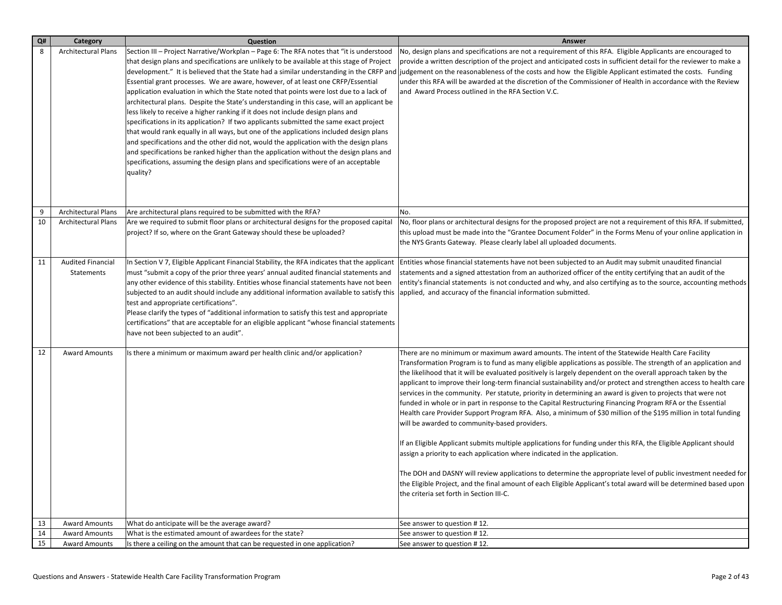| Q# | Category                   | Question                                                                                     | Answer                                                                                                             |
|----|----------------------------|----------------------------------------------------------------------------------------------|--------------------------------------------------------------------------------------------------------------------|
| 8  | <b>Architectural Plans</b> | Section III - Project Narrative/Workplan - Page 6: The RFA notes that "it is understood      | No, design plans and specifications are not a requirement of this RFA. Eligible Applicants are encouraged to       |
|    |                            | that design plans and specifications are unlikely to be available at this stage of Project   | provide a written description of the project and anticipated costs in sufficient detail for the reviewer to make a |
|    |                            | development." It is believed that the State had a similar understanding in the CRFP and      | judgement on the reasonableness of the costs and how the Eligible Applicant estimated the costs. Funding           |
|    |                            | Essential grant processes. We are aware, however, of at least one CRFP/Essential             | under this RFA will be awarded at the discretion of the Commissioner of Health in accordance with the Review       |
|    |                            | application evaluation in which the State noted that points were lost due to a lack of       | and Award Process outlined in the RFA Section V.C.                                                                 |
|    |                            | architectural plans. Despite the State's understanding in this case, will an applicant be    |                                                                                                                    |
|    |                            | less likely to receive a higher ranking if it does not include design plans and              |                                                                                                                    |
|    |                            | specifications in its application? If two applicants submitted the same exact project        |                                                                                                                    |
|    |                            | that would rank equally in all ways, but one of the applications included design plans       |                                                                                                                    |
|    |                            | and specifications and the other did not, would the application with the design plans        |                                                                                                                    |
|    |                            | and specifications be ranked higher than the application without the design plans and        |                                                                                                                    |
|    |                            | specifications, assuming the design plans and specifications were of an acceptable           |                                                                                                                    |
|    |                            | quality?                                                                                     |                                                                                                                    |
|    |                            |                                                                                              |                                                                                                                    |
|    |                            |                                                                                              |                                                                                                                    |
| 9  | Architectural Plans        | Are architectural plans required to be submitted with the RFA?                               | No.                                                                                                                |
| 10 | <b>Architectural Plans</b> | Are we required to submit floor plans or architectural designs for the proposed capital      | No, floor plans or architectural designs for the proposed project are not a requirement of this RFA. If submitted, |
|    |                            | project? If so, where on the Grant Gateway should these be uploaded?                         | this upload must be made into the "Grantee Document Folder" in the Forms Menu of your online application in        |
|    |                            |                                                                                              | the NYS Grants Gateway. Please clearly label all uploaded documents.                                               |
|    |                            |                                                                                              |                                                                                                                    |
| 11 | <b>Audited Financial</b>   | In Section V 7, Eligible Applicant Financial Stability, the RFA indicates that the applicant | Entities whose financial statements have not been subjected to an Audit may submit unaudited financial             |
|    | Statements                 | must "submit a copy of the prior three years' annual audited financial statements and        | statements and a signed attestation from an authorized officer of the entity certifying that an audit of the       |
|    |                            | any other evidence of this stability. Entities whose financial statements have not been      | entity's financial statements is not conducted and why, and also certifying as to the source, accounting methods   |
|    |                            | subjected to an audit should include any additional information available to satisfy this    | applied, and accuracy of the financial information submitted.                                                      |
|    |                            | test and appropriate certifications".                                                        |                                                                                                                    |
|    |                            | Please clarify the types of "additional information to satisfy this test and appropriate     |                                                                                                                    |
|    |                            | certifications" that are acceptable for an eligible applicant "whose financial statements    |                                                                                                                    |
|    |                            | have not been subjected to an audit".                                                        |                                                                                                                    |
| 12 | <b>Award Amounts</b>       | Is there a minimum or maximum award per health clinic and/or application?                    | There are no minimum or maximum award amounts. The intent of the Statewide Health Care Facility                    |
|    |                            |                                                                                              | Transformation Program is to fund as many eligible applications as possible. The strength of an application and    |
|    |                            |                                                                                              | the likelihood that it will be evaluated positively is largely dependent on the overall approach taken by the      |
|    |                            |                                                                                              | applicant to improve their long-term financial sustainability and/or protect and strengthen access to health care  |
|    |                            |                                                                                              | services in the community. Per statute, priority in determining an award is given to projects that were not        |
|    |                            |                                                                                              | funded in whole or in part in response to the Capital Restructuring Financing Program RFA or the Essential         |
|    |                            |                                                                                              | Health care Provider Support Program RFA. Also, a minimum of \$30 million of the \$195 million in total funding    |
|    |                            |                                                                                              | will be awarded to community-based providers.                                                                      |
|    |                            |                                                                                              |                                                                                                                    |
|    |                            |                                                                                              | If an Eligible Applicant submits multiple applications for funding under this RFA, the Eligible Applicant should   |
|    |                            |                                                                                              | assign a priority to each application where indicated in the application.                                          |
|    |                            |                                                                                              |                                                                                                                    |
|    |                            |                                                                                              | The DOH and DASNY will review applications to determine the appropriate level of public investment needed for      |
|    |                            |                                                                                              | the Eligible Project, and the final amount of each Eligible Applicant's total award will be determined based upon  |
|    |                            |                                                                                              | the criteria set forth in Section III-C.                                                                           |
|    |                            |                                                                                              |                                                                                                                    |
| 13 | <b>Award Amounts</b>       | What do anticipate will be the average award?                                                | See answer to question #12.                                                                                        |
| 14 | <b>Award Amounts</b>       | What is the estimated amount of awardees for the state?                                      | See answer to question #12.                                                                                        |
| 15 | <b>Award Amounts</b>       | Is there a ceiling on the amount that can be requested in one application?                   | See answer to question #12.                                                                                        |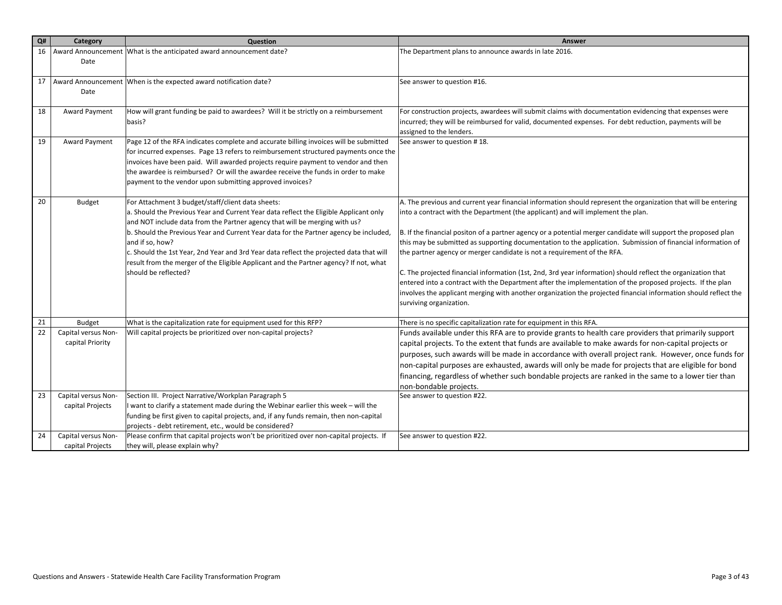| Q# | Category            | Question                                                                                | Answer                                                                                                          |
|----|---------------------|-----------------------------------------------------------------------------------------|-----------------------------------------------------------------------------------------------------------------|
| 16 |                     | Award Announcement   What is the anticipated award announcement date?                   | The Department plans to announce awards in late 2016.                                                           |
|    | Date                |                                                                                         |                                                                                                                 |
|    |                     |                                                                                         |                                                                                                                 |
| 17 |                     | Award Announcement When is the expected award notification date?                        | See answer to question #16.                                                                                     |
|    | Date                |                                                                                         |                                                                                                                 |
| 18 | Award Payment       | How will grant funding be paid to awardees? Will it be strictly on a reimbursement      | For construction projects, awardees will submit claims with documentation evidencing that expenses were         |
|    |                     | basis?                                                                                  | incurred; they will be reimbursed for valid, documented expenses. For debt reduction, payments will be          |
|    |                     |                                                                                         | assigned to the lenders.                                                                                        |
| 19 | Award Payment       | Page 12 of the RFA indicates complete and accurate billing invoices will be submitted   | See answer to question #18.                                                                                     |
|    |                     | for incurred expenses. Page 13 refers to reimbursement structured payments once the     |                                                                                                                 |
|    |                     | invoices have been paid. Will awarded projects require payment to vendor and then       |                                                                                                                 |
|    |                     | the awardee is reimbursed? Or will the awardee receive the funds in order to make       |                                                                                                                 |
|    |                     | payment to the vendor upon submitting approved invoices?                                |                                                                                                                 |
| 20 | <b>Budget</b>       | For Attachment 3 budget/staff/client data sheets:                                       | A. The previous and current year financial information should represent the organization that will be entering  |
|    |                     | a. Should the Previous Year and Current Year data reflect the Eligible Applicant only   | into a contract with the Department (the applicant) and will implement the plan.                                |
|    |                     | and NOT include data from the Partner agency that will be merging with us?              |                                                                                                                 |
|    |                     | b. Should the Previous Year and Current Year data for the Partner agency be included,   | B. If the financial positon of a partner agency or a potential merger candidate will support the proposed plan  |
|    |                     | and if so, how?                                                                         | this may be submitted as supporting documentation to the application. Submission of financial information of    |
|    |                     | c. Should the 1st Year, 2nd Year and 3rd Year data reflect the projected data that will | the partner agency or merger candidate is not a requirement of the RFA.                                         |
|    |                     | result from the merger of the Eligible Applicant and the Partner agency? If not, what   |                                                                                                                 |
|    |                     | should be reflected?                                                                    | C. The projected financial information (1st, 2nd, 3rd year information) should reflect the organization that    |
|    |                     |                                                                                         | entered into a contract with the Department after the implementation of the proposed projects. If the plan      |
|    |                     |                                                                                         | involves the applicant merging with another organization the projected financial information should reflect the |
|    |                     |                                                                                         | surviving organization.                                                                                         |
| 21 | <b>Budget</b>       | What is the capitalization rate for equipment used for this RFP?                        | There is no specific capitalization rate for equipment in this RFA.                                             |
| 22 | Capital versus Non- | Will capital projects be prioritized over non-capital projects?                         | Funds available under this RFA are to provide grants to health care providers that primarily support            |
|    | capital Priority    |                                                                                         | capital projects. To the extent that funds are available to make awards for non-capital projects or             |
|    |                     |                                                                                         | purposes, such awards will be made in accordance with overall project rank. However, once funds for             |
|    |                     |                                                                                         | non-capital purposes are exhausted, awards will only be made for projects that are eligible for bond            |
|    |                     |                                                                                         | financing, regardless of whether such bondable projects are ranked in the same to a lower tier than             |
|    |                     |                                                                                         | non-bondable projects.                                                                                          |
| 23 | Capital versus Non- | Section III. Project Narrative/Workplan Paragraph 5                                     | See answer to question #22.                                                                                     |
|    | capital Projects    | I want to clarify a statement made during the Webinar earlier this week - will the      |                                                                                                                 |
|    |                     | funding be first given to capital projects, and, if any funds remain, then non-capital  |                                                                                                                 |
|    |                     | projects - debt retirement, etc., would be considered?                                  |                                                                                                                 |
| 24 | Capital versus Non- | Please confirm that capital projects won't be prioritized over non-capital projects. If | See answer to question #22.                                                                                     |
|    | capital Projects    | they will, please explain why?                                                          |                                                                                                                 |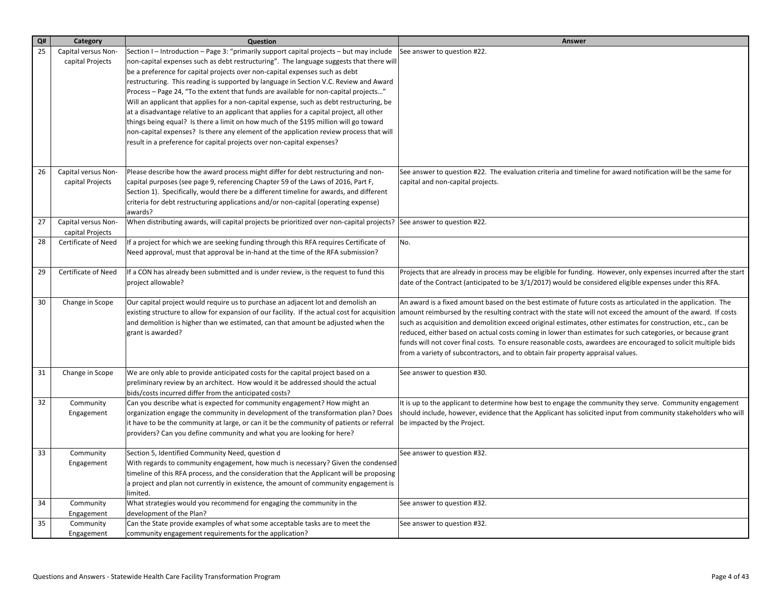| Q# | Category            | Question                                                                                                                                                                  | Answer                                                                                                            |
|----|---------------------|---------------------------------------------------------------------------------------------------------------------------------------------------------------------------|-------------------------------------------------------------------------------------------------------------------|
| 25 | Capital versus Non- | Section I - Introduction - Page 3: "primarily support capital projects - but may include                                                                                  | See answer to question #22.                                                                                       |
|    | capital Projects    | non-capital expenses such as debt restructuring". The language suggests that there will                                                                                   |                                                                                                                   |
|    |                     | be a preference for capital projects over non-capital expenses such as debt                                                                                               |                                                                                                                   |
|    |                     | restructuring. This reading is supported by language in Section V.C. Review and Award                                                                                     |                                                                                                                   |
|    |                     | Process - Page 24, "To the extent that funds are available for non-capital projects"                                                                                      |                                                                                                                   |
|    |                     | Will an applicant that applies for a non-capital expense, such as debt restructuring, be                                                                                  |                                                                                                                   |
|    |                     | at a disadvantage relative to an applicant that applies for a capital project, all other                                                                                  |                                                                                                                   |
|    |                     | things being equal? Is there a limit on how much of the \$195 million will go toward                                                                                      |                                                                                                                   |
|    |                     | non-capital expenses? Is there any element of the application review process that will<br>result in a preference for capital projects over non-capital expenses?          |                                                                                                                   |
|    |                     |                                                                                                                                                                           |                                                                                                                   |
|    |                     |                                                                                                                                                                           |                                                                                                                   |
| 26 | Capital versus Non- | Please describe how the award process might differ for debt restructuring and non-                                                                                        | See answer to question #22. The evaluation criteria and timeline for award notification will be the same for      |
|    | capital Projects    | capital purposes (see page 9, referencing Chapter 59 of the Laws of 2016, Part F,                                                                                         | capital and non-capital projects.                                                                                 |
|    |                     | Section 1). Specifically, would there be a different timeline for awards, and different                                                                                   |                                                                                                                   |
|    |                     | criteria for debt restructuring applications and/or non-capital (operating expense)                                                                                       |                                                                                                                   |
|    |                     | awards?                                                                                                                                                                   |                                                                                                                   |
| 27 | Capital versus Non- | When distributing awards, will capital projects be prioritized over non-capital projects? See answer to question #22.                                                     |                                                                                                                   |
|    | capital Projects    |                                                                                                                                                                           |                                                                                                                   |
| 28 | Certificate of Need | If a project for which we are seeking funding through this RFA requires Certificate of<br>Need approval, must that approval be in-hand at the time of the RFA submission? | No.                                                                                                               |
|    |                     |                                                                                                                                                                           |                                                                                                                   |
| 29 | Certificate of Need | If a CON has already been submitted and is under review, is the request to fund this                                                                                      | Projects that are already in process may be eligible for funding. However, only expenses incurred after the start |
|    |                     | project allowable?                                                                                                                                                        | date of the Contract (anticipated to be 3/1/2017) would be considered eligible expenses under this RFA.           |
|    |                     |                                                                                                                                                                           |                                                                                                                   |
| 30 | Change in Scope     | Our capital project would require us to purchase an adjacent lot and demolish an                                                                                          | An award is a fixed amount based on the best estimate of future costs as articulated in the application. The      |
|    |                     | existing structure to allow for expansion of our facility. If the actual cost for acquisition                                                                             | amount reimbursed by the resulting contract with the state will not exceed the amount of the award. If costs      |
|    |                     | and demolition is higher than we estimated, can that amount be adjusted when the                                                                                          | such as acquisition and demolition exceed original estimates, other estimates for construction, etc., can be      |
|    |                     | grant is awarded?                                                                                                                                                         | reduced, either based on actual costs coming in lower than estimates for such categories, or because grant        |
|    |                     |                                                                                                                                                                           | funds will not cover final costs. To ensure reasonable costs, awardees are encouraged to solicit multiple bids    |
|    |                     |                                                                                                                                                                           | from a variety of subcontractors, and to obtain fair property appraisal values.                                   |
| 31 | Change in Scope     | We are only able to provide anticipated costs for the capital project based on a                                                                                          | See answer to question #30.                                                                                       |
|    |                     | preliminary review by an architect. How would it be addressed should the actual                                                                                           |                                                                                                                   |
|    |                     | bids/costs incurred differ from the anticipated costs?                                                                                                                    |                                                                                                                   |
| 32 | Community           | Can you describe what is expected for community engagement? How might an                                                                                                  | It is up to the applicant to determine how best to engage the community they serve. Community engagement          |
|    | Engagement          | organization engage the community in development of the transformation plan? Does                                                                                         | should include, however, evidence that the Applicant has solicited input from community stakeholders who will     |
|    |                     | it have to be the community at large, or can it be the community of patients or referral                                                                                  | be impacted by the Project.                                                                                       |
|    |                     | providers? Can you define community and what you are looking for here?                                                                                                    |                                                                                                                   |
| 33 | Community           | Section 5, Identified Community Need, question d                                                                                                                          | See answer to question #32.                                                                                       |
|    | Engagement          | With regards to community engagement, how much is necessary? Given the condensed                                                                                          |                                                                                                                   |
|    |                     | timeline of this RFA process, and the consideration that the Applicant will be proposing                                                                                  |                                                                                                                   |
|    |                     | a project and plan not currently in existence, the amount of community engagement is                                                                                      |                                                                                                                   |
|    |                     | limited.                                                                                                                                                                  |                                                                                                                   |
| 34 | Community           | What strategies would you recommend for engaging the community in the                                                                                                     | See answer to question #32.                                                                                       |
|    | Engagement          | development of the Plan?                                                                                                                                                  |                                                                                                                   |
| 35 | Community           | Can the State provide examples of what some acceptable tasks are to meet the                                                                                              | See answer to question #32.                                                                                       |
|    | Engagement          | community engagement requirements for the application?                                                                                                                    |                                                                                                                   |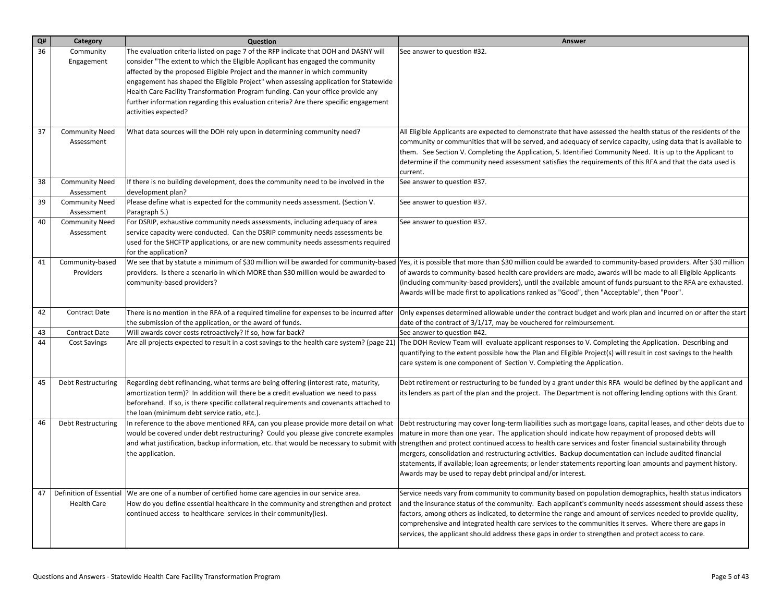| Q#<br>Category                            | Question                                                                                            | Answer                                                                                                            |
|-------------------------------------------|-----------------------------------------------------------------------------------------------------|-------------------------------------------------------------------------------------------------------------------|
| 36<br>Community                           | The evaluation criteria listed on page 7 of the RFP indicate that DOH and DASNY will                | See answer to question #32.                                                                                       |
| Engagement                                | consider "The extent to which the Eligible Applicant has engaged the community                      |                                                                                                                   |
|                                           | affected by the proposed Eligible Project and the manner in which community                         |                                                                                                                   |
|                                           | engagement has shaped the Eligible Project" when assessing application for Statewide                |                                                                                                                   |
|                                           | Health Care Facility Transformation Program funding. Can your office provide any                    |                                                                                                                   |
|                                           | further information regarding this evaluation criteria? Are there specific engagement               |                                                                                                                   |
|                                           | activities expected?                                                                                |                                                                                                                   |
| 37<br><b>Community Need</b>               | What data sources will the DOH rely upon in determining community need?                             | All Eligible Applicants are expected to demonstrate that have assessed the health status of the residents of the  |
| Assessment                                |                                                                                                     | community or communities that will be served, and adequacy of service capacity, using data that is available to   |
|                                           |                                                                                                     | them. See Section V. Completing the Application, 5. Identified Community Need. It is up to the Applicant to       |
|                                           |                                                                                                     | determine if the community need assessment satisfies the requirements of this RFA and that the data used is       |
|                                           |                                                                                                     | current.                                                                                                          |
| 38<br><b>Community Need</b>               | If there is no building development, does the community need to be involved in the                  | See answer to question #37.                                                                                       |
| Assessment<br>39<br><b>Community Need</b> | development plan?<br>Please define what is expected for the community needs assessment. (Section V. | See answer to question #37.                                                                                       |
| Assessment                                | Paragraph 5.)                                                                                       |                                                                                                                   |
| 40<br><b>Community Need</b>               | For DSRIP, exhaustive community needs assessments, including adequacy of area                       | See answer to question #37.                                                                                       |
| Assessment                                | service capacity were conducted. Can the DSRIP community needs assessments be                       |                                                                                                                   |
|                                           | used for the SHCFTP applications, or are new community needs assessments required                   |                                                                                                                   |
|                                           | for the application?                                                                                |                                                                                                                   |
| 41<br>Community-based                     | We see that by statute a minimum of \$30 million will be awarded for community-based                | Yes, it is possible that more than \$30 million could be awarded to community-based providers. After \$30 million |
| Providers                                 | providers. Is there a scenario in which MORE than \$30 million would be awarded to                  | of awards to community-based health care providers are made, awards will be made to all Eligible Applicants       |
|                                           | community-based providers?                                                                          | (including community-based providers), until the available amount of funds pursuant to the RFA are exhausted.     |
|                                           |                                                                                                     | Awards will be made first to applications ranked as "Good", then "Acceptable", then "Poor".                       |
| 42<br><b>Contract Date</b>                | There is no mention in the RFA of a required timeline for expenses to be incurred after             | Only expenses determined allowable under the contract budget and work plan and incurred on or after the start     |
|                                           | the submission of the application, or the award of funds.                                           | date of the contract of 3/1/17, may be vouchered for reimbursement.                                               |
| 43<br><b>Contract Date</b>                | Will awards cover costs retroactively? If so, how far back?                                         | See answer to question #42.                                                                                       |
| 44<br><b>Cost Savings</b>                 | Are all projects expected to result in a cost savings to the health care system? (page 21)          | The DOH Review Team will evaluate applicant responses to V. Completing the Application. Describing and            |
|                                           |                                                                                                     | quantifying to the extent possible how the Plan and Eligible Project(s) will result in cost savings to the health |
|                                           |                                                                                                     | care system is one component of Section V. Completing the Application.                                            |
| 45<br>Debt Restructuring                  | Regarding debt refinancing, what terms are being offering (interest rate, maturity,                 | Debt retirement or restructuring to be funded by a grant under this RFA would be defined by the applicant and     |
|                                           | amortization term)? In addition will there be a credit evaluation we need to pass                   | its lenders as part of the plan and the project. The Department is not offering lending options with this Grant.  |
|                                           | beforehand. If so, is there specific collateral requirements and covenants attached to              |                                                                                                                   |
|                                           | the loan (minimum debt service ratio, etc.).                                                        |                                                                                                                   |
| 46<br>Debt Restructuring                  | In reference to the above mentioned RFA, can you please provide more detail on what                 | Debt restructuring may cover long-term liabilities such as mortgage loans, capital leases, and other debts due to |
|                                           | would be covered under debt restructuring? Could you please give concrete examples                  | mature in more than one year. The application should indicate how repayment of proposed debts will                |
|                                           | and what justification, backup information, etc. that would be necessary to submit with             | strengthen and protect continued access to health care services and foster financial sustainability through       |
|                                           | the application.                                                                                    | mergers, consolidation and restructuring activities. Backup documentation can include audited financial           |
|                                           |                                                                                                     | statements, if available; loan agreements; or lender statements reporting loan amounts and payment history.       |
|                                           |                                                                                                     | Awards may be used to repay debt principal and/or interest.                                                       |
| Definition of Essential<br>47             | We are one of a number of certified home care agencies in our service area.                         | Service needs vary from community to community based on population demographics, health status indicators         |
| <b>Health Care</b>                        | How do you define essential healthcare in the community and strengthen and protect                  | and the insurance status of the community. Each applicant's community needs assessment should assess these        |
|                                           | continued access to healthcare services in their community(ies).                                    | factors, among others as indicated, to determine the range and amount of services needed to provide quality,      |
|                                           |                                                                                                     | comprehensive and integrated health care services to the communities it serves. Where there are gaps in           |
|                                           |                                                                                                     | services, the applicant should address these gaps in order to strengthen and protect access to care.              |
|                                           |                                                                                                     |                                                                                                                   |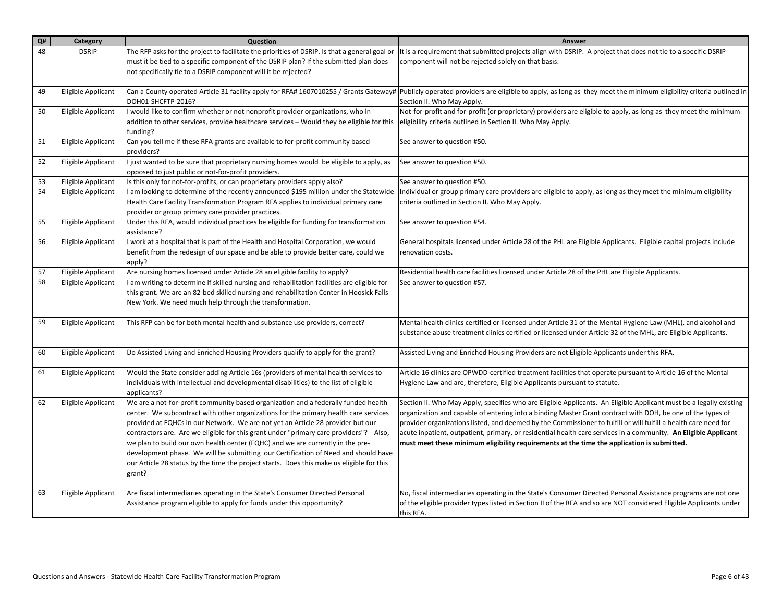| Q# | Category           | Question                                                                                                                                                                        | Answer                                                                                                                                                                                                      |
|----|--------------------|---------------------------------------------------------------------------------------------------------------------------------------------------------------------------------|-------------------------------------------------------------------------------------------------------------------------------------------------------------------------------------------------------------|
| 48 | <b>DSRIP</b>       | The RFP asks for the project to facilitate the priorities of DSRIP. Is that a general goal or                                                                                   | It is a requirement that submitted projects align with DSRIP. A project that does not tie to a specific DSRIP                                                                                               |
|    |                    | must it be tied to a specific component of the DSRIP plan? If the submitted plan does                                                                                           | component will not be rejected solely on that basis.                                                                                                                                                        |
|    |                    | not specifically tie to a DSRIP component will it be rejected?                                                                                                                  |                                                                                                                                                                                                             |
|    |                    |                                                                                                                                                                                 |                                                                                                                                                                                                             |
| 49 | Eligible Applicant |                                                                                                                                                                                 | Can a County operated Article 31 facility apply for RFA# 1607010255 / Grants Gateway#  Publicly operated providers are eligible to apply, as long as they meet the minimum eligibility criteria outlined in |
|    |                    | DOH01-SHCFTP-2016?                                                                                                                                                              | Section II. Who May Apply.                                                                                                                                                                                  |
| 50 | Eligible Applicant | I would like to confirm whether or not nonprofit provider organizations, who in                                                                                                 | Not-for-profit and for-profit (or proprietary) providers are eligible to apply, as long as they meet the minimum                                                                                            |
|    |                    | addition to other services, provide healthcare services – Would they be eligible for this<br>funding?                                                                           | eligibility criteria outlined in Section II. Who May Apply.                                                                                                                                                 |
| 51 | Eligible Applicant | Can you tell me if these RFA grants are available to for-profit community based                                                                                                 | See answer to question #50.                                                                                                                                                                                 |
|    |                    | providers?                                                                                                                                                                      |                                                                                                                                                                                                             |
| 52 | Eligible Applicant | I just wanted to be sure that proprietary nursing homes would be eligible to apply, as                                                                                          | See answer to question #50.                                                                                                                                                                                 |
|    |                    | opposed to just public or not-for-profit providers.                                                                                                                             |                                                                                                                                                                                                             |
| 53 | Eligible Applicant | Is this only for not-for-profits, or can proprietary providers apply also?                                                                                                      | See answer to question #50.                                                                                                                                                                                 |
| 54 | Eligible Applicant | I am looking to determine of the recently announced \$195 million under the Statewide                                                                                           | Individual or group primary care providers are eligible to apply, as long as they meet the minimum eligibility                                                                                              |
|    |                    | Health Care Facility Transformation Program RFA applies to individual primary care                                                                                              | criteria outlined in Section II. Who May Apply.                                                                                                                                                             |
| 55 |                    | provider or group primary care provider practices.<br>Under this RFA, would individual practices be eligible for funding for transformation                                     |                                                                                                                                                                                                             |
|    | Eligible Applicant | assistance?                                                                                                                                                                     | See answer to question #54.                                                                                                                                                                                 |
| 56 | Eligible Applicant | I work at a hospital that is part of the Health and Hospital Corporation, we would                                                                                              | General hospitals licensed under Article 28 of the PHL are Eligible Applicants. Eligible capital projects include                                                                                           |
|    |                    | benefit from the redesign of our space and be able to provide better care, could we                                                                                             | renovation costs.                                                                                                                                                                                           |
|    |                    | apply?                                                                                                                                                                          |                                                                                                                                                                                                             |
| 57 | Eligible Applicant | Are nursing homes licensed under Article 28 an eligible facility to apply?                                                                                                      | Residential health care facilities licensed under Article 28 of the PHL are Eligible Applicants.                                                                                                            |
| 58 | Eligible Applicant | I am writing to determine if skilled nursing and rehabilitation facilities are eligible for                                                                                     | See answer to question #57.                                                                                                                                                                                 |
|    |                    | this grant. We are an 82-bed skilled nursing and rehabilitation Center in Hoosick Falls<br>New York. We need much help through the transformation.                              |                                                                                                                                                                                                             |
|    |                    |                                                                                                                                                                                 |                                                                                                                                                                                                             |
| 59 | Eligible Applicant | This RFP can be for both mental health and substance use providers, correct?                                                                                                    | Mental health clinics certified or licensed under Article 31 of the Mental Hygiene Law (MHL), and alcohol and                                                                                               |
|    |                    |                                                                                                                                                                                 | substance abuse treatment clinics certified or licensed under Article 32 of the MHL, are Eligible Applicants.                                                                                               |
|    |                    |                                                                                                                                                                                 |                                                                                                                                                                                                             |
| 60 | Eligible Applicant | Do Assisted Living and Enriched Housing Providers qualify to apply for the grant?                                                                                               | Assisted Living and Enriched Housing Providers are not Eligible Applicants under this RFA.                                                                                                                  |
| 61 | Eligible Applicant | Would the State consider adding Article 16s (providers of mental health services to                                                                                             | Article 16 clinics are OPWDD-certified treatment facilities that operate pursuant to Article 16 of the Mental                                                                                               |
|    |                    | individuals with intellectual and developmental disabilities) to the list of eligible                                                                                           | Hygiene Law and are, therefore, Eligible Applicants pursuant to statute.                                                                                                                                    |
|    |                    | applicants?                                                                                                                                                                     |                                                                                                                                                                                                             |
| 62 | Eligible Applicant | We are a not-for-profit community based organization and a federally funded health                                                                                              | Section II. Who May Apply, specifies who are Eligible Applicants. An Eligible Applicant must be a legally existing                                                                                          |
|    |                    | center. We subcontract with other organizations for the primary health care services                                                                                            | organization and capable of entering into a binding Master Grant contract with DOH, be one of the types of                                                                                                  |
|    |                    | provided at FQHCs in our Network. We are not yet an Article 28 provider but our                                                                                                 | provider organizations listed, and deemed by the Commissioner to fulfill or will fulfill a health care need for                                                                                             |
|    |                    | contractors are. Are we eligible for this grant under "primary care providers"? Also,                                                                                           | acute inpatient, outpatient, primary, or residential health care services in a community. An Eligible Applicant                                                                                             |
|    |                    | we plan to build our own health center (FQHC) and we are currently in the pre-                                                                                                  | must meet these minimum eligibility requirements at the time the application is submitted.                                                                                                                  |
|    |                    | development phase. We will be submitting our Certification of Need and should have<br>our Article 28 status by the time the project starts. Does this make us eligible for this |                                                                                                                                                                                                             |
|    |                    | grant?                                                                                                                                                                          |                                                                                                                                                                                                             |
|    |                    |                                                                                                                                                                                 |                                                                                                                                                                                                             |
| 63 | Eligible Applicant | Are fiscal intermediaries operating in the State's Consumer Directed Personal                                                                                                   | No, fiscal intermediaries operating in the State's Consumer Directed Personal Assistance programs are not one                                                                                               |
|    |                    | Assistance program eligible to apply for funds under this opportunity?                                                                                                          | of the eligible provider types listed in Section II of the RFA and so are NOT considered Eligible Applicants under                                                                                          |
|    |                    |                                                                                                                                                                                 | this RFA.                                                                                                                                                                                                   |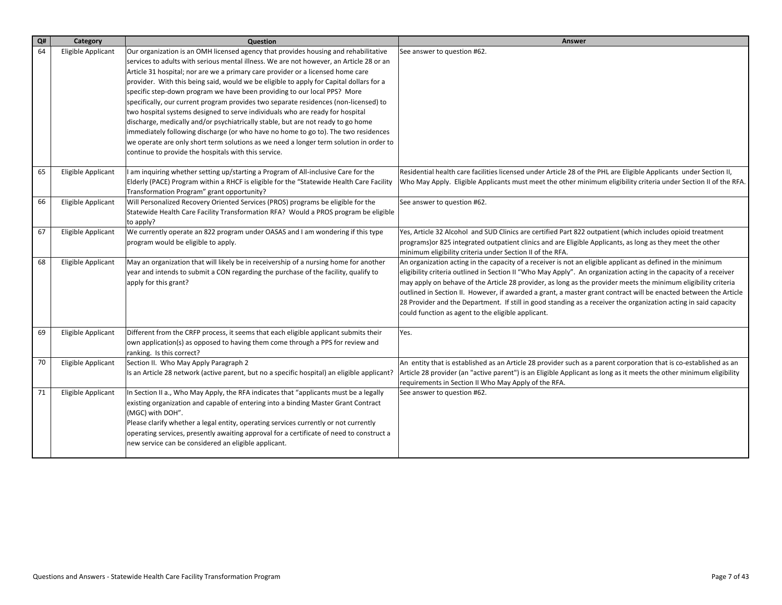| Q# | Category           | Question                                                                                                                                                                                                                                                                                                                                                                                                                                                                                                                                                                                                                                                                                                                                                                                                                                                                                                                                      | Answer                                                                                                                                                                                                                                                                                                                                                                                                                                                                                                                                                                                                                                           |
|----|--------------------|-----------------------------------------------------------------------------------------------------------------------------------------------------------------------------------------------------------------------------------------------------------------------------------------------------------------------------------------------------------------------------------------------------------------------------------------------------------------------------------------------------------------------------------------------------------------------------------------------------------------------------------------------------------------------------------------------------------------------------------------------------------------------------------------------------------------------------------------------------------------------------------------------------------------------------------------------|--------------------------------------------------------------------------------------------------------------------------------------------------------------------------------------------------------------------------------------------------------------------------------------------------------------------------------------------------------------------------------------------------------------------------------------------------------------------------------------------------------------------------------------------------------------------------------------------------------------------------------------------------|
| 64 | Eligible Applicant | Our organization is an OMH licensed agency that provides housing and rehabilitative<br>services to adults with serious mental illness. We are not however, an Article 28 or an<br>Article 31 hospital; nor are we a primary care provider or a licensed home care<br>provider. With this being said, would we be eligible to apply for Capital dollars for a<br>specific step-down program we have been providing to our local PPS? More<br>specifically, our current program provides two separate residences (non-licensed) to<br>two hospital systems designed to serve individuals who are ready for hospital<br>discharge, medically and/or psychiatrically stable, but are not ready to go home<br>immediately following discharge (or who have no home to go to). The two residences<br>we operate are only short term solutions as we need a longer term solution in order to<br>continue to provide the hospitals with this service. | See answer to question #62.                                                                                                                                                                                                                                                                                                                                                                                                                                                                                                                                                                                                                      |
| 65 | Eligible Applicant | I am inquiring whether setting up/starting a Program of All-inclusive Care for the<br>Elderly (PACE) Program within a RHCF is eligible for the "Statewide Health Care Facility<br>Transformation Program" grant opportunity?                                                                                                                                                                                                                                                                                                                                                                                                                                                                                                                                                                                                                                                                                                                  | Residential health care facilities licensed under Article 28 of the PHL are Eligible Applicants under Section II,<br>Who May Apply. Eligible Applicants must meet the other minimum eligibility criteria under Section II of the RFA.                                                                                                                                                                                                                                                                                                                                                                                                            |
| 66 | Eligible Applicant | Will Personalized Recovery Oriented Services (PROS) programs be eligible for the<br>Statewide Health Care Facility Transformation RFA? Would a PROS program be eligible<br>to apply?                                                                                                                                                                                                                                                                                                                                                                                                                                                                                                                                                                                                                                                                                                                                                          | See answer to question #62.                                                                                                                                                                                                                                                                                                                                                                                                                                                                                                                                                                                                                      |
| 67 | Eligible Applicant | We currently operate an 822 program under OASAS and I am wondering if this type<br>program would be eligible to apply.                                                                                                                                                                                                                                                                                                                                                                                                                                                                                                                                                                                                                                                                                                                                                                                                                        | Yes, Article 32 Alcohol and SUD Clinics are certified Part 822 outpatient (which includes opioid treatment<br>programs) or 825 integrated outpatient clinics and are Eligible Applicants, as long as they meet the other<br>minimum eligibility criteria under Section II of the RFA.                                                                                                                                                                                                                                                                                                                                                            |
| 68 | Eligible Applicant | May an organization that will likely be in receivership of a nursing home for another<br>year and intends to submit a CON regarding the purchase of the facility, qualify to<br>apply for this grant?                                                                                                                                                                                                                                                                                                                                                                                                                                                                                                                                                                                                                                                                                                                                         | An organization acting in the capacity of a receiver is not an eligible applicant as defined in the minimum<br>eligibility criteria outlined in Section II "Who May Apply". An organization acting in the capacity of a receiver<br>may apply on behave of the Article 28 provider, as long as the provider meets the minimum eligibility criteria<br>outlined in Section II. However, if awarded a grant, a master grant contract will be enacted between the Article<br>28 Provider and the Department. If still in good standing as a receiver the organization acting in said capacity<br>could function as agent to the eligible applicant. |
| 69 | Eligible Applicant | Different from the CRFP process, it seems that each eligible applicant submits their<br>own application(s) as opposed to having them come through a PPS for review and<br>ranking. Is this correct?                                                                                                                                                                                                                                                                                                                                                                                                                                                                                                                                                                                                                                                                                                                                           | Yes.                                                                                                                                                                                                                                                                                                                                                                                                                                                                                                                                                                                                                                             |
| 70 | Eligible Applicant | Section II. Who May Apply Paragraph 2<br>Is an Article 28 network (active parent, but no a specific hospital) an eligible applicant?                                                                                                                                                                                                                                                                                                                                                                                                                                                                                                                                                                                                                                                                                                                                                                                                          | An entity that is established as an Article 28 provider such as a parent corporation that is co-established as an<br>Article 28 provider (an "active parent") is an Eligible Applicant as long as it meets the other minimum eligibility<br>requirements in Section II Who May Apply of the RFA.                                                                                                                                                                                                                                                                                                                                                 |
| 71 | Eligible Applicant | In Section II a., Who May Apply, the RFA indicates that "applicants must be a legally<br>existing organization and capable of entering into a binding Master Grant Contract<br>(MGC) with DOH".<br>Please clarify whether a legal entity, operating services currently or not currently<br>operating services, presently awaiting approval for a certificate of need to construct a<br>new service can be considered an eligible applicant.                                                                                                                                                                                                                                                                                                                                                                                                                                                                                                   | See answer to question #62.                                                                                                                                                                                                                                                                                                                                                                                                                                                                                                                                                                                                                      |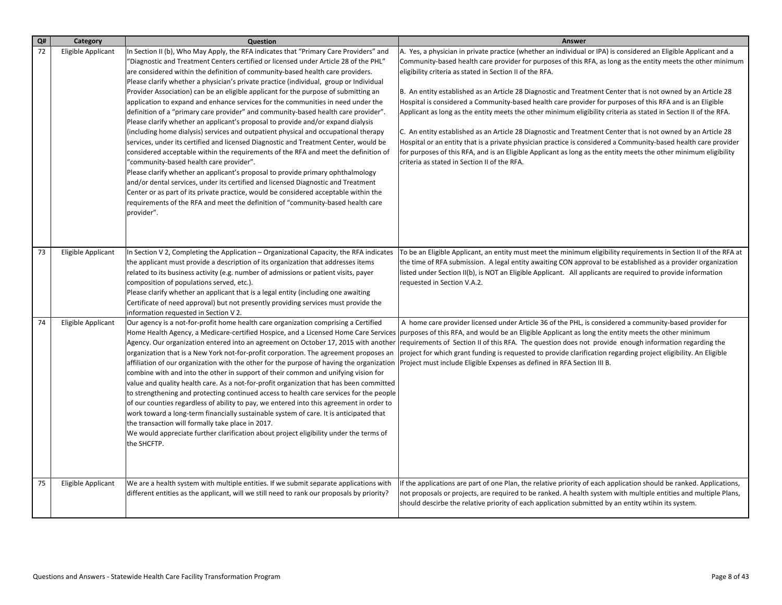| Q# | Category           | Question                                                                                                                                                                                                                                                                                                                                                                                                                                                                                                                                                                                                                                                                                                                                                                                                                                                                                                                                                                                                                                                                                                                                                                                                                                                                                                                                                                                         | <b>Answer</b>                                                                                                                                                                                                                                                                                                                                                                                                                                                                                                                                                                                                                                                                                                                                                                                                                                                                                                                                                                                                                                        |
|----|--------------------|--------------------------------------------------------------------------------------------------------------------------------------------------------------------------------------------------------------------------------------------------------------------------------------------------------------------------------------------------------------------------------------------------------------------------------------------------------------------------------------------------------------------------------------------------------------------------------------------------------------------------------------------------------------------------------------------------------------------------------------------------------------------------------------------------------------------------------------------------------------------------------------------------------------------------------------------------------------------------------------------------------------------------------------------------------------------------------------------------------------------------------------------------------------------------------------------------------------------------------------------------------------------------------------------------------------------------------------------------------------------------------------------------|------------------------------------------------------------------------------------------------------------------------------------------------------------------------------------------------------------------------------------------------------------------------------------------------------------------------------------------------------------------------------------------------------------------------------------------------------------------------------------------------------------------------------------------------------------------------------------------------------------------------------------------------------------------------------------------------------------------------------------------------------------------------------------------------------------------------------------------------------------------------------------------------------------------------------------------------------------------------------------------------------------------------------------------------------|
| 72 | Eligible Applicant | In Section II (b), Who May Apply, the RFA indicates that "Primary Care Providers" and<br>"Diagnostic and Treatment Centers certified or licensed under Article 28 of the PHL"<br>are considered within the definition of community-based health care providers.<br>Please clarify whether a physician's private practice (individual, group or Individual<br>Provider Association) can be an eligible applicant for the purpose of submitting an<br>application to expand and enhance services for the communities in need under the<br>definition of a "primary care provider" and community-based health care provider".<br>Please clarify whether an applicant's proposal to provide and/or expand dialysis<br>(including home dialysis) services and outpatient physical and occupational therapy<br>services, under its certified and licensed Diagnostic and Treatment Center, would be<br>considered acceptable within the requirements of the RFA and meet the definition of<br>"community-based health care provider".<br>Please clarify whether an applicant's proposal to provide primary ophthalmology<br>and/or dental services, under its certified and licensed Diagnostic and Treatment<br>Center or as part of its private practice, would be considered acceptable within the<br>requirements of the RFA and meet the definition of "community-based health care<br>provider". | A. Yes, a physician in private practice (whether an individual or IPA) is considered an Eligible Applicant and a<br>Community-based health care provider for purposes of this RFA, as long as the entity meets the other minimum<br>eligibility criteria as stated in Section II of the RFA.<br>B. An entity established as an Article 28 Diagnostic and Treatment Center that is not owned by an Article 28<br>Hospital is considered a Community-based health care provider for purposes of this RFA and is an Eligible<br>Applicant as long as the entity meets the other minimum eligibility criteria as stated in Section II of the RFA.<br>C. An entity established as an Article 28 Diagnostic and Treatment Center that is not owned by an Article 28<br>Hospital or an entity that is a private physician practice is considered a Community-based health care provider<br>for purposes of this RFA, and is an Eligible Applicant as long as the entity meets the other minimum eligibility<br>criteria as stated in Section II of the RFA. |
| 73 | Eligible Applicant | In Section V 2, Completing the Application – Organizational Capacity, the RFA indicates<br>the applicant must provide a description of its organization that addresses items<br>related to its business activity (e.g. number of admissions or patient visits, payer<br>composition of populations served, etc.).<br>Please clarify whether an applicant that is a legal entity (including one awaiting<br>Certificate of need approval) but not presently providing services must provide the<br>information requested in Section V 2.                                                                                                                                                                                                                                                                                                                                                                                                                                                                                                                                                                                                                                                                                                                                                                                                                                                          | To be an Eligible Applicant, an entity must meet the minimum eligibility requirements in Section II of the RFA at<br>the time of RFA submission. A legal entity awaiting CON approval to be established as a provider organization<br>listed under Section II(b), is NOT an Eligible Applicant. All applicants are required to provide information<br>requested in Section V.A.2.                                                                                                                                                                                                                                                                                                                                                                                                                                                                                                                                                                                                                                                                    |
| 74 | Eligible Applicant | Our agency is a not-for-profit home health care organization comprising a Certified<br>Home Health Agency, a Medicare-certified Hospice, and a Licensed Home Care Services<br>Agency. Our organization entered into an agreement on October 17, 2015 with another<br>organization that is a New York not-for-profit corporation. The agreement proposes an<br>affiliation of our organization with the other for the purpose of having the organization<br>combine with and into the other in support of their common and unifying vision for<br>value and quality health care. As a not-for-profit organization that has been committed<br>to strengthening and protecting continued access to health care services for the people<br>of our counties regardless of ability to pay, we entered into this agreement in order to<br>work toward a long-term financially sustainable system of care. It is anticipated that<br>the transaction will formally take place in 2017.<br>We would appreciate further clarification about project eligibility under the terms of<br>the SHCFTP.                                                                                                                                                                                                                                                                                                          | A home care provider licensed under Article 36 of the PHL, is considered a community-based provider for<br>purposes of this RFA, and would be an Eligible Applicant as long the entity meets the other minimum<br>requirements of Section II of this RFA. The question does not provide enough information regarding the<br>project for which grant funding is requested to provide clarification regarding project eligibility. An Eligible<br>Project must include Eligible Expenses as defined in RFA Section III B.                                                                                                                                                                                                                                                                                                                                                                                                                                                                                                                              |
| 75 | Eligible Applicant | We are a health system with multiple entities. If we submit separate applications with<br>different entities as the applicant, will we still need to rank our proposals by priority?                                                                                                                                                                                                                                                                                                                                                                                                                                                                                                                                                                                                                                                                                                                                                                                                                                                                                                                                                                                                                                                                                                                                                                                                             | If the applications are part of one Plan, the relative priority of each application should be ranked. Applications,<br>not proposals or projects, are required to be ranked. A health system with multiple entities and multiple Plans,<br>should descirbe the relative priority of each application submitted by an entity wtihin its system.                                                                                                                                                                                                                                                                                                                                                                                                                                                                                                                                                                                                                                                                                                       |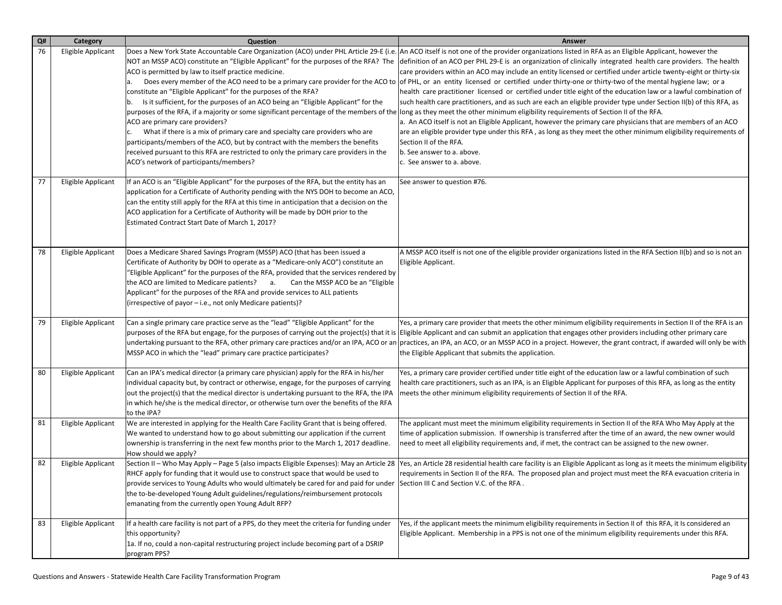| Q# | Category           | <b>Question</b>                                                                                                                                                                                                                                                                                                                                                                                                                                                                                                                                                                                                                                                                                                                                                                                                                                                                                                                | Answer                                                                                                                                                                                                                                                                                                                                                                                                                                                                                                                                                                                                                                                                                                                                                                                                                                                                                                                                                                                                                                                                                                               |
|----|--------------------|--------------------------------------------------------------------------------------------------------------------------------------------------------------------------------------------------------------------------------------------------------------------------------------------------------------------------------------------------------------------------------------------------------------------------------------------------------------------------------------------------------------------------------------------------------------------------------------------------------------------------------------------------------------------------------------------------------------------------------------------------------------------------------------------------------------------------------------------------------------------------------------------------------------------------------|----------------------------------------------------------------------------------------------------------------------------------------------------------------------------------------------------------------------------------------------------------------------------------------------------------------------------------------------------------------------------------------------------------------------------------------------------------------------------------------------------------------------------------------------------------------------------------------------------------------------------------------------------------------------------------------------------------------------------------------------------------------------------------------------------------------------------------------------------------------------------------------------------------------------------------------------------------------------------------------------------------------------------------------------------------------------------------------------------------------------|
| 76 | Eligible Applicant | Does a New York State Accountable Care Organization (ACO) under PHL Article 29-E (i.e.<br>NOT an MSSP ACO) constitute an "Eligible Applicant" for the purposes of the RFA? The<br>ACO is permitted by law to itself practice medicine.<br>constitute an "Eligible Applicant" for the purposes of the RFA?<br>b. Is it sufficient, for the purposes of an ACO being an "Eligible Applicant" for the<br> purposes of the RFA, if a majority or some significant percentage of the members of the  long as they meet the other minimum eligibility requirements of Section II of the RFA.<br>ACO are primary care providers?<br>What if there is a mix of primary care and specialty care providers who are<br>participants/members of the ACO, but by contract with the members the benefits<br>received pursuant to this RFA are restricted to only the primary care providers in the<br>ACO's network of participants/members? | An ACO itself is not one of the provider organizations listed in RFA as an Eligible Applicant, however the<br>definition of an ACO per PHL 29-E is an organization of clinically integrated health care providers. The health<br>care providers within an ACO may include an entity licensed or certified under article twenty-eight or thirty-six<br>Does every member of the ACO need to be a primary care provider for the ACO to  of PHL, or an entity licensed or certified under thirty-one or thirty-two of the mental hygiene law; or a<br>health care practitioner licensed or certified under title eight of the education law or a lawful combination of<br>such health care practitioners, and as such are each an eligible provider type under Section II(b) of this RFA, as<br>a. An ACO itself is not an Eligible Applicant, however the primary care physicians that are members of an ACO<br>are an eligible provider type under this RFA, as long as they meet the other minimum eligibility requirements of<br>Section II of the RFA.<br>b. See answer to a. above.<br>c. See answer to a. above. |
| 77 | Eligible Applicant | If an ACO is an "Eligible Applicant" for the purposes of the RFA, but the entity has an<br>application for a Certificate of Authority pending with the NYS DOH to become an ACO,<br>can the entity still apply for the RFA at this time in anticipation that a decision on the<br>ACO application for a Certificate of Authority will be made by DOH prior to the<br>Estimated Contract Start Date of March 1, 2017?                                                                                                                                                                                                                                                                                                                                                                                                                                                                                                           | See answer to question #76.                                                                                                                                                                                                                                                                                                                                                                                                                                                                                                                                                                                                                                                                                                                                                                                                                                                                                                                                                                                                                                                                                          |
| 78 | Eligible Applicant | Does a Medicare Shared Savings Program (MSSP) ACO (that has been issued a<br>Certificate of Authority by DOH to operate as a "Medicare-only ACO") constitute an<br>"Eligible Applicant" for the purposes of the RFA, provided that the services rendered by<br>the ACO are limited to Medicare patients? a. Can the MSSP ACO be an "Eligible"<br>Applicant" for the purposes of the RFA and provide services to ALL patients<br>(irrespective of payor - i.e., not only Medicare patients)?                                                                                                                                                                                                                                                                                                                                                                                                                                    | A MSSP ACO itself is not one of the eligible provider organizations listed in the RFA Section II(b) and so is not an<br>Eligible Applicant.                                                                                                                                                                                                                                                                                                                                                                                                                                                                                                                                                                                                                                                                                                                                                                                                                                                                                                                                                                          |
| 79 | Eligible Applicant | Can a single primary care practice serve as the "lead" "Eligible Applicant" for the<br>MSSP ACO in which the "lead" primary care practice participates?                                                                                                                                                                                                                                                                                                                                                                                                                                                                                                                                                                                                                                                                                                                                                                        | Yes, a primary care provider that meets the other minimum eligibility requirements in Section II of the RFA is an<br> purposes of the RFA but engage, for the purposes of carrying out the project(s) that it is  Eligible Applicant and can submit an application that engages other providers including other primary care<br>undertaking pursuant to the RFA, other primary care practices and/or an IPA, ACO or an  practices, an IPA, an ACO, or an MSSP ACO in a project. However, the grant contract, if awarded will only be with<br>the Eligible Applicant that submits the application.                                                                                                                                                                                                                                                                                                                                                                                                                                                                                                                    |
| 80 | Eligible Applicant | Can an IPA's medical director (a primary care physician) apply for the RFA in his/her<br>individual capacity but, by contract or otherwise, engage, for the purposes of carrying<br>out the project(s) that the medical director is undertaking pursuant to the RFA, the IPA<br>in which he/she is the medical director, or otherwise turn over the benefits of the RFA<br>to the IPA?                                                                                                                                                                                                                                                                                                                                                                                                                                                                                                                                         | Yes, a primary care provider certified under title eight of the education law or a lawful combination of such<br>health care practitioners, such as an IPA, is an Eligible Applicant for purposes of this RFA, as long as the entity<br>meets the other minimum eligibility requirements of Section II of the RFA.                                                                                                                                                                                                                                                                                                                                                                                                                                                                                                                                                                                                                                                                                                                                                                                                   |
| 81 | Eligible Applicant | We are interested in applying for the Health Care Facility Grant that is being offered.<br>We wanted to understand how to go about submitting our application if the current<br>ownership is transferring in the next few months prior to the March 1, 2017 deadline.<br>How should we apply?                                                                                                                                                                                                                                                                                                                                                                                                                                                                                                                                                                                                                                  | The applicant must meet the minimum eligibility requirements in Section II of the RFA Who May Apply at the<br>time of application submission. If ownership is transferred after the time of an award, the new owner would<br>need to meet all eligibility requirements and, if met, the contract can be assigned to the new owner.                                                                                                                                                                                                                                                                                                                                                                                                                                                                                                                                                                                                                                                                                                                                                                                   |
| 82 | Eligible Applicant | Section II - Who May Apply - Page 5 (also impacts Eligible Expenses): May an Article 28<br>RHCF apply for funding that it would use to construct space that would be used to<br>provide services to Young Adults who would ultimately be cared for and paid for under Section III C and Section V.C. of the RFA.<br>the to-be-developed Young Adult guidelines/regulations/reimbursement protocols<br>emanating from the currently open Young Adult RFP?                                                                                                                                                                                                                                                                                                                                                                                                                                                                       | Yes, an Article 28 residential health care facility is an Eligible Applicant as long as it meets the minimum eligibility<br>requirements in Section II of the RFA. The proposed plan and project must meet the RFA evacuation criteria in                                                                                                                                                                                                                                                                                                                                                                                                                                                                                                                                                                                                                                                                                                                                                                                                                                                                            |
| 83 | Eligible Applicant | If a health care facility is not part of a PPS, do they meet the criteria for funding under<br>this opportunity?<br>1a. If no, could a non-capital restructuring project include becoming part of a DSRIP<br>program PPS?                                                                                                                                                                                                                                                                                                                                                                                                                                                                                                                                                                                                                                                                                                      | Yes, if the applicant meets the minimum eligibility requirements in Section II of this RFA, it Is considered an<br>Eligible Applicant. Membership in a PPS is not one of the minimum eligibility requirements under this RFA.                                                                                                                                                                                                                                                                                                                                                                                                                                                                                                                                                                                                                                                                                                                                                                                                                                                                                        |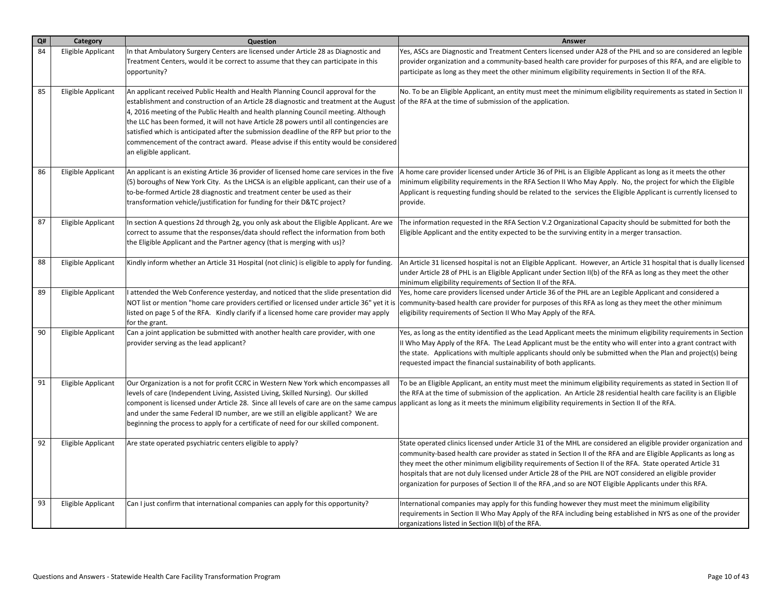| Q# | Category           | Question                                                                                                                                                                                                                                                                                                                                                                                                                                                                                                                                                                  | Answer                                                                                                                                                                                                                                                                                                                                                                                                                                                                                                                                                                |
|----|--------------------|---------------------------------------------------------------------------------------------------------------------------------------------------------------------------------------------------------------------------------------------------------------------------------------------------------------------------------------------------------------------------------------------------------------------------------------------------------------------------------------------------------------------------------------------------------------------------|-----------------------------------------------------------------------------------------------------------------------------------------------------------------------------------------------------------------------------------------------------------------------------------------------------------------------------------------------------------------------------------------------------------------------------------------------------------------------------------------------------------------------------------------------------------------------|
| 84 | Eligible Applicant | In that Ambulatory Surgery Centers are licensed under Article 28 as Diagnostic and<br>Treatment Centers, would it be correct to assume that they can participate in this<br>opportunity?                                                                                                                                                                                                                                                                                                                                                                                  | Yes, ASCs are Diagnostic and Treatment Centers licensed under A28 of the PHL and so are considered an legible<br>provider organization and a community-based health care provider for purposes of this RFA, and are eligible to<br>participate as long as they meet the other minimum eligibility requirements in Section II of the RFA.                                                                                                                                                                                                                              |
| 85 | Eligible Applicant | An applicant received Public Health and Health Planning Council approval for the<br>establishment and construction of an Article 28 diagnostic and treatment at the August<br>4, 2016 meeting of the Public Health and health planning Council meeting. Although<br>the LLC has been formed, it will not have Article 28 powers until all contingencies are<br>satisfied which is anticipated after the submission deadline of the RFP but prior to the<br>commencement of the contract award. Please advise if this entity would be considered<br>an eligible applicant. | No. To be an Eligible Applicant, an entity must meet the minimum eligibility requirements as stated in Section II<br>of the RFA at the time of submission of the application.                                                                                                                                                                                                                                                                                                                                                                                         |
| 86 | Eligible Applicant | An applicant is an existing Article 36 provider of licensed home care services in the five<br>(5) boroughs of New York City. As the LHCSA is an eligible applicant, can their use of a<br>to-be-formed Article 28 diagnostic and treatment center be used as their<br>transformation vehicle/justification for funding for their D&TC project?                                                                                                                                                                                                                            | A home care provider licensed under Article 36 of PHL is an Eligible Applicant as long as it meets the other<br>minimum eligibility requirements in the RFA Section II Who May Apply. No, the project for which the Eligible<br>Applicant is requesting funding should be related to the services the Eligible Applicant is currently licensed to<br>provide.                                                                                                                                                                                                         |
| 87 | Eligible Applicant | In section A questions 2d through 2g, you only ask about the Eligible Applicant. Are we<br>correct to assume that the responses/data should reflect the information from both<br>the Eligible Applicant and the Partner agency (that is merging with us)?                                                                                                                                                                                                                                                                                                                 | The information requested in the RFA Section V.2 Organizational Capacity should be submitted for both the<br>Eligible Applicant and the entity expected to be the surviving entity in a merger transaction.                                                                                                                                                                                                                                                                                                                                                           |
| 88 | Eligible Applicant | Kindly inform whether an Article 31 Hospital (not clinic) is eligible to apply for funding.                                                                                                                                                                                                                                                                                                                                                                                                                                                                               | An Article 31 licensed hospital is not an Eligible Applicant. However, an Article 31 hospital that is dually licensed<br>under Article 28 of PHL is an Eligible Applicant under Section II(b) of the RFA as long as they meet the other<br>minimum eligibility requirements of Section II of the RFA.                                                                                                                                                                                                                                                                 |
| 89 | Eligible Applicant | I attended the Web Conference yesterday, and noticed that the slide presentation did<br>NOT list or mention "home care providers certified or licensed under article 36" yet it is<br>listed on page 5 of the RFA. Kindly clarify if a licensed home care provider may apply<br>for the grant.                                                                                                                                                                                                                                                                            | Yes, home care providers licensed under Article 36 of the PHL are an Legible Applicant and considered a<br>community-based health care provider for purposes of this RFA as long as they meet the other minimum<br>eligibility requirements of Section II Who May Apply of the RFA.                                                                                                                                                                                                                                                                                   |
| 90 | Eligible Applicant | Can a joint application be submitted with another health care provider, with one<br>provider serving as the lead applicant?                                                                                                                                                                                                                                                                                                                                                                                                                                               | Yes, as long as the entity identified as the Lead Applicant meets the minimum eligibility requirements in Section<br>II Who May Apply of the RFA. The Lead Applicant must be the entity who will enter into a grant contract with<br>the state. Applications with multiple applicants should only be submitted when the Plan and project(s) being<br>requested impact the financial sustainability of both applicants.                                                                                                                                                |
| 91 | Eligible Applicant | Our Organization is a not for profit CCRC in Western New York which encompasses all<br>levels of care (Independent Living, Assisted Living, Skilled Nursing). Our skilled<br>component is licensed under Article 28. Since all levels of care are on the same campus<br>and under the same Federal ID number, are we still an eligible applicant? We are<br>beginning the process to apply for a certificate of need for our skilled component.                                                                                                                           | To be an Eligible Applicant, an entity must meet the minimum eligibility requirements as stated in Section II of<br>the RFA at the time of submission of the application. An Article 28 residential health care facility is an Eligible<br>applicant as long as it meets the minimum eligibility requirements in Section II of the RFA.                                                                                                                                                                                                                               |
| 92 | Eligible Applicant | Are state operated psychiatric centers eligible to apply?                                                                                                                                                                                                                                                                                                                                                                                                                                                                                                                 | State operated clinics licensed under Article 31 of the MHL are considered an eligible provider organization and<br>community-based health care provider as stated in Section II of the RFA and are Eligible Applicants as long as<br>they meet the other minimum eligibility requirements of Section II of the RFA. State operated Article 31<br>hospitals that are not duly licensed under Article 28 of the PHL are NOT considered an eligible provider<br>organization for purposes of Section II of the RFA , and so are NOT Eligible Applicants under this RFA. |
| 93 | Eligible Applicant | Can I just confirm that international companies can apply for this opportunity?                                                                                                                                                                                                                                                                                                                                                                                                                                                                                           | International companies may apply for this funding however they must meet the minimum eligibility<br>requirements in Section II Who May Apply of the RFA including being established in NYS as one of the provider<br>organizations listed in Section II(b) of the RFA.                                                                                                                                                                                                                                                                                               |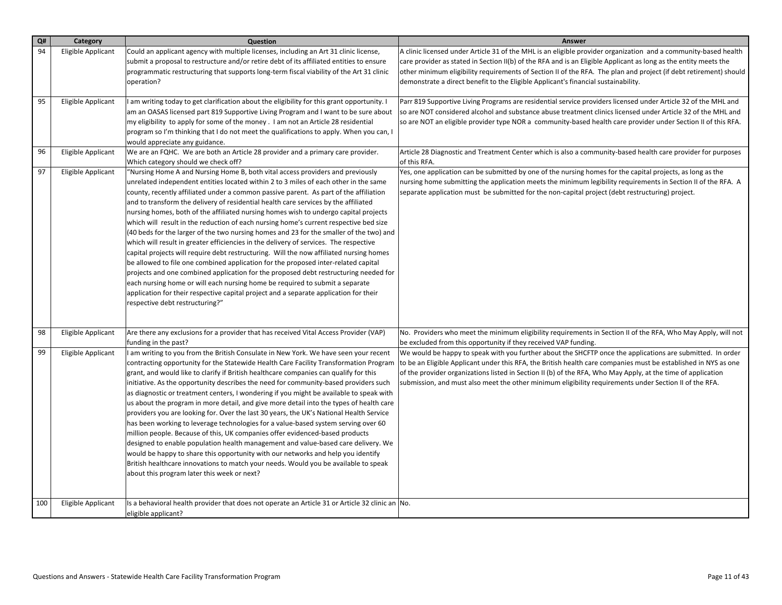| Q#  | Category                  | Question                                                                                                                                                                                                                                                                                                                                                                                                                                                                                                                                                                                                                                                                                                                                                                                                                                                                                                                                                                                                                                                                                                                                                                                                         | Answer                                                                                                                                                                                                                                                                                                                                                                                                                                                  |
|-----|---------------------------|------------------------------------------------------------------------------------------------------------------------------------------------------------------------------------------------------------------------------------------------------------------------------------------------------------------------------------------------------------------------------------------------------------------------------------------------------------------------------------------------------------------------------------------------------------------------------------------------------------------------------------------------------------------------------------------------------------------------------------------------------------------------------------------------------------------------------------------------------------------------------------------------------------------------------------------------------------------------------------------------------------------------------------------------------------------------------------------------------------------------------------------------------------------------------------------------------------------|---------------------------------------------------------------------------------------------------------------------------------------------------------------------------------------------------------------------------------------------------------------------------------------------------------------------------------------------------------------------------------------------------------------------------------------------------------|
| 94  | <b>Eligible Applicant</b> | Could an applicant agency with multiple licenses, including an Art 31 clinic license,<br>submit a proposal to restructure and/or retire debt of its affiliated entities to ensure<br>programmatic restructuring that supports long-term fiscal viability of the Art 31 clinic<br>operation?                                                                                                                                                                                                                                                                                                                                                                                                                                                                                                                                                                                                                                                                                                                                                                                                                                                                                                                      | A clinic licensed under Article 31 of the MHL is an eligible provider organization and a community-based health<br>care provider as stated in Section II(b) of the RFA and is an Eligible Applicant as long as the entity meets the<br>other minimum eligibility requirements of Section II of the RFA. The plan and project (if debt retirement) should<br>demonstrate a direct benefit to the Eligible Applicant's financial sustainability.          |
| 95  | Eligible Applicant        | I am writing today to get clarification about the eligibility for this grant opportunity. I<br>am an OASAS licensed part 819 Supportive Living Program and I want to be sure about<br>my eligibility to apply for some of the money . I am not an Article 28 residential<br>program so I'm thinking that I do not meet the qualifications to apply. When you can, I<br>would appreciate any guidance.                                                                                                                                                                                                                                                                                                                                                                                                                                                                                                                                                                                                                                                                                                                                                                                                            | Parr 819 Supportive Living Programs are residential service providers licensed under Article 32 of the MHL and<br>so are NOT considered alcohol and substance abuse treatment clinics licensed under Article 32 of the MHL and<br>so are NOT an eligible provider type NOR a community-based health care provider under Section II of this RFA.                                                                                                         |
| 96  | Eligible Applicant        | We are an FQHC. We are both an Article 28 provider and a primary care provider.<br>Which category should we check off?                                                                                                                                                                                                                                                                                                                                                                                                                                                                                                                                                                                                                                                                                                                                                                                                                                                                                                                                                                                                                                                                                           | Article 28 Diagnostic and Treatment Center which is also a community-based health care provider for purposes<br>of this RFA.                                                                                                                                                                                                                                                                                                                            |
| 97  | <b>Eligible Applicant</b> | "Nursing Home A and Nursing Home B, both vital access providers and previously<br>unrelated independent entities located within 2 to 3 miles of each other in the same<br>county, recently affiliated under a common passive parent. As part of the affiliation<br>and to transform the delivery of residential health care services by the affiliated<br>nursing homes, both of the affiliated nursing homes wish to undergo capital projects<br>which will result in the reduction of each nursing home's current respective bed size<br>(40 beds for the larger of the two nursing homes and 23 for the smaller of the two) and<br>which will result in greater efficiencies in the delivery of services. The respective<br>capital projects will require debt restructuring. Will the now affiliated nursing homes<br>be allowed to file one combined application for the proposed inter-related capital<br>projects and one combined application for the proposed debt restructuring needed for<br>each nursing home or will each nursing home be required to submit a separate<br>application for their respective capital project and a separate application for their<br>respective debt restructuring?" | Yes, one application can be submitted by one of the nursing homes for the capital projects, as long as the<br>nursing home submitting the application meets the minimum legibility requirements in Section II of the RFA. A<br>separate application must be submitted for the non-capital project (debt restructuring) project.                                                                                                                         |
| 98  | Eligible Applicant        | Are there any exclusions for a provider that has received Vital Access Provider (VAP)<br>funding in the past?                                                                                                                                                                                                                                                                                                                                                                                                                                                                                                                                                                                                                                                                                                                                                                                                                                                                                                                                                                                                                                                                                                    | No. Providers who meet the minimum eligibility requirements in Section II of the RFA, Who May Apply, will not<br>be excluded from this opportunity if they received VAP funding.                                                                                                                                                                                                                                                                        |
| 99  | Eligible Applicant        | I am writing to you from the British Consulate in New York. We have seen your recent<br>contracting opportunity for the Statewide Health Care Facility Transformation Program<br>grant, and would like to clarify if British healthcare companies can qualify for this<br>initiative. As the opportunity describes the need for community-based providers such<br>as diagnostic or treatment centers, I wondering if you might be available to speak with<br>us about the program in more detail, and give more detail into the types of health care<br>providers you are looking for. Over the last 30 years, the UK's National Health Service<br>has been working to leverage technologies for a value-based system serving over 60<br>million people. Because of this, UK companies offer evidenced-based products<br>designed to enable population health management and value-based care delivery. We<br>would be happy to share this opportunity with our networks and help you identify<br>British healthcare innovations to match your needs. Would you be available to speak<br>about this program later this week or next?                                                                             | We would be happy to speak with you further about the SHCFTP once the applications are submitted. In order<br>to be an Eligible Applicant under this RFA, the British health care companies must be established in NYS as one<br>of the provider organizations listed in Section II (b) of the RFA, Who May Apply, at the time of application<br>submission, and must also meet the other minimum eligibility requirements under Section II of the RFA. |
| 100 | Eligible Applicant        | Is a behavioral health provider that does not operate an Article 31 or Article 32 clinic an No.<br>eligible applicant?                                                                                                                                                                                                                                                                                                                                                                                                                                                                                                                                                                                                                                                                                                                                                                                                                                                                                                                                                                                                                                                                                           |                                                                                                                                                                                                                                                                                                                                                                                                                                                         |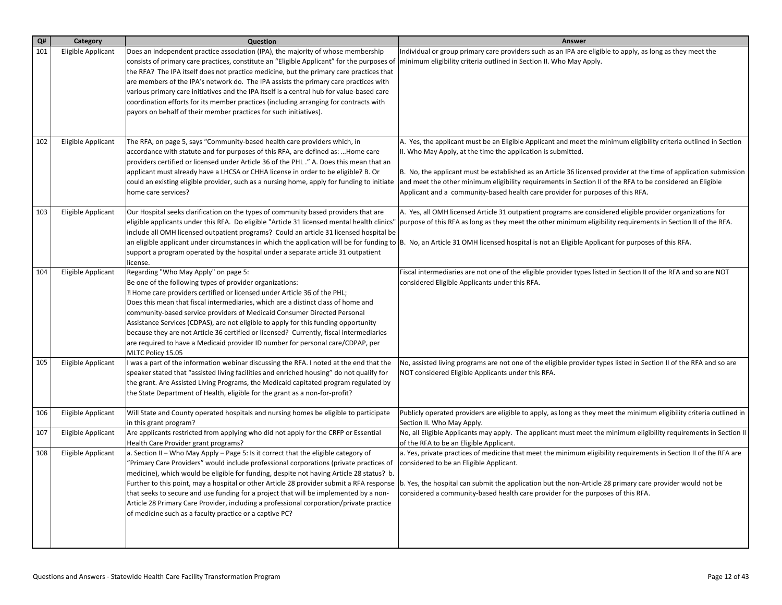| Q#  | Category           | Question                                                                                                                                                                                                                                                                                                                                                                                                                                                                                                                                                                                                                                       | Answer                                                                                                                                                                                                                                                                                                                                                                                                                                                                                                |
|-----|--------------------|------------------------------------------------------------------------------------------------------------------------------------------------------------------------------------------------------------------------------------------------------------------------------------------------------------------------------------------------------------------------------------------------------------------------------------------------------------------------------------------------------------------------------------------------------------------------------------------------------------------------------------------------|-------------------------------------------------------------------------------------------------------------------------------------------------------------------------------------------------------------------------------------------------------------------------------------------------------------------------------------------------------------------------------------------------------------------------------------------------------------------------------------------------------|
| 101 | Eligible Applicant | Does an independent practice association (IPA), the majority of whose membership<br>consists of primary care practices, constitute an "Eligible Applicant" for the purposes of<br>the RFA? The IPA itself does not practice medicine, but the primary care practices that<br>are members of the IPA's network do. The IPA assists the primary care practices with<br>various primary care initiatives and the IPA itself is a central hub for value-based care<br>coordination efforts for its member practices (including arranging for contracts with<br>payors on behalf of their member practices for such initiatives).                   | Individual or group primary care providers such as an IPA are eligible to apply, as long as they meet the<br>minimum eligibility criteria outlined in Section II. Who May Apply.                                                                                                                                                                                                                                                                                                                      |
| 102 | Eligible Applicant | The RFA, on page 5, says "Community-based health care providers which, in<br>accordance with statute and for purposes of this RFA, are defined as:  Home care<br>providers certified or licensed under Article 36 of the PHL." A. Does this mean that an<br>applicant must already have a LHCSA or CHHA license in order to be eligible? B. Or<br>could an existing eligible provider, such as a nursing home, apply for funding to initiate<br>home care services?                                                                                                                                                                            | A. Yes, the applicant must be an Eligible Applicant and meet the minimum eligibility criteria outlined in Section<br>II. Who May Apply, at the time the application is submitted.<br>B. No, the applicant must be established as an Article 36 licensed provider at the time of application submission<br>and meet the other minimum eligibility requirements in Section II of the RFA to be considered an Eligible<br>Applicant and a community-based health care provider for purposes of this RFA. |
| 103 | Eligible Applicant | Our Hospital seeks clarification on the types of community based providers that are<br>eligible applicants under this RFA. Do eligible "Article 31 licensed mental health clinics"<br>include all OMH licensed outpatient programs? Could an article 31 licensed hospital be<br>support a program operated by the hospital under a separate article 31 outpatient<br>license.                                                                                                                                                                                                                                                                  | A. Yes, all OMH licensed Article 31 outpatient programs are considered eligible provider organizations for<br>purpose of this RFA as long as they meet the other minimum eligibility requirements in Section II of the RFA.<br>an eligible applicant under circumstances in which the application will be for funding to  B. No, an Article 31 OMH licensed hospital is not an Eligible Applicant for purposes of this RFA.                                                                           |
| 104 | Eligible Applicant | Regarding "Who May Apply" on page 5:<br>Be one of the following types of provider organizations:<br><b>E</b> Home care providers certified or licensed under Article 36 of the PHL;<br>Does this mean that fiscal intermediaries, which are a distinct class of home and<br>community-based service providers of Medicaid Consumer Directed Personal<br>Assistance Services (CDPAS), are not eligible to apply for this funding opportunity<br>because they are not Article 36 certified or licensed? Currently, fiscal intermediaries<br>are required to have a Medicaid provider ID number for personal care/CDPAP, per<br>MLTC Policy 15.05 | Fiscal intermediaries are not one of the eligible provider types listed in Section II of the RFA and so are NOT<br>considered Eligible Applicants under this RFA.                                                                                                                                                                                                                                                                                                                                     |
| 105 | Eligible Applicant | I was a part of the information webinar discussing the RFA. I noted at the end that the<br>speaker stated that "assisted living facilities and enriched housing" do not qualify for<br>the grant. Are Assisted Living Programs, the Medicaid capitated program regulated by<br>the State Department of Health, eligible for the grant as a non-for-profit?                                                                                                                                                                                                                                                                                     | No, assisted living programs are not one of the eligible provider types listed in Section II of the RFA and so are<br>NOT considered Eligible Applicants under this RFA.                                                                                                                                                                                                                                                                                                                              |
| 106 | Eligible Applicant | Will State and County operated hospitals and nursing homes be eligible to participate<br>in this grant program?                                                                                                                                                                                                                                                                                                                                                                                                                                                                                                                                | Publicly operated providers are eligible to apply, as long as they meet the minimum eligibility criteria outlined in<br>Section II. Who May Apply.                                                                                                                                                                                                                                                                                                                                                    |
| 107 | Eligible Applicant | Are applicants restricted from applying who did not apply for the CRFP or Essential<br>Health Care Provider grant programs?                                                                                                                                                                                                                                                                                                                                                                                                                                                                                                                    | No, all Eligible Applicants may apply. The applicant must meet the minimum eligibility requirements in Section II<br>of the RFA to be an Eligible Applicant.                                                                                                                                                                                                                                                                                                                                          |
| 108 | Eligible Applicant | a. Section II – Who May Apply – Page 5: Is it correct that the eligible category of<br>"Primary Care Providers" would include professional corporations (private practices of<br>medicine), which would be eligible for funding, despite not having Article 28 status? b.<br>Further to this point, may a hospital or other Article 28 provider submit a RFA response<br>that seeks to secure and use funding for a project that will be implemented by a non-<br>Article 28 Primary Care Provider, including a professional corporation/private practice<br>of medicine such as a faculty practice or a captive PC?                           | a. Yes, private practices of medicine that meet the minimum eligibility requirements in Section II of the RFA are<br>considered to be an Eligible Applicant.<br>b. Yes, the hospital can submit the application but the non-Article 28 primary care provider would not be<br>considered a community-based health care provider for the purposes of this RFA.                                                                                                                                          |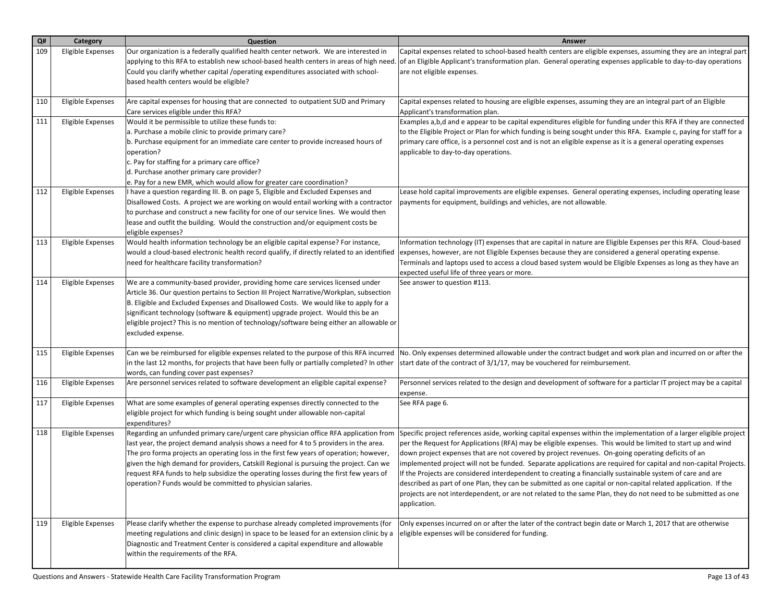| Q#  | Category                 | Question                                                                                                                                                                        | <b>Answer</b>                                                                                                                                                                                                                        |
|-----|--------------------------|---------------------------------------------------------------------------------------------------------------------------------------------------------------------------------|--------------------------------------------------------------------------------------------------------------------------------------------------------------------------------------------------------------------------------------|
| 109 | <b>Eligible Expenses</b> | Our organization is a federally qualified health center network. We are interested in                                                                                           | Capital expenses related to school-based health centers are eligible expenses, assuming they are an integral part                                                                                                                    |
|     |                          | applying to this RFA to establish new school-based health centers in areas of high need.                                                                                        | of an Eligible Applicant's transformation plan. General operating expenses applicable to day-to-day operations                                                                                                                       |
|     |                          | Could you clarify whether capital /operating expenditures associated with school-                                                                                               | are not eligible expenses.                                                                                                                                                                                                           |
|     |                          | based health centers would be eligible?                                                                                                                                         |                                                                                                                                                                                                                                      |
|     |                          |                                                                                                                                                                                 |                                                                                                                                                                                                                                      |
| 110 | <b>Eligible Expenses</b> | Are capital expenses for housing that are connected to outpatient SUD and Primary                                                                                               | Capital expenses related to housing are eligible expenses, assuming they are an integral part of an Eligible                                                                                                                         |
|     |                          | Care services eligible under this RFA?                                                                                                                                          | Applicant's transformation plan.                                                                                                                                                                                                     |
| 111 | <b>Eligible Expenses</b> | Would it be permissible to utilize these funds to:                                                                                                                              | Examples a,b,d and e appear to be capital expenditures eligible for funding under this RFA if they are connected                                                                                                                     |
|     |                          | a. Purchase a mobile clinic to provide primary care?                                                                                                                            | to the Eligible Project or Plan for which funding is being sought under this RFA. Example c, paying for staff for a<br>primary care office, is a personnel cost and is not an eligible expense as it is a general operating expenses |
|     |                          | b. Purchase equipment for an immediate care center to provide increased hours of<br>operation?                                                                                  | applicable to day-to-day operations.                                                                                                                                                                                                 |
|     |                          | c. Pay for staffing for a primary care office?                                                                                                                                  |                                                                                                                                                                                                                                      |
|     |                          | d. Purchase another primary care provider?                                                                                                                                      |                                                                                                                                                                                                                                      |
|     |                          | e. Pay for a new EMR, which would allow for greater care coordination?                                                                                                          |                                                                                                                                                                                                                                      |
| 112 | <b>Eligible Expenses</b> | I have a question regarding III. B. on page 5, Eligible and Excluded Expenses and                                                                                               | Lease hold capital improvements are eligible expenses. General operating expenses, including operating lease                                                                                                                         |
|     |                          | Disallowed Costs. A project we are working on would entail working with a contractor                                                                                            | payments for equipment, buildings and vehicles, are not allowable.                                                                                                                                                                   |
|     |                          | to purchase and construct a new facility for one of our service lines. We would then                                                                                            |                                                                                                                                                                                                                                      |
|     |                          | lease and outfit the building. Would the construction and/or equipment costs be                                                                                                 |                                                                                                                                                                                                                                      |
|     |                          | eligible expenses?                                                                                                                                                              |                                                                                                                                                                                                                                      |
| 113 | <b>Eligible Expenses</b> | Would health information technology be an eligible capital expense? For instance,                                                                                               | Information technology (IT) expenses that are capital in nature are Eligible Expenses per this RFA. Cloud-based                                                                                                                      |
|     |                          | would a cloud-based electronic health record qualify, if directly related to an identified                                                                                      | expenses, however, are not Eligible Expenses because they are considered a general operating expense.                                                                                                                                |
|     |                          | need for healthcare facility transformation?                                                                                                                                    | Terminals and laptops used to access a cloud based system would be Eligible Expenses as long as they have an                                                                                                                         |
|     |                          |                                                                                                                                                                                 | expected useful life of three years or more.                                                                                                                                                                                         |
| 114 | <b>Eligible Expenses</b> | We are a community-based provider, providing home care services licensed under                                                                                                  | See answer to question #113.                                                                                                                                                                                                         |
|     |                          | Article 36. Our question pertains to Section III Project Narrative/Workplan, subsection                                                                                         |                                                                                                                                                                                                                                      |
|     |                          | B. Eligible and Excluded Expenses and Disallowed Costs. We would like to apply for a                                                                                            |                                                                                                                                                                                                                                      |
|     |                          | significant technology (software & equipment) upgrade project. Would this be an                                                                                                 |                                                                                                                                                                                                                                      |
|     |                          | eligible project? This is no mention of technology/software being either an allowable or<br>excluded expense.                                                                   |                                                                                                                                                                                                                                      |
|     |                          |                                                                                                                                                                                 |                                                                                                                                                                                                                                      |
| 115 | <b>Eligible Expenses</b> | Can we be reimbursed for eligible expenses related to the purpose of this RFA incurred                                                                                          | No. Only expenses determined allowable under the contract budget and work plan and incurred on or after the                                                                                                                          |
|     |                          | in the last 12 months, for projects that have been fully or partially completed? In other                                                                                       | start date of the contract of 3/1/17, may be vouchered for reimbursement.                                                                                                                                                            |
|     |                          | words, can funding cover past expenses?                                                                                                                                         |                                                                                                                                                                                                                                      |
| 116 | <b>Eligible Expenses</b> | Are personnel services related to software development an eligible capital expense?                                                                                             | Personnel services related to the design and development of software for a particlar IT project may be a capital                                                                                                                     |
|     |                          |                                                                                                                                                                                 | expense.                                                                                                                                                                                                                             |
| 117 | Eligible Expenses        | What are some examples of general operating expenses directly connected to the                                                                                                  | See RFA page 6.                                                                                                                                                                                                                      |
|     |                          | eligible project for which funding is being sought under allowable non-capital                                                                                                  |                                                                                                                                                                                                                                      |
|     |                          | expenditures?                                                                                                                                                                   |                                                                                                                                                                                                                                      |
| 118 | Eligible Expenses        | Regarding an unfunded primary care/urgent care physician office RFA application from                                                                                            | Specific project references aside, working capital expenses within the implementation of a larger eligible project                                                                                                                   |
|     |                          | last year, the project demand analysis shows a need for 4 to 5 providers in the area.<br>The pro forma projects an operating loss in the first few years of operation; however, | per the Request for Applications (RFA) may be eligible expenses. This would be limited to start up and wind<br>down project expenses that are not covered by project revenues. On-going operating deficits of an                     |
|     |                          | given the high demand for providers, Catskill Regional is pursuing the project. Can we                                                                                          | implemented project will not be funded. Separate applications are required for capital and non-capital Projects.                                                                                                                     |
|     |                          | request RFA funds to help subsidize the operating losses during the first few years of                                                                                          | If the Projects are considered interdependent to creating a financially sustainable system of care and are                                                                                                                           |
|     |                          | operation? Funds would be committed to physician salaries.                                                                                                                      | described as part of one Plan, they can be submitted as one capital or non-capital related application. If the                                                                                                                       |
|     |                          |                                                                                                                                                                                 | projects are not interdependent, or are not related to the same Plan, they do not need to be submitted as one                                                                                                                        |
|     |                          |                                                                                                                                                                                 | application.                                                                                                                                                                                                                         |
|     |                          |                                                                                                                                                                                 |                                                                                                                                                                                                                                      |
| 119 | <b>Eligible Expenses</b> | Please clarify whether the expense to purchase already completed improvements (for                                                                                              | Only expenses incurred on or after the later of the contract begin date or March 1, 2017 that are otherwise                                                                                                                          |
|     |                          | meeting regulations and clinic design) in space to be leased for an extension clinic by a                                                                                       | eligible expenses will be considered for funding.                                                                                                                                                                                    |
|     |                          | Diagnostic and Treatment Center is considered a capital expenditure and allowable                                                                                               |                                                                                                                                                                                                                                      |
|     |                          | within the requirements of the RFA.                                                                                                                                             |                                                                                                                                                                                                                                      |
|     |                          |                                                                                                                                                                                 |                                                                                                                                                                                                                                      |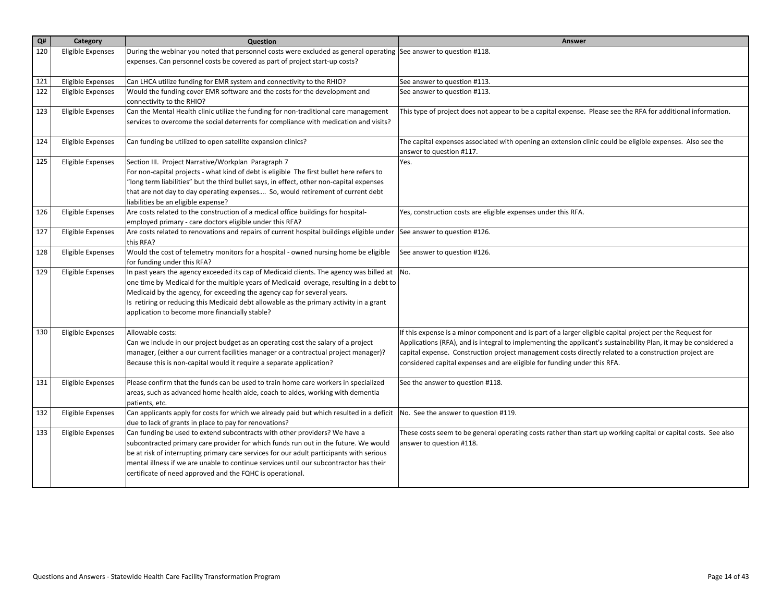| Q#  | Category                 | Question                                                                                                                                      | <b>Answer</b>                                                                                                   |
|-----|--------------------------|-----------------------------------------------------------------------------------------------------------------------------------------------|-----------------------------------------------------------------------------------------------------------------|
| 120 | <b>Eligible Expenses</b> | During the webinar you noted that personnel costs were excluded as general operating See answer to question #118.                             |                                                                                                                 |
|     |                          | expenses. Can personnel costs be covered as part of project start-up costs?                                                                   |                                                                                                                 |
| 121 | Eligible Expenses        | Can LHCA utilize funding for EMR system and connectivity to the RHIO?                                                                         | See answer to question #113.                                                                                    |
| 122 | <b>Eligible Expenses</b> | Would the funding cover EMR software and the costs for the development and                                                                    | See answer to question #113.                                                                                    |
|     |                          | connectivity to the RHIO?                                                                                                                     |                                                                                                                 |
| 123 | <b>Eligible Expenses</b> | Can the Mental Health clinic utilize the funding for non-traditional care management                                                          | This type of project does not appear to be a capital expense. Please see the RFA for additional information.    |
|     |                          | services to overcome the social deterrents for compliance with medication and visits?                                                         |                                                                                                                 |
| 124 | Eligible Expenses        | Can funding be utilized to open satellite expansion clinics?                                                                                  | The capital expenses associated with opening an extension clinic could be eligible expenses. Also see the       |
|     |                          |                                                                                                                                               | answer to question #117.                                                                                        |
| 125 | <b>Eligible Expenses</b> | Section III. Project Narrative/Workplan Paragraph 7                                                                                           | Yes.                                                                                                            |
|     |                          | For non-capital projects - what kind of debt is eligible The first bullet here refers to                                                      |                                                                                                                 |
|     |                          | "long term liabilities" but the third bullet says, in effect, other non-capital expenses                                                      |                                                                                                                 |
|     |                          | that are not day to day operating expenses So, would retirement of current debt                                                               |                                                                                                                 |
|     |                          | liabilities be an eligible expense?                                                                                                           |                                                                                                                 |
| 126 | <b>Eligible Expenses</b> | Are costs related to the construction of a medical office buildings for hospital-<br>employed primary - care doctors eligible under this RFA? | Yes, construction costs are eligible expenses under this RFA.                                                   |
| 127 | <b>Eligible Expenses</b> | Are costs related to renovations and repairs of current hospital buildings eligible under                                                     | See answer to question #126.                                                                                    |
|     |                          | this RFA?                                                                                                                                     |                                                                                                                 |
| 128 | <b>Eligible Expenses</b> | Would the cost of telemetry monitors for a hospital - owned nursing home be eligible                                                          | See answer to question #126.                                                                                    |
|     |                          | for funding under this RFA?                                                                                                                   |                                                                                                                 |
| 129 | <b>Eligible Expenses</b> | In past years the agency exceeded its cap of Medicaid clients. The agency was billed at $\vert$ No.                                           |                                                                                                                 |
|     |                          | one time by Medicaid for the multiple years of Medicaid overage, resulting in a debt to                                                       |                                                                                                                 |
|     |                          | Medicaid by the agency, for exceeding the agency cap for several years.                                                                       |                                                                                                                 |
|     |                          | Is retiring or reducing this Medicaid debt allowable as the primary activity in a grant<br>application to become more financially stable?     |                                                                                                                 |
|     |                          |                                                                                                                                               |                                                                                                                 |
| 130 | Eligible Expenses        | Allowable costs:                                                                                                                              | If this expense is a minor component and is part of a larger eligible capital project per the Request for       |
|     |                          | Can we include in our project budget as an operating cost the salary of a project                                                             | Applications (RFA), and is integral to implementing the applicant's sustainability Plan, it may be considered a |
|     |                          | manager, (either a our current facilities manager or a contractual project manager)?                                                          | capital expense. Construction project management costs directly related to a construction project are           |
|     |                          | Because this is non-capital would it require a separate application?                                                                          | considered capital expenses and are eligible for funding under this RFA.                                        |
| 131 | Eligible Expenses        | Please confirm that the funds can be used to train home care workers in specialized                                                           | See the answer to question #118.                                                                                |
|     |                          | areas, such as advanced home health aide, coach to aides, working with dementia                                                               |                                                                                                                 |
|     |                          | patients, etc.                                                                                                                                |                                                                                                                 |
| 132 | <b>Eligible Expenses</b> | Can applicants apply for costs for which we already paid but which resulted in a deficit                                                      | No. See the answer to question #119.                                                                            |
|     |                          | due to lack of grants in place to pay for renovations?                                                                                        |                                                                                                                 |
| 133 | <b>Eligible Expenses</b> | Can funding be used to extend subcontracts with other providers? We have a                                                                    | These costs seem to be general operating costs rather than start up working capital or capital costs. See also  |
|     |                          | subcontracted primary care provider for which funds run out in the future. We would                                                           | answer to question #118.                                                                                        |
|     |                          | be at risk of interrupting primary care services for our adult participants with serious                                                      |                                                                                                                 |
|     |                          | mental illness if we are unable to continue services until our subcontractor has their                                                        |                                                                                                                 |
|     |                          | certificate of need approved and the FQHC is operational.                                                                                     |                                                                                                                 |
|     |                          |                                                                                                                                               |                                                                                                                 |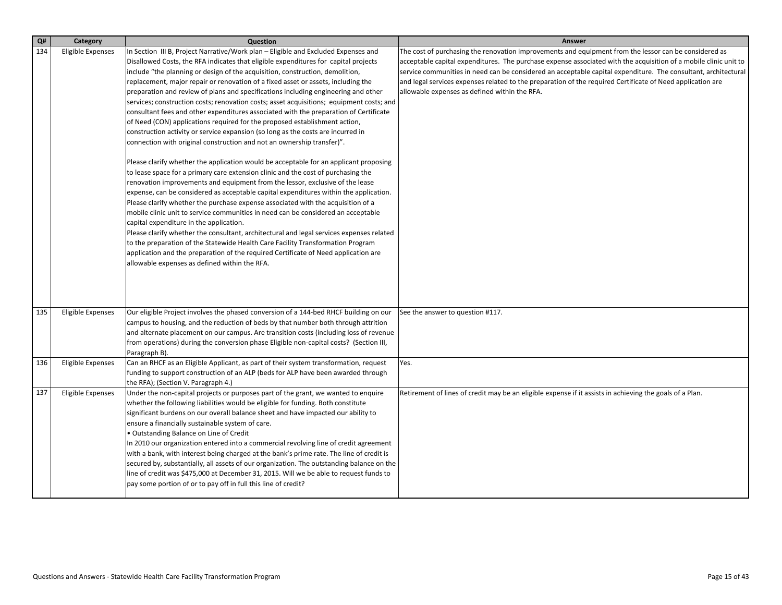| Q#  | Category                 | Question                                                                                  | Answer                                                                                                           |
|-----|--------------------------|-------------------------------------------------------------------------------------------|------------------------------------------------------------------------------------------------------------------|
| 134 | Eligible Expenses        | In Section III B, Project Narrative/Work plan – Eligible and Excluded Expenses and        | The cost of purchasing the renovation improvements and equipment from the lessor can be considered as            |
|     |                          | Disallowed Costs, the RFA indicates that eligible expenditures for capital projects       | acceptable capital expenditures. The purchase expense associated with the acquisition of a mobile clinic unit to |
|     |                          | include "the planning or design of the acquisition, construction, demolition,             | service communities in need can be considered an acceptable capital expenditure. The consultant, architectural   |
|     |                          | replacement, major repair or renovation of a fixed asset or assets, including the         | and legal services expenses related to the preparation of the required Certificate of Need application are       |
|     |                          | preparation and review of plans and specifications including engineering and other        | allowable expenses as defined within the RFA.                                                                    |
|     |                          | services; construction costs; renovation costs; asset acquisitions; equipment costs; and  |                                                                                                                  |
|     |                          | consultant fees and other expenditures associated with the preparation of Certificate     |                                                                                                                  |
|     |                          | of Need (CON) applications required for the proposed establishment action,                |                                                                                                                  |
|     |                          | construction activity or service expansion (so long as the costs are incurred in          |                                                                                                                  |
|     |                          | connection with original construction and not an ownership transfer)".                    |                                                                                                                  |
|     |                          | Please clarify whether the application would be acceptable for an applicant proposing     |                                                                                                                  |
|     |                          | to lease space for a primary care extension clinic and the cost of purchasing the         |                                                                                                                  |
|     |                          | renovation improvements and equipment from the lessor, exclusive of the lease             |                                                                                                                  |
|     |                          | expense, can be considered as acceptable capital expenditures within the application.     |                                                                                                                  |
|     |                          | Please clarify whether the purchase expense associated with the acquisition of a          |                                                                                                                  |
|     |                          | mobile clinic unit to service communities in need can be considered an acceptable         |                                                                                                                  |
|     |                          | capital expenditure in the application.                                                   |                                                                                                                  |
|     |                          | Please clarify whether the consultant, architectural and legal services expenses related  |                                                                                                                  |
|     |                          | to the preparation of the Statewide Health Care Facility Transformation Program           |                                                                                                                  |
|     |                          | application and the preparation of the required Certificate of Need application are       |                                                                                                                  |
|     |                          | allowable expenses as defined within the RFA.                                             |                                                                                                                  |
|     |                          |                                                                                           |                                                                                                                  |
|     |                          |                                                                                           |                                                                                                                  |
|     |                          |                                                                                           |                                                                                                                  |
| 135 | Eligible Expenses        | Our eligible Project involves the phased conversion of a 144-bed RHCF building on our     | See the answer to question #117.                                                                                 |
|     |                          | campus to housing, and the reduction of beds by that number both through attrition        |                                                                                                                  |
|     |                          | and alternate placement on our campus. Are transition costs (including loss of revenue    |                                                                                                                  |
|     |                          | from operations) during the conversion phase Eligible non-capital costs? (Section III,    |                                                                                                                  |
|     |                          | Paragraph B).                                                                             |                                                                                                                  |
| 136 | <b>Eligible Expenses</b> | Can an RHCF as an Eligible Applicant, as part of their system transformation, request     | Yes.                                                                                                             |
|     |                          | funding to support construction of an ALP (beds for ALP have been awarded through         |                                                                                                                  |
|     |                          | the RFA); (Section V. Paragraph 4.)                                                       |                                                                                                                  |
| 137 | <b>Eligible Expenses</b> | Under the non-capital projects or purposes part of the grant, we wanted to enquire        | Retirement of lines of credit may be an eligible expense if it assists in achieving the goals of a Plan.         |
|     |                          | whether the following liabilities would be eligible for funding. Both constitute          |                                                                                                                  |
|     |                          | significant burdens on our overall balance sheet and have impacted our ability to         |                                                                                                                  |
|     |                          | ensure a financially sustainable system of care.                                          |                                                                                                                  |
|     |                          | • Outstanding Balance on Line of Credit                                                   |                                                                                                                  |
|     |                          | In 2010 our organization entered into a commercial revolving line of credit agreement     |                                                                                                                  |
|     |                          | with a bank, with interest being charged at the bank's prime rate. The line of credit is  |                                                                                                                  |
|     |                          | secured by, substantially, all assets of our organization. The outstanding balance on the |                                                                                                                  |
|     |                          | line of credit was \$475,000 at December 31, 2015. Will we be able to request funds to    |                                                                                                                  |
|     |                          | pay some portion of or to pay off in full this line of credit?                            |                                                                                                                  |
|     |                          |                                                                                           |                                                                                                                  |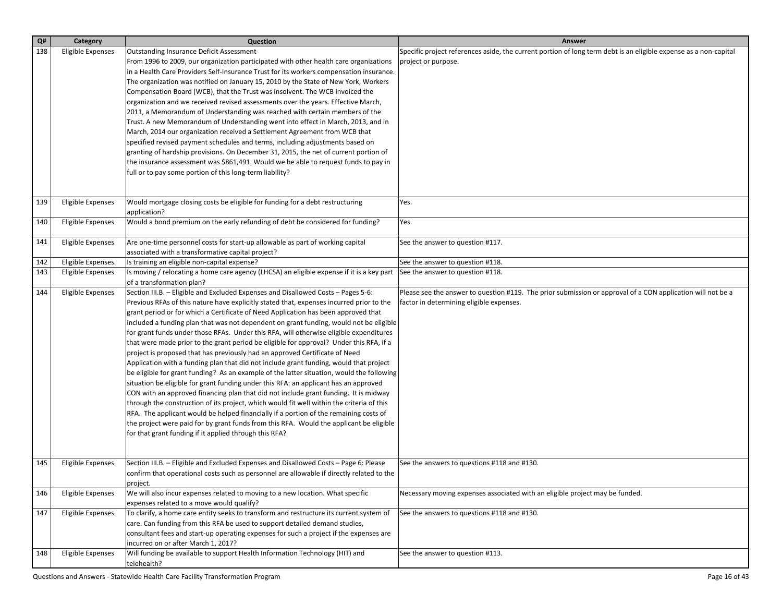| $\mathbf{Q}$ # | Category                 | Question                                                                                                                                                                          | Answer                                                                                                           |
|----------------|--------------------------|-----------------------------------------------------------------------------------------------------------------------------------------------------------------------------------|------------------------------------------------------------------------------------------------------------------|
| 138            | Eligible Expenses        | <b>Outstanding Insurance Deficit Assessment</b>                                                                                                                                   | Specific project references aside, the current portion of long term debt is an eligible expense as a non-capital |
|                |                          | From 1996 to 2009, our organization participated with other health care organizations                                                                                             | project or purpose.                                                                                              |
|                |                          | in a Health Care Providers Self-Insurance Trust for its workers compensation insurance.                                                                                           |                                                                                                                  |
|                |                          | The organization was notified on January 15, 2010 by the State of New York, Workers                                                                                               |                                                                                                                  |
|                |                          | Compensation Board (WCB), that the Trust was insolvent. The WCB invoiced the                                                                                                      |                                                                                                                  |
|                |                          | organization and we received revised assessments over the years. Effective March,                                                                                                 |                                                                                                                  |
|                |                          | 2011, a Memorandum of Understanding was reached with certain members of the                                                                                                       |                                                                                                                  |
|                |                          | Trust. A new Memorandum of Understanding went into effect in March, 2013, and in                                                                                                  |                                                                                                                  |
|                |                          | March, 2014 our organization received a Settlement Agreement from WCB that                                                                                                        |                                                                                                                  |
|                |                          | specified revised payment schedules and terms, including adjustments based on                                                                                                     |                                                                                                                  |
|                |                          | granting of hardship provisions. On December 31, 2015, the net of current portion of                                                                                              |                                                                                                                  |
|                |                          | the insurance assessment was \$861,491. Would we be able to request funds to pay in                                                                                               |                                                                                                                  |
|                |                          | full or to pay some portion of this long-term liability?                                                                                                                          |                                                                                                                  |
|                |                          |                                                                                                                                                                                   |                                                                                                                  |
|                |                          |                                                                                                                                                                                   |                                                                                                                  |
| 139            | <b>Eligible Expenses</b> | Would mortgage closing costs be eligible for funding for a debt restructuring                                                                                                     | Yes.                                                                                                             |
|                |                          | application?                                                                                                                                                                      |                                                                                                                  |
| 140            | Eligible Expenses        | Would a bond premium on the early refunding of debt be considered for funding?                                                                                                    | Yes.                                                                                                             |
|                |                          |                                                                                                                                                                                   |                                                                                                                  |
| 141            | Eligible Expenses        | Are one-time personnel costs for start-up allowable as part of working capital                                                                                                    | See the answer to question #117.                                                                                 |
|                |                          | associated with a transformative capital project?                                                                                                                                 |                                                                                                                  |
| 142            | <b>Eligible Expenses</b> | Is training an eligible non-capital expense?                                                                                                                                      | See the answer to question #118.                                                                                 |
| 143            | Eligible Expenses        | Is moving / relocating a home care agency (LHCSA) an eligible expense if it is a key part                                                                                         | See the answer to question #118.                                                                                 |
|                |                          | of a transformation plan?                                                                                                                                                         |                                                                                                                  |
| 144            | Eligible Expenses        | Section III.B. - Eligible and Excluded Expenses and Disallowed Costs - Pages 5-6:                                                                                                 | Please see the answer to question #119. The prior submission or approval of a CON application will not be a      |
|                |                          | Previous RFAs of this nature have explicitly stated that, expenses incurred prior to the                                                                                          | factor in determining eligible expenses.                                                                         |
|                |                          | grant period or for which a Certificate of Need Application has been approved that                                                                                                |                                                                                                                  |
|                |                          | included a funding plan that was not dependent on grant funding, would not be eligible                                                                                            |                                                                                                                  |
|                |                          | for grant funds under those RFAs. Under this RFA, will otherwise eligible expenditures                                                                                            |                                                                                                                  |
|                |                          | that were made prior to the grant period be eligible for approval? Under this RFA, if a                                                                                           |                                                                                                                  |
|                |                          | project is proposed that has previously had an approved Certificate of Need                                                                                                       |                                                                                                                  |
|                |                          | Application with a funding plan that did not include grant funding, would that project                                                                                            |                                                                                                                  |
|                |                          | be eligible for grant funding? As an example of the latter situation, would the following<br>situation be eligible for grant funding under this RFA: an applicant has an approved |                                                                                                                  |
|                |                          | CON with an approved financing plan that did not include grant funding. It is midway                                                                                              |                                                                                                                  |
|                |                          | through the construction of its project, which would fit well within the criteria of this                                                                                         |                                                                                                                  |
|                |                          | RFA. The applicant would be helped financially if a portion of the remaining costs of                                                                                             |                                                                                                                  |
|                |                          | the project were paid for by grant funds from this RFA. Would the applicant be eligible                                                                                           |                                                                                                                  |
|                |                          | for that grant funding if it applied through this RFA?                                                                                                                            |                                                                                                                  |
|                |                          |                                                                                                                                                                                   |                                                                                                                  |
|                |                          |                                                                                                                                                                                   |                                                                                                                  |
| 145            | Eligible Expenses        | Section III.B. - Eligible and Excluded Expenses and Disallowed Costs - Page 6: Please                                                                                             | See the answers to questions #118 and #130.                                                                      |
|                |                          | confirm that operational costs such as personnel are allowable if directly related to the                                                                                         |                                                                                                                  |
|                |                          | project.                                                                                                                                                                          |                                                                                                                  |
| 146            | Eligible Expenses        | We will also incur expenses related to moving to a new location. What specific                                                                                                    | Necessary moving expenses associated with an eligible project may be funded.                                     |
|                |                          | expenses related to a move would qualify?                                                                                                                                         |                                                                                                                  |
| 147            | Eligible Expenses        | To clarify, a home care entity seeks to transform and restructure its current system of                                                                                           | See the answers to questions #118 and #130.                                                                      |
|                |                          | care. Can funding from this RFA be used to support detailed demand studies,                                                                                                       |                                                                                                                  |
|                |                          | consultant fees and start-up operating expenses for such a project if the expenses are                                                                                            |                                                                                                                  |
|                |                          | incurred on or after March 1, 2017?                                                                                                                                               |                                                                                                                  |
| 148            | Eligible Expenses        | Will funding be available to support Health Information Technology (HIT) and                                                                                                      | See the answer to question #113.                                                                                 |
|                |                          | telehealth?                                                                                                                                                                       |                                                                                                                  |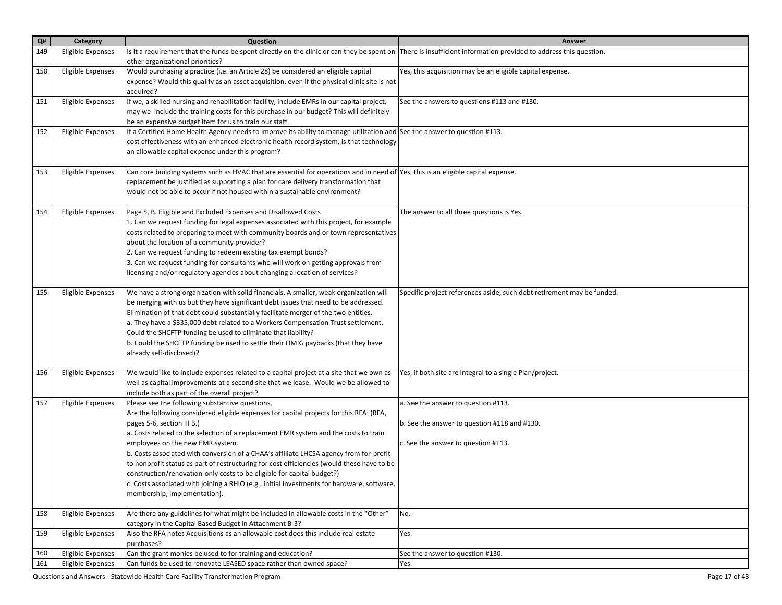| Q#  | Category                 | Question                                                                                                                                                                                                                                                                                                                                                                                                                                                                                                                                                                                                                                                                                             | Answer                                                                                                                     |
|-----|--------------------------|------------------------------------------------------------------------------------------------------------------------------------------------------------------------------------------------------------------------------------------------------------------------------------------------------------------------------------------------------------------------------------------------------------------------------------------------------------------------------------------------------------------------------------------------------------------------------------------------------------------------------------------------------------------------------------------------------|----------------------------------------------------------------------------------------------------------------------------|
| 149 | <b>Eligible Expenses</b> | Its it a requirement that the funds be spent directly on the clinic or can they be spent on There is insufficient information provided to address this question.<br>other organizational priorities?                                                                                                                                                                                                                                                                                                                                                                                                                                                                                                 |                                                                                                                            |
| 150 | <b>Eligible Expenses</b> | Would purchasing a practice (i.e. an Article 28) be considered an eligible capital<br>expense? Would this qualify as an asset acquisition, even if the physical clinic site is not<br>acquired?                                                                                                                                                                                                                                                                                                                                                                                                                                                                                                      | Yes, this acquisition may be an eligible capital expense.                                                                  |
| 151 | <b>Eligible Expenses</b> | If we, a skilled nursing and rehabilitation facility, include EMRs in our capital project,<br>may we include the training costs for this purchase in our budget? This will definitely<br>be an expensive budget item for us to train our staff.                                                                                                                                                                                                                                                                                                                                                                                                                                                      | See the answers to questions #113 and #130.                                                                                |
| 152 | <b>Eligible Expenses</b> | If a Certified Home Health Agency needs to improve its ability to manage utilization and See the answer to question #113.<br>cost effectiveness with an enhanced electronic health record system, is that technology<br>an allowable capital expense under this program?                                                                                                                                                                                                                                                                                                                                                                                                                             |                                                                                                                            |
| 153 | <b>Eligible Expenses</b> | Can core building systems such as HVAC that are essential for operations and in need of Yes, this is an eligible capital expense.<br>replacement be justified as supporting a plan for care delivery transformation that<br>would not be able to occur if not housed within a sustainable environment?                                                                                                                                                                                                                                                                                                                                                                                               |                                                                                                                            |
| 154 | <b>Eligible Expenses</b> | Page 5, B. Eligible and Excluded Expenses and Disallowed Costs<br>1. Can we request funding for legal expenses associated with this project, for example<br>costs related to preparing to meet with community boards and or town representatives<br>about the location of a community provider?<br>2. Can we request funding to redeem existing tax exempt bonds?<br>3. Can we request funding for consultants who will work on getting approvals from<br>licensing and/or regulatory agencies about changing a location of services?                                                                                                                                                                | The answer to all three questions is Yes.                                                                                  |
| 155 | <b>Eligible Expenses</b> | We have a strong organization with solid financials. A smaller, weak organization will<br>be merging with us but they have significant debt issues that need to be addressed.<br>Elimination of that debt could substantially facilitate merger of the two entities.<br>a. They have a \$335,000 debt related to a Workers Compensation Trust settlement.<br>Could the SHCFTP funding be used to eliminate that liability?<br>b. Could the SHCFTP funding be used to settle their OMIG paybacks (that they have<br>already self-disclosed)?                                                                                                                                                          | Specific project references aside, such debt retirement may be funded.                                                     |
| 156 | <b>Eligible Expenses</b> | We would like to include expenses related to a capital project at a site that we own as<br>well as capital improvements at a second site that we lease. Would we be allowed to<br>include both as part of the overall project?                                                                                                                                                                                                                                                                                                                                                                                                                                                                       | Yes, if both site are integral to a single Plan/project.                                                                   |
| 157 | <b>Eligible Expenses</b> | Please see the following substantive questions,<br>Are the following considered eligible expenses for capital projects for this RFA: (RFA,<br>pages 5-6, section III B.)<br>a. Costs related to the selection of a replacement EMR system and the costs to train<br>employees on the new EMR system.<br>b. Costs associated with conversion of a CHAA's affiliate LHCSA agency from for-profit<br>to nonprofit status as part of restructuring for cost efficiencies (would these have to be<br>construction/renovation-only costs to be eligible for capital budget?)<br>c. Costs associated with joining a RHIO (e.g., initial investments for hardware, software,<br>membership, implementation). | a. See the answer to question #113.<br>b. See the answer to question #118 and #130.<br>c. See the answer to question #113. |
| 158 | <b>Eligible Expenses</b> | Are there any guidelines for what might be included in allowable costs in the "Other"<br>category in the Capital Based Budget in Attachment B-3?                                                                                                                                                                                                                                                                                                                                                                                                                                                                                                                                                     | No.                                                                                                                        |
| 159 | <b>Eligible Expenses</b> | Also the RFA notes Acquisitions as an allowable cost does this include real estate<br>purchases?                                                                                                                                                                                                                                                                                                                                                                                                                                                                                                                                                                                                     | Yes.                                                                                                                       |
| 160 | <b>Eligible Expenses</b> | Can the grant monies be used to for training and education?                                                                                                                                                                                                                                                                                                                                                                                                                                                                                                                                                                                                                                          | See the answer to question #130.                                                                                           |
| 161 | Eligible Expenses        | Can funds be used to renovate LEASED space rather than owned space?                                                                                                                                                                                                                                                                                                                                                                                                                                                                                                                                                                                                                                  | Yes.                                                                                                                       |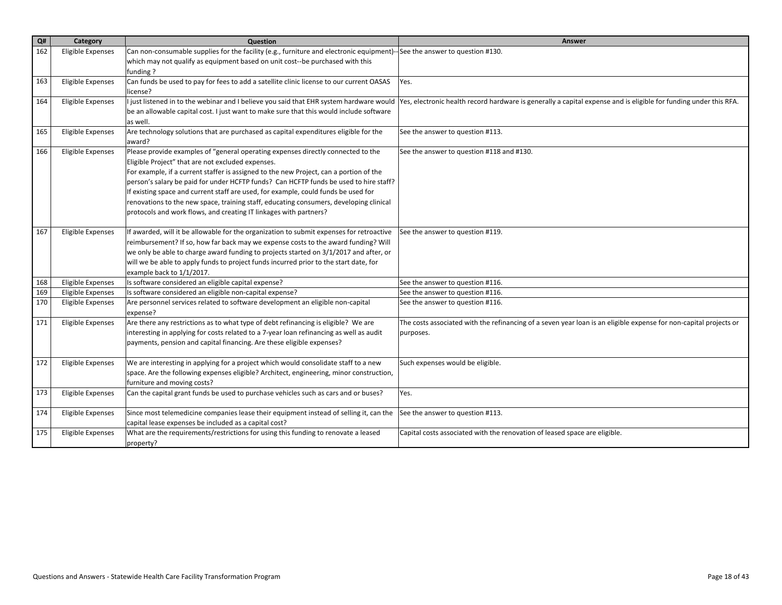| Q#  | Category                 | Question                                                                                                                  | Answer                                                                                                            |
|-----|--------------------------|---------------------------------------------------------------------------------------------------------------------------|-------------------------------------------------------------------------------------------------------------------|
| 162 | Eligible Expenses        | Can non-consumable supplies for the facility (e.g., furniture and electronic equipment)--See the answer to question #130. |                                                                                                                   |
|     |                          | which may not qualify as equipment based on unit cost--be purchased with this                                             |                                                                                                                   |
|     |                          | funding?                                                                                                                  |                                                                                                                   |
| 163 | Eligible Expenses        | Can funds be used to pay for fees to add a satellite clinic license to our current OASAS                                  | Yes.                                                                                                              |
|     |                          | license?                                                                                                                  |                                                                                                                   |
| 164 | Eligible Expenses        | I just listened in to the webinar and I believe you said that EHR system hardware would                                   | Yes, electronic health record hardware is generally a capital expense and is eligible for funding under this RFA. |
|     |                          | be an allowable capital cost. I just want to make sure that this would include software<br>las well.                      |                                                                                                                   |
| 165 | Eligible Expenses        | Are technology solutions that are purchased as capital expenditures eligible for the                                      | See the answer to question #113.                                                                                  |
|     |                          | award?                                                                                                                    |                                                                                                                   |
| 166 | Eligible Expenses        | Please provide examples of "general operating expenses directly connected to the                                          | See the answer to question #118 and #130.                                                                         |
|     |                          | Eligible Project" that are not excluded expenses.                                                                         |                                                                                                                   |
|     |                          | For example, if a current staffer is assigned to the new Project, can a portion of the                                    |                                                                                                                   |
|     |                          | person's salary be paid for under HCFTP funds? Can HCFTP funds be used to hire staff?                                     |                                                                                                                   |
|     |                          | If existing space and current staff are used, for example, could funds be used for                                        |                                                                                                                   |
|     |                          | renovations to the new space, training staff, educating consumers, developing clinical                                    |                                                                                                                   |
|     |                          | protocols and work flows, and creating IT linkages with partners?                                                         |                                                                                                                   |
|     |                          |                                                                                                                           |                                                                                                                   |
| 167 | <b>Eligible Expenses</b> | If awarded, will it be allowable for the organization to submit expenses for retroactive                                  | See the answer to question #119.                                                                                  |
|     |                          | reimbursement? If so, how far back may we expense costs to the award funding? Will                                        |                                                                                                                   |
|     |                          | we only be able to charge award funding to projects started on 3/1/2017 and after, or                                     |                                                                                                                   |
|     |                          | will we be able to apply funds to project funds incurred prior to the start date, for                                     |                                                                                                                   |
|     |                          | example back to 1/1/2017.                                                                                                 |                                                                                                                   |
| 168 | <b>Eligible Expenses</b> | Is software considered an eligible capital expense?                                                                       | See the answer to question #116.                                                                                  |
| 169 | Eligible Expenses        | Is software considered an eligible non-capital expense?                                                                   | See the answer to question #116.                                                                                  |
| 170 | Eligible Expenses        | Are personnel services related to software development an eligible non-capital<br>expense?                                | See the answer to question #116.                                                                                  |
| 171 | Eligible Expenses        | Are there any restrictions as to what type of debt refinancing is eligible? We are                                        | The costs associated with the refinancing of a seven year loan is an eligible expense for non-capital projects or |
|     |                          | interesting in applying for costs related to a 7-year loan refinancing as well as audit                                   | purposes.                                                                                                         |
|     |                          | payments, pension and capital financing. Are these eligible expenses?                                                     |                                                                                                                   |
|     |                          |                                                                                                                           |                                                                                                                   |
| 172 | Eligible Expenses        | We are interesting in applying for a project which would consolidate staff to a new                                       | Such expenses would be eligible.                                                                                  |
|     |                          | space. Are the following expenses eligible? Architect, engineering, minor construction,                                   |                                                                                                                   |
|     |                          | furniture and moving costs?                                                                                               |                                                                                                                   |
| 173 | Eligible Expenses        | Can the capital grant funds be used to purchase vehicles such as cars and or buses?                                       | Yes.                                                                                                              |
| 174 | Eligible Expenses        | Since most telemedicine companies lease their equipment instead of selling it, can the                                    | See the answer to question #113.                                                                                  |
|     |                          | capital lease expenses be included as a capital cost?                                                                     |                                                                                                                   |
| 175 | Eligible Expenses        | What are the requirements/restrictions for using this funding to renovate a leased                                        | Capital costs associated with the renovation of leased space are eligible.                                        |
|     |                          | property?                                                                                                                 |                                                                                                                   |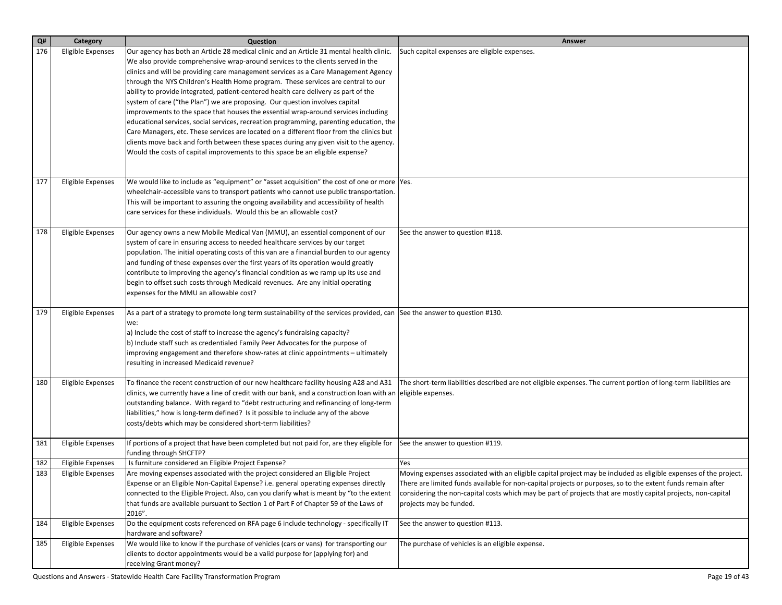| Q#  | Category          | Question                                                                                                                                                                                                                                                                                                                                                                                                                                                                                                                                                            | Answer                                                                                                                                                                                                                                                                                                                                                                      |
|-----|-------------------|---------------------------------------------------------------------------------------------------------------------------------------------------------------------------------------------------------------------------------------------------------------------------------------------------------------------------------------------------------------------------------------------------------------------------------------------------------------------------------------------------------------------------------------------------------------------|-----------------------------------------------------------------------------------------------------------------------------------------------------------------------------------------------------------------------------------------------------------------------------------------------------------------------------------------------------------------------------|
| 176 | Eligible Expenses | Our agency has both an Article 28 medical clinic and an Article 31 mental health clinic.<br>We also provide comprehensive wrap-around services to the clients served in the<br>clinics and will be providing care management services as a Care Management Agency<br>through the NYS Children's Health Home program. These services are central to our<br>ability to provide integrated, patient-centered health care delivery as part of the                                                                                                                       | Such capital expenses are eligible expenses.                                                                                                                                                                                                                                                                                                                                |
|     |                   | system of care ("the Plan") we are proposing. Our question involves capital<br>improvements to the space that houses the essential wrap-around services including<br>educational services, social services, recreation programming, parenting education, the<br>Care Managers, etc. These services are located on a different floor from the clinics but                                                                                                                                                                                                            |                                                                                                                                                                                                                                                                                                                                                                             |
|     |                   | clients move back and forth between these spaces during any given visit to the agency.<br>Would the costs of capital improvements to this space be an eligible expense?                                                                                                                                                                                                                                                                                                                                                                                             |                                                                                                                                                                                                                                                                                                                                                                             |
| 177 | Eligible Expenses | We would like to include as "equipment" or "asset acquisition" the cost of one or more  Yes.<br>wheelchair-accessible vans to transport patients who cannot use public transportation.<br>This will be important to assuring the ongoing availability and accessibility of health<br>care services for these individuals. Would this be an allowable cost?                                                                                                                                                                                                          |                                                                                                                                                                                                                                                                                                                                                                             |
| 178 | Eligible Expenses | Our agency owns a new Mobile Medical Van (MMU), an essential component of our<br>system of care in ensuring access to needed healthcare services by our target<br>population. The initial operating costs of this van are a financial burden to our agency<br>and funding of these expenses over the first years of its operation would greatly<br>contribute to improving the agency's financial condition as we ramp up its use and<br>begin to offset such costs through Medicaid revenues. Are any initial operating<br>expenses for the MMU an allowable cost? | See the answer to question #118.                                                                                                                                                                                                                                                                                                                                            |
| 179 | Eligible Expenses | As a part of a strategy to promote long term sustainability of the services provided, can See the answer to question #130.<br>we:<br>a) Include the cost of staff to increase the agency's fundraising capacity?<br>b) Include staff such as credentialed Family Peer Advocates for the purpose of<br>improving engagement and therefore show-rates at clinic appointments – ultimately<br>resulting in increased Medicaid revenue?                                                                                                                                 |                                                                                                                                                                                                                                                                                                                                                                             |
| 180 | Eligible Expenses | To finance the recent construction of our new healthcare facility housing A28 and A31<br>clinics, we currently have a line of credit with our bank, and a construction loan with an<br>outstanding balance. With regard to "debt restructuring and refinancing of long-term<br>liabilities," how is long-term defined? Is it possible to include any of the above<br>costs/debts which may be considered short-term liabilities?                                                                                                                                    | The short-term liabilities described are not eligible expenses. The current portion of long-term liabilities are<br>eligible expenses.                                                                                                                                                                                                                                      |
| 181 | Eligible Expenses | If portions of a project that have been completed but not paid for, are they eligible for<br>funding through SHCFTP?                                                                                                                                                                                                                                                                                                                                                                                                                                                | See the answer to question #119.                                                                                                                                                                                                                                                                                                                                            |
| 182 | Eligible Expenses | Is furniture considered an Eligible Project Expense?                                                                                                                                                                                                                                                                                                                                                                                                                                                                                                                | Yes                                                                                                                                                                                                                                                                                                                                                                         |
| 183 | Eligible Expenses | Are moving expenses associated with the project considered an Eligible Project<br>Expense or an Eligible Non-Capital Expense? i.e. general operating expenses directly<br>connected to the Eligible Project. Also, can you clarify what is meant by "to the extent<br>that funds are available pursuant to Section 1 of Part F of Chapter 59 of the Laws of<br>2016".                                                                                                                                                                                               | Moving expenses associated with an eligible capital project may be included as eligible expenses of the project.<br>There are limited funds available for non-capital projects or purposes, so to the extent funds remain after<br>considering the non-capital costs which may be part of projects that are mostly capital projects, non-capital<br>projects may be funded. |
| 184 | Eligible Expenses | Do the equipment costs referenced on RFA page 6 include technology - specifically IT<br>hardware and software?                                                                                                                                                                                                                                                                                                                                                                                                                                                      | See the answer to question #113.                                                                                                                                                                                                                                                                                                                                            |
| 185 | Eligible Expenses | We would like to know if the purchase of vehicles (cars or vans) for transporting our<br>clients to doctor appointments would be a valid purpose for (applying for) and<br>receiving Grant money?                                                                                                                                                                                                                                                                                                                                                                   | The purchase of vehicles is an eligible expense.                                                                                                                                                                                                                                                                                                                            |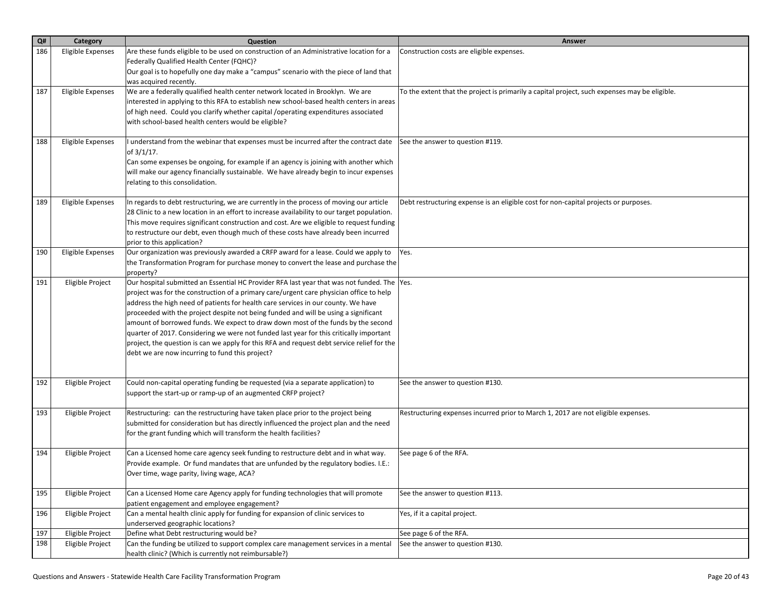| $\mathbf{Q}$ # | Category                 | Question                                                                                                                                                                                                                                                                                                                                                                                                                                                                                                                                                                                                                                                                                           | Answer                                                                                        |
|----------------|--------------------------|----------------------------------------------------------------------------------------------------------------------------------------------------------------------------------------------------------------------------------------------------------------------------------------------------------------------------------------------------------------------------------------------------------------------------------------------------------------------------------------------------------------------------------------------------------------------------------------------------------------------------------------------------------------------------------------------------|-----------------------------------------------------------------------------------------------|
| 186            | <b>Eligible Expenses</b> | Are these funds eligible to be used on construction of an Administrative location for a<br>Federally Qualified Health Center (FQHC)?<br>Our goal is to hopefully one day make a "campus" scenario with the piece of land that                                                                                                                                                                                                                                                                                                                                                                                                                                                                      | Construction costs are eligible expenses.                                                     |
| 187            | Eligible Expenses        | was acquired recently.<br>We are a federally qualified health center network located in Brooklyn. We are<br>interested in applying to this RFA to establish new school-based health centers in areas<br>of high need. Could you clarify whether capital /operating expenditures associated<br>with school-based health centers would be eligible?                                                                                                                                                                                                                                                                                                                                                  | To the extent that the project is primarily a capital project, such expenses may be eligible. |
| 188            | Eligible Expenses        | I understand from the webinar that expenses must be incurred after the contract date<br>of 3/1/17.<br>Can some expenses be ongoing, for example if an agency is joining with another which<br>will make our agency financially sustainable. We have already begin to incur expenses<br>relating to this consolidation.                                                                                                                                                                                                                                                                                                                                                                             | See the answer to question #119.                                                              |
| 189            | <b>Eligible Expenses</b> | In regards to debt restructuring, we are currently in the process of moving our article<br>28 Clinic to a new location in an effort to increase availability to our target population.<br>This move requires significant construction and cost. Are we eligible to request funding<br>to restructure our debt, even though much of these costs have already been incurred<br>prior to this application?                                                                                                                                                                                                                                                                                            | Debt restructuring expense is an eligible cost for non-capital projects or purposes.          |
| 190            | <b>Eligible Expenses</b> | Our organization was previously awarded a CRFP award for a lease. Could we apply to<br>the Transformation Program for purchase money to convert the lease and purchase the<br>property?                                                                                                                                                                                                                                                                                                                                                                                                                                                                                                            | Yes.                                                                                          |
| 191            | Eligible Project         | Our hospital submitted an Essential HC Provider RFA last year that was not funded. The Yes.<br>project was for the construction of a primary care/urgent care physician office to help<br>address the high need of patients for health care services in our county. We have<br>proceeded with the project despite not being funded and will be using a significant<br>amount of borrowed funds. We expect to draw down most of the funds by the second<br>quarter of 2017. Considering we were not funded last year for this critically important<br>project, the question is can we apply for this RFA and request debt service relief for the<br>debt we are now incurring to fund this project? |                                                                                               |
| 192            | Eligible Project         | Could non-capital operating funding be requested (via a separate application) to<br>support the start-up or ramp-up of an augmented CRFP project?                                                                                                                                                                                                                                                                                                                                                                                                                                                                                                                                                  | See the answer to question #130.                                                              |
| 193            | Eligible Project         | Restructuring: can the restructuring have taken place prior to the project being<br>submitted for consideration but has directly influenced the project plan and the need<br>for the grant funding which will transform the health facilities?                                                                                                                                                                                                                                                                                                                                                                                                                                                     | Restructuring expenses incurred prior to March 1, 2017 are not eligible expenses.             |
| 194            | Eligible Project         | Can a Licensed home care agency seek funding to restructure debt and in what way.<br>Provide example. Or fund mandates that are unfunded by the regulatory bodies. I.E.:<br>Over time, wage parity, living wage, ACA?                                                                                                                                                                                                                                                                                                                                                                                                                                                                              | See page 6 of the RFA.                                                                        |
| 195            | Eligible Project         | Can a Licensed Home care Agency apply for funding technologies that will promote<br>patient engagement and employee engagement?                                                                                                                                                                                                                                                                                                                                                                                                                                                                                                                                                                    | See the answer to question #113.                                                              |
| 196            | Eligible Project         | Can a mental health clinic apply for funding for expansion of clinic services to<br>underserved geographic locations?                                                                                                                                                                                                                                                                                                                                                                                                                                                                                                                                                                              | Yes, if it a capital project.                                                                 |
| 197            | Eligible Project         | Define what Debt restructuring would be?                                                                                                                                                                                                                                                                                                                                                                                                                                                                                                                                                                                                                                                           | See page 6 of the RFA.                                                                        |
| 198            | Eligible Project         | Can the funding be utilized to support complex care management services in a mental<br>health clinic? (Which is currently not reimbursable?)                                                                                                                                                                                                                                                                                                                                                                                                                                                                                                                                                       | See the answer to question #130.                                                              |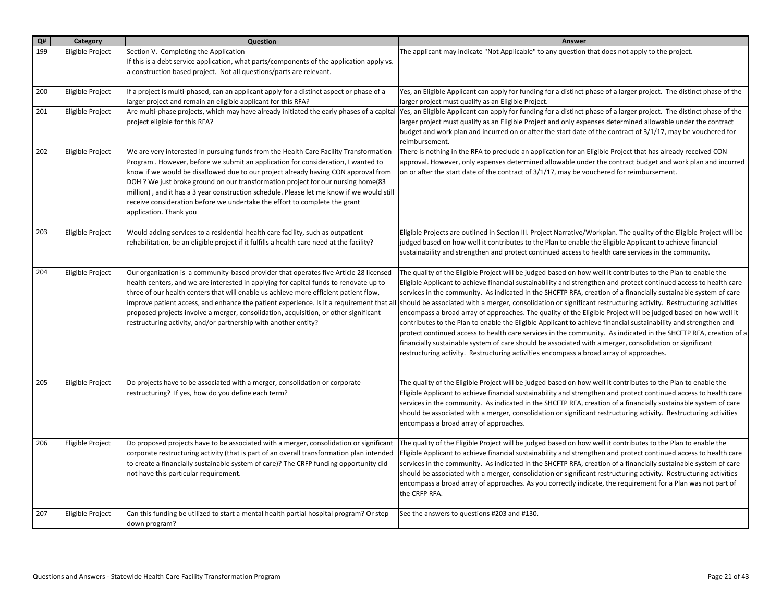| Q#  | Category                | Question                                                                                                                                                                                                                                                                                                                                                                                                                                                                                                                                                  | Answer                                                                                                                                                                                                                                                                                                                                                                                                                                                                                                                                                                                                                                                                                                                                                                                                                                                                                                                                                                                                                                    |
|-----|-------------------------|-----------------------------------------------------------------------------------------------------------------------------------------------------------------------------------------------------------------------------------------------------------------------------------------------------------------------------------------------------------------------------------------------------------------------------------------------------------------------------------------------------------------------------------------------------------|-------------------------------------------------------------------------------------------------------------------------------------------------------------------------------------------------------------------------------------------------------------------------------------------------------------------------------------------------------------------------------------------------------------------------------------------------------------------------------------------------------------------------------------------------------------------------------------------------------------------------------------------------------------------------------------------------------------------------------------------------------------------------------------------------------------------------------------------------------------------------------------------------------------------------------------------------------------------------------------------------------------------------------------------|
| 199 | Eligible Project        | Section V. Completing the Application<br>If this is a debt service application, what parts/components of the application apply vs.<br>a construction based project. Not all questions/parts are relevant.                                                                                                                                                                                                                                                                                                                                                 | The applicant may indicate "Not Applicable" to any question that does not apply to the project.                                                                                                                                                                                                                                                                                                                                                                                                                                                                                                                                                                                                                                                                                                                                                                                                                                                                                                                                           |
| 200 | Eligible Project        | If a project is multi-phased, can an applicant apply for a distinct aspect or phase of a<br>larger project and remain an eligible applicant for this RFA?                                                                                                                                                                                                                                                                                                                                                                                                 | Yes, an Eligible Applicant can apply for funding for a distinct phase of a larger project. The distinct phase of the<br>larger project must qualify as an Eligible Project.                                                                                                                                                                                                                                                                                                                                                                                                                                                                                                                                                                                                                                                                                                                                                                                                                                                               |
| 201 | Eligible Project        | Are multi-phase projects, which may have already initiated the early phases of a capital<br>project eligible for this RFA?                                                                                                                                                                                                                                                                                                                                                                                                                                | Yes, an Eligible Applicant can apply for funding for a distinct phase of a larger project. The distinct phase of the<br>larger project must qualify as an Eligible Project and only expenses determined allowable under the contract<br>budget and work plan and incurred on or after the start date of the contract of 3/1/17, may be vouchered for<br>reimbursement.                                                                                                                                                                                                                                                                                                                                                                                                                                                                                                                                                                                                                                                                    |
| 202 | Eligible Project        | We are very interested in pursuing funds from the Health Care Facility Transformation<br>Program . However, before we submit an application for consideration, I wanted to<br>know if we would be disallowed due to our project already having CON approval from<br>DOH ? We just broke ground on our transformation project for our nursing home(83<br>million), and it has a 3 year construction schedule. Please let me know if we would still<br>receive consideration before we undertake the effort to complete the grant<br>application. Thank you | There is nothing in the RFA to preclude an application for an Eligible Project that has already received CON<br>approval. However, only expenses determined allowable under the contract budget and work plan and incurred<br>on or after the start date of the contract of $3/1/17$ , may be vouchered for reimbursement.                                                                                                                                                                                                                                                                                                                                                                                                                                                                                                                                                                                                                                                                                                                |
| 203 | Eligible Project        | Would adding services to a residential health care facility, such as outpatient<br>rehabilitation, be an eligible project if it fulfills a health care need at the facility?                                                                                                                                                                                                                                                                                                                                                                              | Eligible Projects are outlined in Section III. Project Narrative/Workplan. The quality of the Eligible Project will be<br>judged based on how well it contributes to the Plan to enable the Eligible Applicant to achieve financial<br>sustainability and strengthen and protect continued access to health care services in the community.                                                                                                                                                                                                                                                                                                                                                                                                                                                                                                                                                                                                                                                                                               |
| 204 | Eligible Project        | Our organization is a community-based provider that operates five Article 28 licensed<br>health centers, and we are interested in applying for capital funds to renovate up to<br>three of our health centers that will enable us achieve more efficient patient flow,<br>improve patient access, and enhance the patient experience. Is it a requirement that all<br>proposed projects involve a merger, consolidation, acquisition, or other significant<br>restructuring activity, and/or partnership with another entity?                             | The quality of the Eligible Project will be judged based on how well it contributes to the Plan to enable the<br>Eligible Applicant to achieve financial sustainability and strengthen and protect continued access to health care<br>services in the community. As indicated in the SHCFTP RFA, creation of a financially sustainable system of care<br>should be associated with a merger, consolidation or significant restructuring activity. Restructuring activities<br>encompass a broad array of approaches. The quality of the Eligible Project will be judged based on how well it<br>contributes to the Plan to enable the Eligible Applicant to achieve financial sustainability and strengthen and<br>protect continued access to health care services in the community. As indicated in the SHCFTP RFA, creation of a<br>financially sustainable system of care should be associated with a merger, consolidation or significant<br>restructuring activity. Restructuring activities encompass a broad array of approaches. |
| 205 | Eligible Project        | Do projects have to be associated with a merger, consolidation or corporate<br>restructuring? If yes, how do you define each term?                                                                                                                                                                                                                                                                                                                                                                                                                        | The quality of the Eligible Project will be judged based on how well it contributes to the Plan to enable the<br>Eligible Applicant to achieve financial sustainability and strengthen and protect continued access to health care<br>services in the community. As indicated in the SHCFTP RFA, creation of a financially sustainable system of care<br>should be associated with a merger, consolidation or significant restructuring activity. Restructuring activities<br>encompass a broad array of approaches.                                                                                                                                                                                                                                                                                                                                                                                                                                                                                                                      |
| 206 | Eligible Project        | Do proposed projects have to be associated with a merger, consolidation or significant<br>corporate restructuring activity (that is part of an overall transformation plan intended<br>to create a financially sustainable system of care)? The CRFP funding opportunity did<br>not have this particular requirement.                                                                                                                                                                                                                                     | The quality of the Eligible Project will be judged based on how well it contributes to the Plan to enable the<br>Eligible Applicant to achieve financial sustainability and strengthen and protect continued access to health care<br>services in the community. As indicated in the SHCFTP RFA, creation of a financially sustainable system of care<br>should be associated with a merger, consolidation or significant restructuring activity. Restructuring activities<br>encompass a broad array of approaches. As you correctly indicate, the requirement for a Plan was not part of<br>the CRFP RFA.                                                                                                                                                                                                                                                                                                                                                                                                                               |
| 207 | <b>Eligible Project</b> | Can this funding be utilized to start a mental health partial hospital program? Or step<br>down program?                                                                                                                                                                                                                                                                                                                                                                                                                                                  | See the answers to questions #203 and #130.                                                                                                                                                                                                                                                                                                                                                                                                                                                                                                                                                                                                                                                                                                                                                                                                                                                                                                                                                                                               |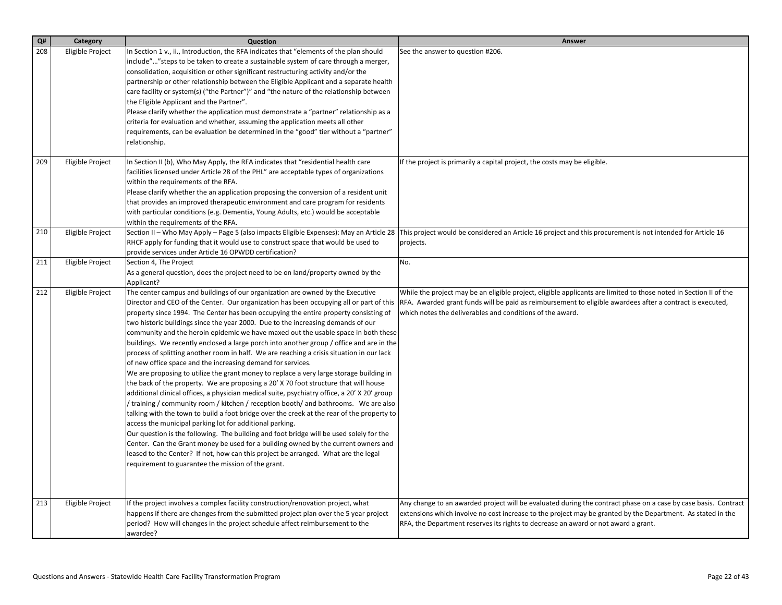| Q#         | Category                             | Question                                                                                                                                                                                                                                                                                                                                                                                                                                                                                                                                                                                                                                                                                                                                                                                                                                                                                                                                                                                                                                                                                                                                                                                                                                                                                                                                                                                                                                                                                                                                                              | Answer                                                                                                                                                                                                                                                                                                              |
|------------|--------------------------------------|-----------------------------------------------------------------------------------------------------------------------------------------------------------------------------------------------------------------------------------------------------------------------------------------------------------------------------------------------------------------------------------------------------------------------------------------------------------------------------------------------------------------------------------------------------------------------------------------------------------------------------------------------------------------------------------------------------------------------------------------------------------------------------------------------------------------------------------------------------------------------------------------------------------------------------------------------------------------------------------------------------------------------------------------------------------------------------------------------------------------------------------------------------------------------------------------------------------------------------------------------------------------------------------------------------------------------------------------------------------------------------------------------------------------------------------------------------------------------------------------------------------------------------------------------------------------------|---------------------------------------------------------------------------------------------------------------------------------------------------------------------------------------------------------------------------------------------------------------------------------------------------------------------|
| 208<br>209 | Eligible Project<br>Eligible Project | In Section 1 v., ii., Introduction, the RFA indicates that "elements of the plan should<br>include"" steps to be taken to create a sustainable system of care through a merger,<br>consolidation, acquisition or other significant restructuring activity and/or the<br>partnership or other relationship between the Eligible Applicant and a separate health<br>care facility or system(s) ("the Partner")" and "the nature of the relationship between<br>the Eligible Applicant and the Partner".<br>Please clarify whether the application must demonstrate a "partner" relationship as a<br>criteria for evaluation and whether, assuming the application meets all other<br>requirements, can be evaluation be determined in the "good" tier without a "partner"<br>relationship.<br>In Section II (b), Who May Apply, the RFA indicates that "residential health care                                                                                                                                                                                                                                                                                                                                                                                                                                                                                                                                                                                                                                                                                         | See the answer to question #206.<br>If the project is primarily a capital project, the costs may be eligible.                                                                                                                                                                                                       |
| 210        | Eligible Project                     | facilities licensed under Article 28 of the PHL" are acceptable types of organizations<br>within the requirements of the RFA.<br>Please clarify whether the an application proposing the conversion of a resident unit<br>that provides an improved therapeutic environment and care program for residents<br>with particular conditions (e.g. Dementia, Young Adults, etc.) would be acceptable<br>within the requirements of the RFA.<br>Section II - Who May Apply - Page 5 (also impacts Eligible Expenses): May an Article 28                                                                                                                                                                                                                                                                                                                                                                                                                                                                                                                                                                                                                                                                                                                                                                                                                                                                                                                                                                                                                                    | This project would be considered an Article 16 project and this procurement is not intended for Article 16                                                                                                                                                                                                          |
|            |                                      | RHCF apply for funding that it would use to construct space that would be used to<br>provide services under Article 16 OPWDD certification?                                                                                                                                                                                                                                                                                                                                                                                                                                                                                                                                                                                                                                                                                                                                                                                                                                                                                                                                                                                                                                                                                                                                                                                                                                                                                                                                                                                                                           | projects.                                                                                                                                                                                                                                                                                                           |
| 211        | Eligible Project                     | Section 4, The Project<br>As a general question, does the project need to be on land/property owned by the<br>Applicant?                                                                                                                                                                                                                                                                                                                                                                                                                                                                                                                                                                                                                                                                                                                                                                                                                                                                                                                                                                                                                                                                                                                                                                                                                                                                                                                                                                                                                                              | No.                                                                                                                                                                                                                                                                                                                 |
| 212        | Eligible Project                     | The center campus and buildings of our organization are owned by the Executive<br>Director and CEO of the Center. Our organization has been occupying all or part of this<br>property since 1994. The Center has been occupying the entire property consisting of<br>two historic buildings since the year 2000. Due to the increasing demands of our<br>community and the heroin epidemic we have maxed out the usable space in both these<br> buildings. We recently enclosed a large porch into another group / office and are in the<br>process of splitting another room in half. We are reaching a crisis situation in our lack<br>of new office space and the increasing demand for services.<br>We are proposing to utilize the grant money to replace a very large storage building in<br>the back of the property. We are proposing a 20' X 70 foot structure that will house<br>additional clinical offices, a physician medical suite, psychiatry office, a 20' X 20' group<br>/ training / community room / kitchen / reception booth/ and bathrooms. We are also<br>talking with the town to build a foot bridge over the creek at the rear of the property to<br>access the municipal parking lot for additional parking.<br>Our question is the following. The building and foot bridge will be used solely for the<br>Center. Can the Grant money be used for a building owned by the current owners and<br>leased to the Center? If not, how can this project be arranged. What are the legal<br>requirement to guarantee the mission of the grant. | While the project may be an eligible project, eligible applicants are limited to those noted in Section II of the<br>RFA. Awarded grant funds will be paid as reimbursement to eligible awardees after a contract is executed,<br>which notes the deliverables and conditions of the award.                         |
| 213        | Eligible Project                     | If the project involves a complex facility construction/renovation project, what<br>happens if there are changes from the submitted project plan over the 5 year project<br>period? How will changes in the project schedule affect reimbursement to the<br>awardee?                                                                                                                                                                                                                                                                                                                                                                                                                                                                                                                                                                                                                                                                                                                                                                                                                                                                                                                                                                                                                                                                                                                                                                                                                                                                                                  | Any change to an awarded project will be evaluated during the contract phase on a case by case basis. Contract<br>extensions which involve no cost increase to the project may be granted by the Department. As stated in the<br>RFA, the Department reserves its rights to decrease an award or not award a grant. |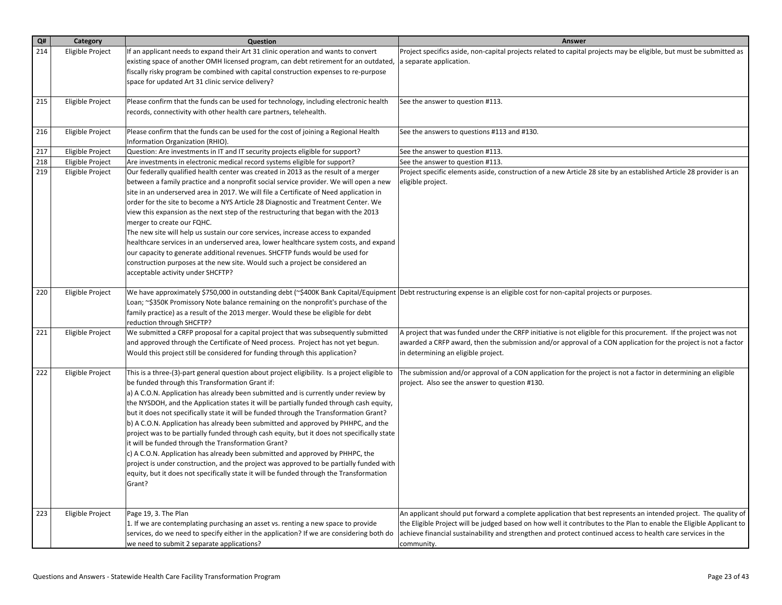| Q#  | Category         | Question                                                                                                                                                                                                                                                                                                                                                                                                                                                                                                                                                                                                                                                                                                                                                                                                                                                                                                                                                | Answer                                                                                                                                                                                                                                                                                                                                                               |
|-----|------------------|---------------------------------------------------------------------------------------------------------------------------------------------------------------------------------------------------------------------------------------------------------------------------------------------------------------------------------------------------------------------------------------------------------------------------------------------------------------------------------------------------------------------------------------------------------------------------------------------------------------------------------------------------------------------------------------------------------------------------------------------------------------------------------------------------------------------------------------------------------------------------------------------------------------------------------------------------------|----------------------------------------------------------------------------------------------------------------------------------------------------------------------------------------------------------------------------------------------------------------------------------------------------------------------------------------------------------------------|
| 214 | Eligible Project | If an applicant needs to expand their Art 31 clinic operation and wants to convert<br>existing space of another OMH licensed program, can debt retirement for an outdated,<br>fiscally risky program be combined with capital construction expenses to re-purpose<br>space for updated Art 31 clinic service delivery?                                                                                                                                                                                                                                                                                                                                                                                                                                                                                                                                                                                                                                  | Project specifics aside, non-capital projects related to capital projects may be eligible, but must be submitted as<br>a separate application.                                                                                                                                                                                                                       |
| 215 | Eligible Project | Please confirm that the funds can be used for technology, including electronic health<br>records, connectivity with other health care partners, telehealth.                                                                                                                                                                                                                                                                                                                                                                                                                                                                                                                                                                                                                                                                                                                                                                                             | See the answer to question #113.                                                                                                                                                                                                                                                                                                                                     |
| 216 | Eligible Project | Please confirm that the funds can be used for the cost of joining a Regional Health<br>Information Organization (RHIO).                                                                                                                                                                                                                                                                                                                                                                                                                                                                                                                                                                                                                                                                                                                                                                                                                                 | See the answers to questions #113 and #130.                                                                                                                                                                                                                                                                                                                          |
| 217 | Eligible Project | Question: Are investments in IT and IT security projects eligible for support?                                                                                                                                                                                                                                                                                                                                                                                                                                                                                                                                                                                                                                                                                                                                                                                                                                                                          | See the answer to question #113.                                                                                                                                                                                                                                                                                                                                     |
| 218 | Eligible Project | Are investments in electronic medical record systems eligible for support?                                                                                                                                                                                                                                                                                                                                                                                                                                                                                                                                                                                                                                                                                                                                                                                                                                                                              | See the answer to question #113.                                                                                                                                                                                                                                                                                                                                     |
| 219 | Eligible Project | Our federally qualified health center was created in 2013 as the result of a merger<br>between a family practice and a nonprofit social service provider. We will open a new<br>site in an underserved area in 2017. We will file a Certificate of Need application in<br>order for the site to become a NYS Article 28 Diagnostic and Treatment Center. We<br>view this expansion as the next step of the restructuring that began with the 2013<br>merger to create our FQHC.<br>The new site will help us sustain our core services, increase access to expanded<br>healthcare services in an underserved area, lower healthcare system costs, and expand<br>our capacity to generate additional revenues. SHCFTP funds would be used for<br>construction purposes at the new site. Would such a project be considered an<br>acceptable activity under SHCFTP?                                                                                       | Project specific elements aside, construction of a new Article 28 site by an established Article 28 provider is an<br>eligible project.                                                                                                                                                                                                                              |
| 220 | Eligible Project | We have approximately \$750,000 in outstanding debt (~\$400K Bank Capital/Equipment  Debt restructuring expense is an eligible cost for non-capital projects or purposes.<br>Loan; ~\$350K Promissory Note balance remaining on the nonprofit's purchase of the<br>family practice) as a result of the 2013 merger. Would these be eligible for debt<br>reduction through SHCFTP?                                                                                                                                                                                                                                                                                                                                                                                                                                                                                                                                                                       |                                                                                                                                                                                                                                                                                                                                                                      |
| 221 | Eligible Project | We submitted a CRFP proposal for a capital project that was subsequently submitted<br>and approved through the Certificate of Need process. Project has not yet begun.<br>Would this project still be considered for funding through this application?                                                                                                                                                                                                                                                                                                                                                                                                                                                                                                                                                                                                                                                                                                  | A project that was funded under the CRFP initiative is not eligible for this procurement. If the project was not<br>awarded a CRFP award, then the submission and/or approval of a CON application for the project is not a factor<br>in determining an eligible project.                                                                                            |
| 222 | Eligible Project | This is a three-(3)-part general question about project eligibility. Is a project eligible to<br>be funded through this Transformation Grant if:<br>a) A C.O.N. Application has already been submitted and is currently under review by<br>the NYSDOH, and the Application states it will be partially funded through cash equity,<br>but it does not specifically state it will be funded through the Transformation Grant?<br>b) A C.O.N. Application has already been submitted and approved by PHHPC, and the<br>project was to be partially funded through cash equity, but it does not specifically state<br>it will be funded through the Transformation Grant?<br>c) A C.O.N. Application has already been submitted and approved by PHHPC, the<br>project is under construction, and the project was approved to be partially funded with<br>equity, but it does not specifically state it will be funded through the Transformation<br>Grant? | The submission and/or approval of a CON application for the project is not a factor in determining an eligible<br>project. Also see the answer to question #130.                                                                                                                                                                                                     |
| 223 | Eligible Project | Page 19, 3. The Plan<br>1. If we are contemplating purchasing an asset vs. renting a new space to provide<br>services, do we need to specify either in the application? If we are considering both do<br>we need to submit 2 separate applications?                                                                                                                                                                                                                                                                                                                                                                                                                                                                                                                                                                                                                                                                                                     | An applicant should put forward a complete application that best represents an intended project. The quality of<br>the Eligible Project will be judged based on how well it contributes to the Plan to enable the Eligible Applicant to<br>achieve financial sustainability and strengthen and protect continued access to health care services in the<br>community. |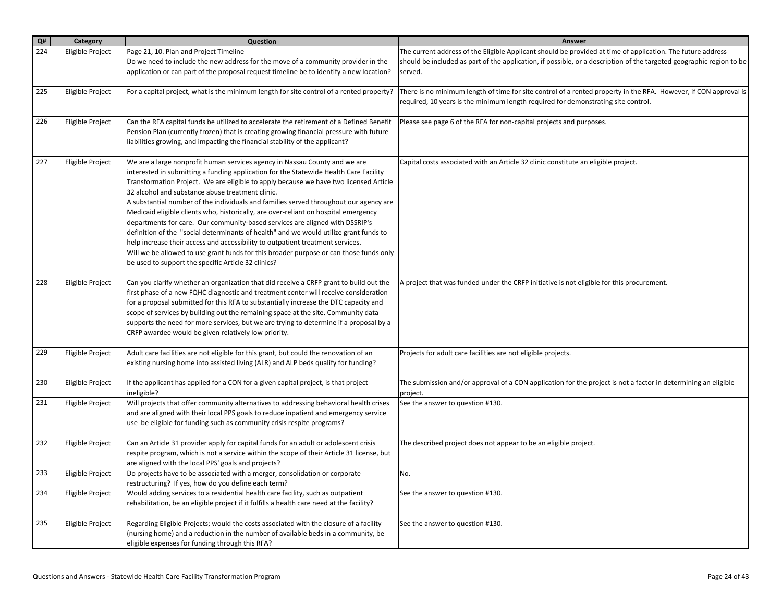| Q#  | Category         | Question                                                                                                                                                                                                                                                                                                                                                                                                                                                                                                                                                                                                                                                                                                                                                                                                                                                                                                     | Answer                                                                                                                                                                                                                              |
|-----|------------------|--------------------------------------------------------------------------------------------------------------------------------------------------------------------------------------------------------------------------------------------------------------------------------------------------------------------------------------------------------------------------------------------------------------------------------------------------------------------------------------------------------------------------------------------------------------------------------------------------------------------------------------------------------------------------------------------------------------------------------------------------------------------------------------------------------------------------------------------------------------------------------------------------------------|-------------------------------------------------------------------------------------------------------------------------------------------------------------------------------------------------------------------------------------|
| 224 | Eligible Project | Page 21, 10. Plan and Project Timeline<br>Do we need to include the new address for the move of a community provider in the                                                                                                                                                                                                                                                                                                                                                                                                                                                                                                                                                                                                                                                                                                                                                                                  | The current address of the Eligible Applicant should be provided at time of application. The future address<br>should be included as part of the application, if possible, or a description of the targeted geographic region to be |
|     |                  | application or can part of the proposal request timeline be to identify a new location?                                                                                                                                                                                                                                                                                                                                                                                                                                                                                                                                                                                                                                                                                                                                                                                                                      | served.                                                                                                                                                                                                                             |
| 225 | Eligible Project | For a capital project, what is the minimum length for site control of a rented property?                                                                                                                                                                                                                                                                                                                                                                                                                                                                                                                                                                                                                                                                                                                                                                                                                     | There is no minimum length of time for site control of a rented property in the RFA. However, if CON approval is<br>required, 10 years is the minimum length required for demonstrating site control.                               |
| 226 | Eligible Project | Can the RFA capital funds be utilized to accelerate the retirement of a Defined Benefit<br>Pension Plan (currently frozen) that is creating growing financial pressure with future<br>liabilities growing, and impacting the financial stability of the applicant?                                                                                                                                                                                                                                                                                                                                                                                                                                                                                                                                                                                                                                           | Please see page 6 of the RFA for non-capital projects and purposes.                                                                                                                                                                 |
| 227 | Eligible Project | We are a large nonprofit human services agency in Nassau County and we are<br>interested in submitting a funding application for the Statewide Health Care Facility<br>Transformation Project. We are eligible to apply because we have two licensed Article<br>32 alcohol and substance abuse treatment clinic.<br>A substantial number of the individuals and families served throughout our agency are<br>Medicaid eligible clients who, historically, are over-reliant on hospital emergency<br>departments for care. Our community-based services are aligned with DSSRIP's<br>definition of the "social determinants of health" and we would utilize grant funds to<br>help increase their access and accessibility to outpatient treatment services.<br>Will we be allowed to use grant funds for this broader purpose or can those funds only<br>be used to support the specific Article 32 clinics? | Capital costs associated with an Article 32 clinic constitute an eligible project.                                                                                                                                                  |
| 228 | Eligible Project | Can you clarify whether an organization that did receive a CRFP grant to build out the<br>first phase of a new FQHC diagnostic and treatment center will receive consideration<br>for a proposal submitted for this RFA to substantially increase the DTC capacity and<br>scope of services by building out the remaining space at the site. Community data<br>supports the need for more services, but we are trying to determine if a proposal by a<br>CRFP awardee would be given relatively low priority.                                                                                                                                                                                                                                                                                                                                                                                                | A project that was funded under the CRFP initiative is not eligible for this procurement.                                                                                                                                           |
| 229 | Eligible Project | Adult care facilities are not eligible for this grant, but could the renovation of an<br>existing nursing home into assisted living (ALR) and ALP beds qualify for funding?                                                                                                                                                                                                                                                                                                                                                                                                                                                                                                                                                                                                                                                                                                                                  | Projects for adult care facilities are not eligible projects.                                                                                                                                                                       |
| 230 | Eligible Project | If the applicant has applied for a CON for a given capital project, is that project<br>ineligible?                                                                                                                                                                                                                                                                                                                                                                                                                                                                                                                                                                                                                                                                                                                                                                                                           | The submission and/or approval of a CON application for the project is not a factor in determining an eligible<br>project.                                                                                                          |
| 231 | Eligible Project | Will projects that offer community alternatives to addressing behavioral health crises<br>and are aligned with their local PPS goals to reduce inpatient and emergency service<br>use be eligible for funding such as community crisis respite programs?                                                                                                                                                                                                                                                                                                                                                                                                                                                                                                                                                                                                                                                     | See the answer to question #130.                                                                                                                                                                                                    |
| 232 | Eligible Project | Can an Article 31 provider apply for capital funds for an adult or adolescent crisis<br>respite program, which is not a service within the scope of their Article 31 license, but<br>are aligned with the local PPS' goals and projects?                                                                                                                                                                                                                                                                                                                                                                                                                                                                                                                                                                                                                                                                     | The described project does not appear to be an eligible project.                                                                                                                                                                    |
| 233 | Eligible Project | Do projects have to be associated with a merger, consolidation or corporate<br>restructuring? If yes, how do you define each term?                                                                                                                                                                                                                                                                                                                                                                                                                                                                                                                                                                                                                                                                                                                                                                           | No.                                                                                                                                                                                                                                 |
| 234 | Eligible Project | Would adding services to a residential health care facility, such as outpatient<br>rehabilitation, be an eligible project if it fulfills a health care need at the facility?                                                                                                                                                                                                                                                                                                                                                                                                                                                                                                                                                                                                                                                                                                                                 | See the answer to question #130.                                                                                                                                                                                                    |
| 235 | Eligible Project | Regarding Eligible Projects; would the costs associated with the closure of a facility<br>(nursing home) and a reduction in the number of available beds in a community, be<br>eligible expenses for funding through this RFA?                                                                                                                                                                                                                                                                                                                                                                                                                                                                                                                                                                                                                                                                               | See the answer to question #130.                                                                                                                                                                                                    |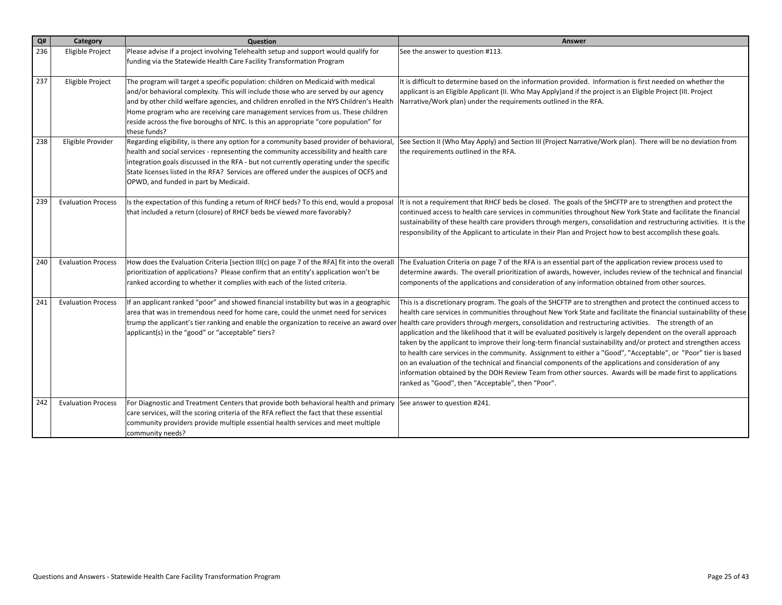| Q#  | Category                  | Question                                                                                                                                                                                                                                                                                                                                                                                                                                                     | Answer                                                                                                                                                                                                                                                                                                                                                                                                                                                                                                                                                                                                                                                                                                                                                                                                                                                                                                                                                                              |
|-----|---------------------------|--------------------------------------------------------------------------------------------------------------------------------------------------------------------------------------------------------------------------------------------------------------------------------------------------------------------------------------------------------------------------------------------------------------------------------------------------------------|-------------------------------------------------------------------------------------------------------------------------------------------------------------------------------------------------------------------------------------------------------------------------------------------------------------------------------------------------------------------------------------------------------------------------------------------------------------------------------------------------------------------------------------------------------------------------------------------------------------------------------------------------------------------------------------------------------------------------------------------------------------------------------------------------------------------------------------------------------------------------------------------------------------------------------------------------------------------------------------|
| 236 | Eligible Project          | Please advise if a project involving Telehealth setup and support would qualify for<br>funding via the Statewide Health Care Facility Transformation Program                                                                                                                                                                                                                                                                                                 | See the answer to question #113.                                                                                                                                                                                                                                                                                                                                                                                                                                                                                                                                                                                                                                                                                                                                                                                                                                                                                                                                                    |
| 237 | Eligible Project          | The program will target a specific population: children on Medicaid with medical<br>and/or behavioral complexity. This will include those who are served by our agency<br>and by other child welfare agencies, and children enrolled in the NYS Children's Health<br>Home program who are receiving care management services from us. These children<br>reside across the five boroughs of NYC. Is this an appropriate "core population" for<br>these funds? | It is difficult to determine based on the information provided. Information is first needed on whether the<br>applicant is an Eligible Applicant (II. Who May Apply) and if the project is an Eligible Project (III. Project<br>Narrative/Work plan) under the requirements outlined in the RFA.                                                                                                                                                                                                                                                                                                                                                                                                                                                                                                                                                                                                                                                                                    |
| 238 | Eligible Provider         | Regarding eligibility, is there any option for a community based provider of behavioral,<br>health and social services - representing the community accessibility and health care<br>integration goals discussed in the RFA - but not currently operating under the specific<br>State licenses listed in the RFA? Services are offered under the auspices of OCFS and<br>OPWD, and funded in part by Medicaid.                                               | See Section II (Who May Apply) and Section III (Project Narrative/Work plan). There will be no deviation from<br>the requirements outlined in the RFA.                                                                                                                                                                                                                                                                                                                                                                                                                                                                                                                                                                                                                                                                                                                                                                                                                              |
| 239 | <b>Evaluation Process</b> | Is the expectation of this funding a return of RHCF beds? To this end, would a proposal<br>that included a return (closure) of RHCF beds be viewed more favorably?                                                                                                                                                                                                                                                                                           | It is not a requirement that RHCF beds be closed. The goals of the SHCFTP are to strengthen and protect the<br>continued access to health care services in communities throughout New York State and facilitate the financial<br>sustainability of these health care providers through mergers, consolidation and restructuring activities. It is the<br>responsibility of the Applicant to articulate in their Plan and Project how to best accomplish these goals.                                                                                                                                                                                                                                                                                                                                                                                                                                                                                                                |
| 240 | <b>Evaluation Process</b> | How does the Evaluation Criteria [section III(c) on page 7 of the RFA] fit into the overall<br>prioritization of applications? Please confirm that an entity's application won't be<br>ranked according to whether it complies with each of the listed criteria.                                                                                                                                                                                             | The Evaluation Criteria on page 7 of the RFA is an essential part of the application review process used to<br>determine awards. The overall prioritization of awards, however, includes review of the technical and financial<br>components of the applications and consideration of any information obtained from other sources.                                                                                                                                                                                                                                                                                                                                                                                                                                                                                                                                                                                                                                                  |
| 241 | <b>Evaluation Process</b> | If an applicant ranked "poor" and showed financial instability but was in a geographic<br>area that was in tremendous need for home care, could the unmet need for services<br>trump the applicant's tier ranking and enable the organization to receive an award over<br>applicant(s) in the "good" or "acceptable" tiers?                                                                                                                                  | This is a discretionary program. The goals of the SHCFTP are to strengthen and protect the continued access to<br>health care services in communities throughout New York State and facilitate the financial sustainability of these<br>health care providers through mergers, consolidation and restructuring activities. The strength of an<br>application and the likelihood that it will be evaluated positively is largely dependent on the overall approach<br>taken by the applicant to improve their long-term financial sustainability and/or protect and strengthen access<br>to health care services in the community. Assignment to either a "Good", "Acceptable", or "Poor" tier is based<br>on an evaluation of the technical and financial components of the applications and consideration of any<br>information obtained by the DOH Review Team from other sources. Awards will be made first to applications<br>ranked as "Good", then "Acceptable", then "Poor". |
| 242 | <b>Evaluation Process</b> | For Diagnostic and Treatment Centers that provide both behavioral health and primary<br>care services, will the scoring criteria of the RFA reflect the fact that these essential<br>community providers provide multiple essential health services and meet multiple<br>community needs?                                                                                                                                                                    | See answer to question #241.                                                                                                                                                                                                                                                                                                                                                                                                                                                                                                                                                                                                                                                                                                                                                                                                                                                                                                                                                        |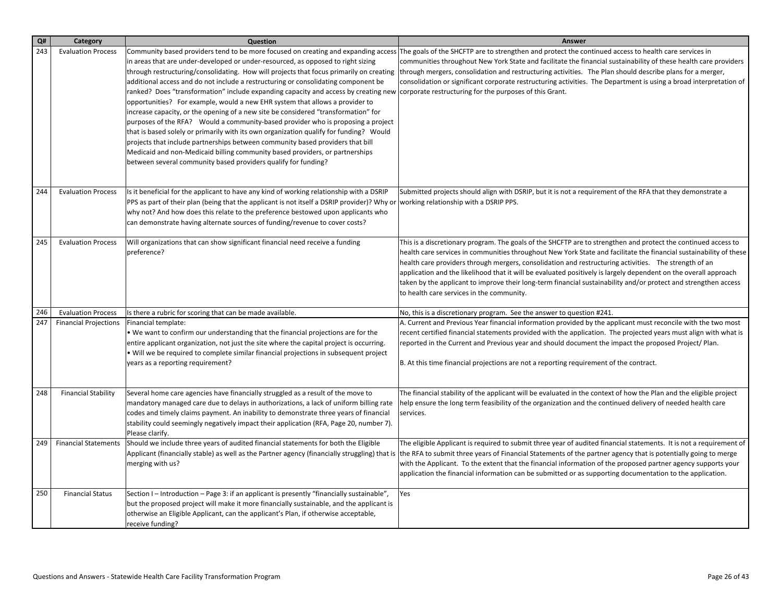| Q#  | Category                     | Question                                                                                                                                                                                                                                                                                                                                                                                                                                                                                                                                                                                                                                                                                                                                                                                                                                                                                                                                                                                                                                                                                       | Answer                                                                                                                                                                                                                                                                                                                                                                                                                                                                                                                                                                                                                            |
|-----|------------------------------|------------------------------------------------------------------------------------------------------------------------------------------------------------------------------------------------------------------------------------------------------------------------------------------------------------------------------------------------------------------------------------------------------------------------------------------------------------------------------------------------------------------------------------------------------------------------------------------------------------------------------------------------------------------------------------------------------------------------------------------------------------------------------------------------------------------------------------------------------------------------------------------------------------------------------------------------------------------------------------------------------------------------------------------------------------------------------------------------|-----------------------------------------------------------------------------------------------------------------------------------------------------------------------------------------------------------------------------------------------------------------------------------------------------------------------------------------------------------------------------------------------------------------------------------------------------------------------------------------------------------------------------------------------------------------------------------------------------------------------------------|
| 243 | <b>Evaluation Process</b>    | Community based providers tend to be more focused on creating and expanding access<br>in areas that are under-developed or under-resourced, as opposed to right sizing<br>through restructuring/consolidating. How will projects that focus primarily on creating<br>additional access and do not include a restructuring or consolidating component be<br>ranked? Does "transformation" include expanding capacity and access by creating new corporate restructuring for the purposes of this Grant.<br>opportunities? For example, would a new EHR system that allows a provider to<br>increase capacity, or the opening of a new site be considered "transformation" for<br>purposes of the RFA? Would a community-based provider who is proposing a project<br>that is based solely or primarily with its own organization qualify for funding? Would<br>projects that include partnerships between community based providers that bill<br>Medicaid and non-Medicaid billing community based providers, or partnerships<br>between several community based providers qualify for funding? | The goals of the SHCFTP are to strengthen and protect the continued access to health care services in<br>communities throughout New York State and facilitate the financial sustainability of these health care providers<br>through mergers, consolidation and restructuring activities. The Plan should describe plans for a merger,<br>consolidation or significant corporate restructuring activities. The Department is using a broad interpretation of                                                                                                                                                                      |
| 244 | <b>Evaluation Process</b>    | Is it beneficial for the applicant to have any kind of working relationship with a DSRIP<br>PPS as part of their plan (being that the applicant is not itself a DSRIP provider)? Why or<br>why not? And how does this relate to the preference bestowed upon applicants who<br>can demonstrate having alternate sources of funding/revenue to cover costs?                                                                                                                                                                                                                                                                                                                                                                                                                                                                                                                                                                                                                                                                                                                                     | Submitted projects should align with DSRIP, but it is not a requirement of the RFA that they demonstrate a<br>working relationship with a DSRIP PPS.                                                                                                                                                                                                                                                                                                                                                                                                                                                                              |
| 245 | <b>Evaluation Process</b>    | Will organizations that can show significant financial need receive a funding<br>preference?                                                                                                                                                                                                                                                                                                                                                                                                                                                                                                                                                                                                                                                                                                                                                                                                                                                                                                                                                                                                   | This is a discretionary program. The goals of the SHCFTP are to strengthen and protect the continued access to<br>health care services in communities throughout New York State and facilitate the financial sustainability of these<br>health care providers through mergers, consolidation and restructuring activities. The strength of an<br>application and the likelihood that it will be evaluated positively is largely dependent on the overall approach<br>taken by the applicant to improve their long-term financial sustainability and/or protect and strengthen access<br>to health care services in the community. |
| 246 | <b>Evaluation Process</b>    | Is there a rubric for scoring that can be made available.                                                                                                                                                                                                                                                                                                                                                                                                                                                                                                                                                                                                                                                                                                                                                                                                                                                                                                                                                                                                                                      | No, this is a discretionary program. See the answer to question #241.                                                                                                                                                                                                                                                                                                                                                                                                                                                                                                                                                             |
| 247 | <b>Financial Projections</b> | Financial template:<br>. We want to confirm our understanding that the financial projections are for the<br>entire applicant organization, not just the site where the capital project is occurring.<br>• Will we be required to complete similar financial projections in subsequent project<br>years as a reporting requirement?                                                                                                                                                                                                                                                                                                                                                                                                                                                                                                                                                                                                                                                                                                                                                             | A. Current and Previous Year financial information provided by the applicant must reconcile with the two most<br>recent certified financial statements provided with the application. The projected years must align with what is<br>reported in the Current and Previous year and should document the impact the proposed Project/ Plan.<br>B. At this time financial projections are not a reporting requirement of the contract.                                                                                                                                                                                               |
| 248 | <b>Financial Stability</b>   | Several home care agencies have financially struggled as a result of the move to<br>mandatory managed care due to delays in authorizations, a lack of uniform billing rate<br>codes and timely claims payment. An inability to demonstrate three years of financial<br>stability could seemingly negatively impact their application (RFA, Page 20, number 7).<br>Please clarify.                                                                                                                                                                                                                                                                                                                                                                                                                                                                                                                                                                                                                                                                                                              | The financial stability of the applicant will be evaluated in the context of how the Plan and the eligible project<br>help ensure the long term feasibility of the organization and the continued delivery of needed health care<br>services.                                                                                                                                                                                                                                                                                                                                                                                     |
| 249 | <b>Financial Statements</b>  | Should we include three years of audited financial statements for both the Eligible<br>Applicant (financially stable) as well as the Partner agency (financially struggling) that is<br>merging with us?                                                                                                                                                                                                                                                                                                                                                                                                                                                                                                                                                                                                                                                                                                                                                                                                                                                                                       | The eligible Applicant is required to submit three year of audited financial statements. It is not a requirement of<br>the RFA to submit three years of Financial Statements of the partner agency that is potentially going to merge<br>with the Applicant. To the extent that the financial information of the proposed partner agency supports your<br>application the financial information can be submitted or as supporting documentation to the application.                                                                                                                                                               |
| 250 | <b>Financial Status</b>      | Section I - Introduction - Page 3: if an applicant is presently "financially sustainable",<br>but the proposed project will make it more financially sustainable, and the applicant is<br>otherwise an Eligible Applicant, can the applicant's Plan, if otherwise acceptable,<br>receive funding?                                                                                                                                                                                                                                                                                                                                                                                                                                                                                                                                                                                                                                                                                                                                                                                              | Yes                                                                                                                                                                                                                                                                                                                                                                                                                                                                                                                                                                                                                               |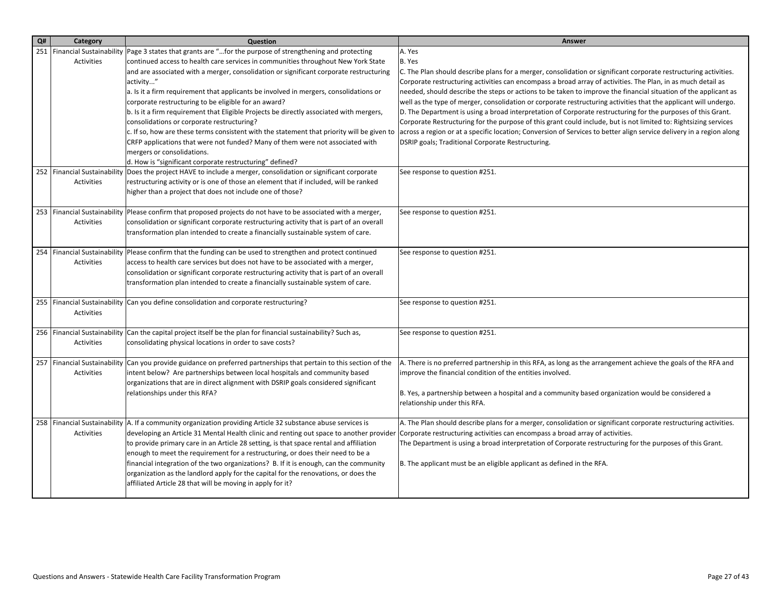| Q# | Category          | Question                                                                                                                                                                                             | Answer                                                                                                                                                                    |
|----|-------------------|------------------------------------------------------------------------------------------------------------------------------------------------------------------------------------------------------|---------------------------------------------------------------------------------------------------------------------------------------------------------------------------|
|    |                   | 251   Financial Sustainability   Page 3 states that grants are "for the purpose of strengthening and protecting                                                                                      | A. Yes                                                                                                                                                                    |
|    | Activities        | continued access to health care services in communities throughout New York State                                                                                                                    | B. Yes                                                                                                                                                                    |
|    |                   | and are associated with a merger, consolidation or significant corporate restructuring                                                                                                               | C. The Plan should describe plans for a merger, consolidation or significant corporate restructuring activities.                                                          |
|    |                   | activity"                                                                                                                                                                                            | Corporate restructuring activities can encompass a broad array of activities. The Plan, in as much detail as                                                              |
|    |                   | a. Is it a firm requirement that applicants be involved in mergers, consolidations or                                                                                                                | needed, should describe the steps or actions to be taken to improve the financial situation of the applicant as                                                           |
|    |                   | corporate restructuring to be eligible for an award?                                                                                                                                                 | well as the type of merger, consolidation or corporate restructuring activities that the applicant will undergo.                                                          |
|    |                   | b. Is it a firm requirement that Eligible Projects be directly associated with mergers,                                                                                                              | D. The Department is using a broad interpretation of Corporate restructuring for the purposes of this Grant.                                                              |
|    |                   | consolidations or corporate restructuring?                                                                                                                                                           | Corporate Restructuring for the purpose of this grant could include, but is not limited to: Rightsizing services                                                          |
|    |                   | c. If so, how are these terms consistent with the statement that priority will be given to<br>CRFP applications that were not funded? Many of them were not associated with                          | across a region or at a specific location; Conversion of Services to better align service delivery in a region along<br>DSRIP goals; Traditional Corporate Restructuring. |
|    |                   | mergers or consolidations.                                                                                                                                                                           |                                                                                                                                                                           |
|    |                   | d. How is "significant corporate restructuring" defined?                                                                                                                                             |                                                                                                                                                                           |
|    |                   | 252   Financial Sustainability   Does the project HAVE to include a merger, consolidation or significant corporate                                                                                   | See response to question #251.                                                                                                                                            |
|    | Activities        | restructuring activity or is one of those an element that if included, will be ranked                                                                                                                |                                                                                                                                                                           |
|    |                   | higher than a project that does not include one of those?                                                                                                                                            |                                                                                                                                                                           |
|    |                   |                                                                                                                                                                                                      |                                                                                                                                                                           |
|    |                   | 253   Financial Sustainability   Please confirm that proposed projects do not have to be associated with a merger,                                                                                   | See response to question #251.                                                                                                                                            |
|    | Activities        | consolidation or significant corporate restructuring activity that is part of an overall                                                                                                             |                                                                                                                                                                           |
|    |                   | transformation plan intended to create a financially sustainable system of care.                                                                                                                     |                                                                                                                                                                           |
|    |                   |                                                                                                                                                                                                      |                                                                                                                                                                           |
|    | <b>Activities</b> | 254   Financial Sustainability   Please confirm that the funding can be used to strengthen and protect continued<br>access to health care services but does not have to be associated with a merger, | See response to question #251.                                                                                                                                            |
|    |                   | consolidation or significant corporate restructuring activity that is part of an overall                                                                                                             |                                                                                                                                                                           |
|    |                   | transformation plan intended to create a financially sustainable system of care.                                                                                                                     |                                                                                                                                                                           |
|    |                   |                                                                                                                                                                                                      |                                                                                                                                                                           |
|    |                   | 255   Financial Sustainability Can you define consolidation and corporate restructuring?                                                                                                             | See response to question #251.                                                                                                                                            |
|    | Activities        |                                                                                                                                                                                                      |                                                                                                                                                                           |
|    |                   |                                                                                                                                                                                                      |                                                                                                                                                                           |
|    |                   | 256   Financial Sustainability   Can the capital project itself be the plan for financial sustainability? Such as,                                                                                   | See response to question #251.                                                                                                                                            |
|    | Activities        | consolidating physical locations in order to save costs?                                                                                                                                             |                                                                                                                                                                           |
|    |                   | 257   Financial Sustainability   Can you provide guidance on preferred partnerships that pertain to this section of the                                                                              | A. There is no preferred partnership in this RFA, as long as the arrangement achieve the goals of the RFA and                                                             |
|    | Activities        | intent below? Are partnerships between local hospitals and community based                                                                                                                           | improve the financial condition of the entities involved.                                                                                                                 |
|    |                   | organizations that are in direct alignment with DSRIP goals considered significant                                                                                                                   |                                                                                                                                                                           |
|    |                   | relationships under this RFA?                                                                                                                                                                        | B. Yes, a partnership between a hospital and a community based organization would be considered a                                                                         |
|    |                   |                                                                                                                                                                                                      | relationship under this RFA.                                                                                                                                              |
|    |                   |                                                                                                                                                                                                      |                                                                                                                                                                           |
|    |                   | 258   Financial Sustainability   A. If a community organization providing Article 32 substance abuse services is                                                                                     | A. The Plan should describe plans for a merger, consolidation or significant corporate restructuring activities.                                                          |
|    | Activities        | developing an Article 31 Mental Health clinic and renting out space to another provider                                                                                                              | Corporate restructuring activities can encompass a broad array of activities.                                                                                             |
|    |                   | to provide primary care in an Article 28 setting, is that space rental and affiliation                                                                                                               | The Department is using a broad interpretation of Corporate restructuring for the purposes of this Grant.                                                                 |
|    |                   | enough to meet the requirement for a restructuring, or does their need to be a<br>financial integration of the two organizations? B. If it is enough, can the community                              | B. The applicant must be an eligible applicant as defined in the RFA.                                                                                                     |
|    |                   | organization as the landlord apply for the capital for the renovations, or does the                                                                                                                  |                                                                                                                                                                           |
|    |                   | affiliated Article 28 that will be moving in apply for it?                                                                                                                                           |                                                                                                                                                                           |
|    |                   |                                                                                                                                                                                                      |                                                                                                                                                                           |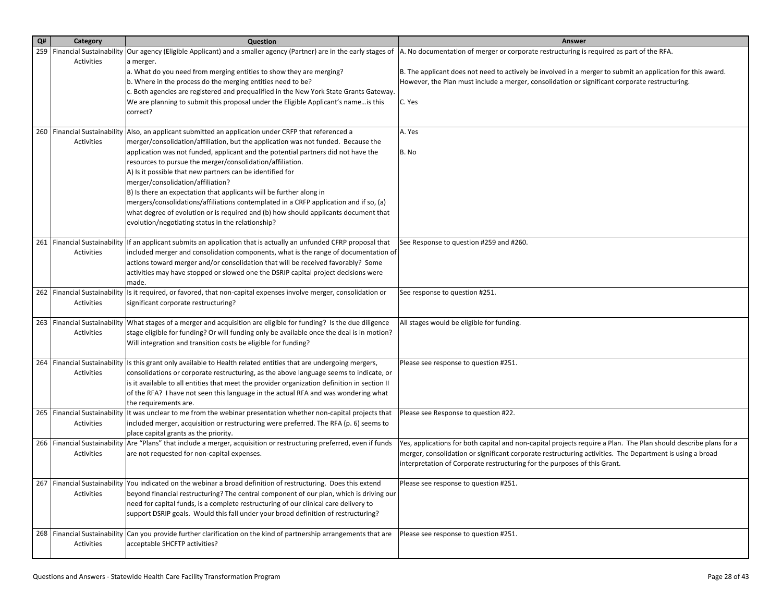| Q#  | Category   | Question                                                                                                                                       | Answer                                                                                                           |
|-----|------------|------------------------------------------------------------------------------------------------------------------------------------------------|------------------------------------------------------------------------------------------------------------------|
| 259 |            | Financial Sustainability Our agency (Eligible Applicant) and a smaller agency (Partner) are in the early stages of                             | A. No documentation of merger or corporate restructuring is required as part of the RFA.                         |
|     | Activities | a merger.                                                                                                                                      |                                                                                                                  |
|     |            | a. What do you need from merging entities to show they are merging?                                                                            | B. The applicant does not need to actively be involved in a merger to submit an application for this award.      |
|     |            | b. Where in the process do the merging entities need to be?                                                                                    | However, the Plan must include a merger, consolidation or significant corporate restructuring.                   |
|     |            | c. Both agencies are registered and prequalified in the New York State Grants Gateway.                                                         |                                                                                                                  |
|     |            | We are planning to submit this proposal under the Eligible Applicant's nameis this                                                             | C. Yes                                                                                                           |
|     |            | correct?                                                                                                                                       |                                                                                                                  |
|     |            |                                                                                                                                                |                                                                                                                  |
|     |            | 260 Financial Sustainability Also, an applicant submitted an application under CRFP that referenced a                                          | A. Yes                                                                                                           |
|     | Activities | merger/consolidation/affiliation, but the application was not funded. Because the                                                              |                                                                                                                  |
|     |            | application was not funded, applicant and the potential partners did not have the                                                              | B. No                                                                                                            |
|     |            | resources to pursue the merger/consolidation/affiliation.                                                                                      |                                                                                                                  |
|     |            | A) Is it possible that new partners can be identified for                                                                                      |                                                                                                                  |
|     |            | merger/consolidation/affiliation?                                                                                                              |                                                                                                                  |
|     |            | B) Is there an expectation that applicants will be further along in                                                                            |                                                                                                                  |
|     |            | mergers/consolidations/affiliations contemplated in a CRFP application and if so, (a)                                                          |                                                                                                                  |
|     |            | what degree of evolution or is required and (b) how should applicants document that                                                            |                                                                                                                  |
|     |            | evolution/negotiating status in the relationship?                                                                                              |                                                                                                                  |
|     |            |                                                                                                                                                |                                                                                                                  |
|     |            | 261   Financial Sustainability   If an applicant submits an application that is actually an unfunded CFRP proposal that                        | See Response to question #259 and #260.                                                                          |
|     | Activities | included merger and consolidation components, what is the range of documentation of                                                            |                                                                                                                  |
|     |            | actions toward merger and/or consolidation that will be received favorably? Some                                                               |                                                                                                                  |
|     |            | activities may have stopped or slowed one the DSRIP capital project decisions were                                                             |                                                                                                                  |
|     |            | made.                                                                                                                                          |                                                                                                                  |
|     |            | 262 Financial Sustainability Is it required, or favored, that non-capital expenses involve merger, consolidation or                            | See response to question #251.                                                                                   |
|     | Activities | significant corporate restructuring?                                                                                                           |                                                                                                                  |
|     |            |                                                                                                                                                |                                                                                                                  |
|     |            | 263   Financial Sustainability   What stages of a merger and acquisition are eligible for funding? Is the due diligence                        | All stages would be eligible for funding.                                                                        |
|     | Activities | stage eligible for funding? Or will funding only be available once the deal is in motion?                                                      |                                                                                                                  |
|     |            | Will integration and transition costs be eligible for funding?                                                                                 |                                                                                                                  |
|     |            |                                                                                                                                                |                                                                                                                  |
| 264 |            | Financial Sustainability Is this grant only available to Health related entities that are undergoing mergers,                                  | Please see response to question #251.                                                                            |
|     | Activities | consolidations or corporate restructuring, as the above language seems to indicate, or                                                         |                                                                                                                  |
|     |            | is it available to all entities that meet the provider organization definition in section II                                                   |                                                                                                                  |
|     |            | of the RFA? I have not seen this language in the actual RFA and was wondering what                                                             |                                                                                                                  |
|     |            | the requirements are.<br>265   Financial Sustainability   It was unclear to me from the webinar presentation whether non-capital projects that | Please see Response to question #22.                                                                             |
|     | Activities | included merger, acquisition or restructuring were preferred. The RFA (p. 6) seems to                                                          |                                                                                                                  |
|     |            | place capital grants as the priority.                                                                                                          |                                                                                                                  |
|     |            | 266 Financial Sustainability Are "Plans" that include a merger, acquisition or restructuring preferred, even if funds                          | Yes, applications for both capital and non-capital projects require a Plan. The Plan should describe plans for a |
|     | Activities | are not requested for non-capital expenses.                                                                                                    | merger, consolidation or significant corporate restructuring activities. The Department is using a broad         |
|     |            |                                                                                                                                                | interpretation of Corporate restructuring for the purposes of this Grant.                                        |
|     |            |                                                                                                                                                |                                                                                                                  |
|     |            | 267   Financial Sustainability   You indicated on the webinar a broad definition of restructuring. Does this extend                            | Please see response to question #251.                                                                            |
|     | Activities | beyond financial restructuring? The central component of our plan, which is driving our                                                        |                                                                                                                  |
|     |            | need for capital funds, is a complete restructuring of our clinical care delivery to                                                           |                                                                                                                  |
|     |            | support DSRIP goals. Would this fall under your broad definition of restructuring?                                                             |                                                                                                                  |
|     |            |                                                                                                                                                |                                                                                                                  |
|     |            | 268   Financial Sustainability Can you provide further clarification on the kind of partnership arrangements that are                          | Please see response to question #251.                                                                            |
|     | Activities | acceptable SHCFTP activities?                                                                                                                  |                                                                                                                  |
|     |            |                                                                                                                                                |                                                                                                                  |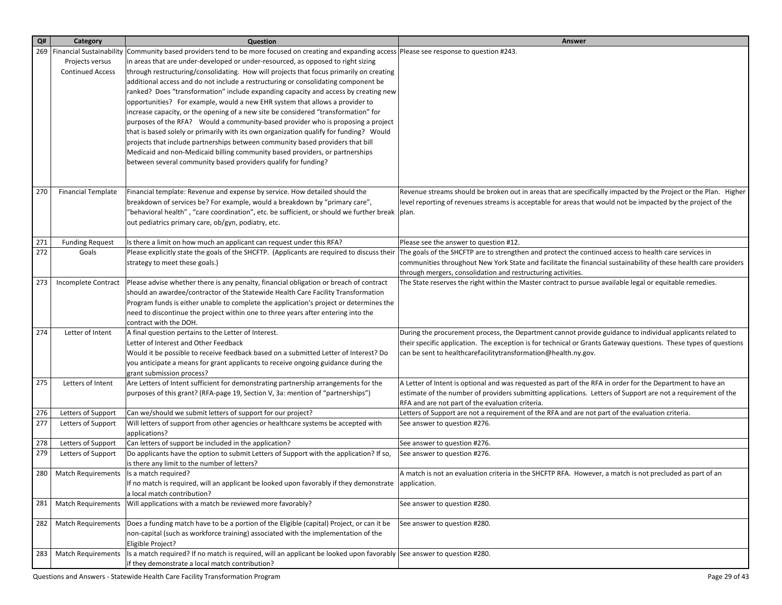| Q#  | Category                                  | Question                                                                                                                                                   | Answer                                                                                                                                                           |
|-----|-------------------------------------------|------------------------------------------------------------------------------------------------------------------------------------------------------------|------------------------------------------------------------------------------------------------------------------------------------------------------------------|
| 269 | <b>Financial Sustainability</b>           | Community based providers tend to be more focused on creating and expanding access Please see response to question #243.                                   |                                                                                                                                                                  |
|     | Projects versus                           | in areas that are under-developed or under-resourced, as opposed to right sizing                                                                           |                                                                                                                                                                  |
|     | <b>Continued Access</b>                   | through restructuring/consolidating. How will projects that focus primarily on creating                                                                    |                                                                                                                                                                  |
|     |                                           | additional access and do not include a restructuring or consolidating component be                                                                         |                                                                                                                                                                  |
|     |                                           | ranked? Does "transformation" include expanding capacity and access by creating new                                                                        |                                                                                                                                                                  |
|     |                                           | opportunities? For example, would a new EHR system that allows a provider to                                                                               |                                                                                                                                                                  |
|     |                                           | increase capacity, or the opening of a new site be considered "transformation" for                                                                         |                                                                                                                                                                  |
|     |                                           | purposes of the RFA? Would a community-based provider who is proposing a project                                                                           |                                                                                                                                                                  |
|     |                                           | that is based solely or primarily with its own organization qualify for funding? Would                                                                     |                                                                                                                                                                  |
|     |                                           | projects that include partnerships between community based providers that bill                                                                             |                                                                                                                                                                  |
|     |                                           | Medicaid and non-Medicaid billing community based providers, or partnerships                                                                               |                                                                                                                                                                  |
|     |                                           | between several community based providers qualify for funding?                                                                                             |                                                                                                                                                                  |
|     |                                           |                                                                                                                                                            |                                                                                                                                                                  |
|     |                                           |                                                                                                                                                            | Revenue streams should be broken out in areas that are specifically impacted by the Project or the Plan. Higher                                                  |
| 270 | <b>Financial Template</b>                 | Financial template: Revenue and expense by service. How detailed should the<br>breakdown of services be? For example, would a breakdown by "primary care", | level reporting of revenues streams is acceptable for areas that would not be impacted by the project of the                                                     |
|     |                                           | "behavioral health" , "care coordination", etc. be sufficient, or should we further break  plan.                                                           |                                                                                                                                                                  |
|     |                                           | out pediatrics primary care, ob/gyn, podiatry, etc.                                                                                                        |                                                                                                                                                                  |
|     |                                           |                                                                                                                                                            |                                                                                                                                                                  |
| 271 | <b>Funding Request</b>                    | Is there a limit on how much an applicant can request under this RFA?                                                                                      | Please see the answer to question #12.                                                                                                                           |
| 272 | Goals                                     | Please explicitly state the goals of the SHCFTP. (Applicants are required to discuss their                                                                 | The goals of the SHCFTP are to strengthen and protect the continued access to health care services in                                                            |
|     |                                           | strategy to meet these goals.)                                                                                                                             | communities throughout New York State and facilitate the financial sustainability of these health care providers                                                 |
|     |                                           |                                                                                                                                                            | through mergers, consolidation and restructuring activities.                                                                                                     |
| 273 | Incomplete Contract                       | Please advise whether there is any penalty, financial obligation or breach of contract                                                                     | The State reserves the right within the Master contract to pursue available legal or equitable remedies.                                                         |
|     |                                           | should an awardee/contractor of the Statewide Health Care Facility Transformation                                                                          |                                                                                                                                                                  |
|     |                                           | Program funds is either unable to complete the application's project or determines the                                                                     |                                                                                                                                                                  |
|     |                                           | need to discontinue the project within one to three years after entering into the                                                                          |                                                                                                                                                                  |
|     |                                           | contract with the DOH.                                                                                                                                     |                                                                                                                                                                  |
| 274 | Letter of Intent                          | A final question pertains to the Letter of Interest.                                                                                                       | During the procurement process, the Department cannot provide guidance to individual applicants related to                                                       |
|     |                                           | Letter of Interest and Other Feedback                                                                                                                      | their specific application. The exception is for technical or Grants Gateway questions. These types of questions                                                 |
|     |                                           | Would it be possible to receive feedback based on a submitted Letter of Interest? Do                                                                       | can be sent to healthcarefacilitytransformation@health.ny.gov.                                                                                                   |
|     |                                           | you anticipate a means for grant applicants to receive ongoing guidance during the                                                                         |                                                                                                                                                                  |
|     |                                           | grant submission process?                                                                                                                                  |                                                                                                                                                                  |
| 275 | Letters of Intent                         | Are Letters of Intent sufficient for demonstrating partnership arrangements for the                                                                        | A Letter of Intent is optional and was requested as part of the RFA in order for the Department to have an                                                       |
|     |                                           | purposes of this grant? (RFA-page 19, Section V, 3a: mention of "partnerships")                                                                            | estimate of the number of providers submitting applications. Letters of Support are not a requirement of the<br>RFA and are not part of the evaluation criteria. |
| 276 | Letters of Support                        | Can we/should we submit letters of support for our project?                                                                                                | Letters of Support are not a requirement of the RFA and are not part of the evaluation criteria.                                                                 |
| 277 | Letters of Support                        | Will letters of support from other agencies or healthcare systems be accepted with                                                                         | See answer to question #276.                                                                                                                                     |
|     |                                           | applications?                                                                                                                                              |                                                                                                                                                                  |
| 278 | Letters of Support                        | Can letters of support be included in the application?                                                                                                     | See answer to question #276.                                                                                                                                     |
| 279 | Letters of Support                        | Do applicants have the option to submit Letters of Support with the application? If so,                                                                    | See answer to question #276.                                                                                                                                     |
|     |                                           | is there any limit to the number of letters?                                                                                                               |                                                                                                                                                                  |
| 280 | Match Requirements   Is a match required? |                                                                                                                                                            | A match is not an evaluation criteria in the SHCFTP RFA. However, a match is not precluded as part of an                                                         |
|     |                                           | If no match is required, will an applicant be looked upon favorably if they demonstrate application.                                                       |                                                                                                                                                                  |
|     |                                           | a local match contribution?                                                                                                                                |                                                                                                                                                                  |
| 281 | <b>Match Requirements</b>                 | Will applications with a match be reviewed more favorably?                                                                                                 | See answer to question #280.                                                                                                                                     |
|     |                                           |                                                                                                                                                            |                                                                                                                                                                  |
| 282 | <b>Match Requirements</b>                 | Does a funding match have to be a portion of the Eligible (capital) Project, or can it be                                                                  | See answer to question #280.                                                                                                                                     |
|     |                                           | non-capital (such as workforce training) associated with the implementation of the                                                                         |                                                                                                                                                                  |
|     |                                           | Eligible Project?                                                                                                                                          |                                                                                                                                                                  |
| 283 | <b>Match Requirements</b>                 | Is a match required? If no match is required, will an applicant be looked upon favorably See answer to question #280.                                      |                                                                                                                                                                  |
|     |                                           | if they demonstrate a local match contribution?                                                                                                            |                                                                                                                                                                  |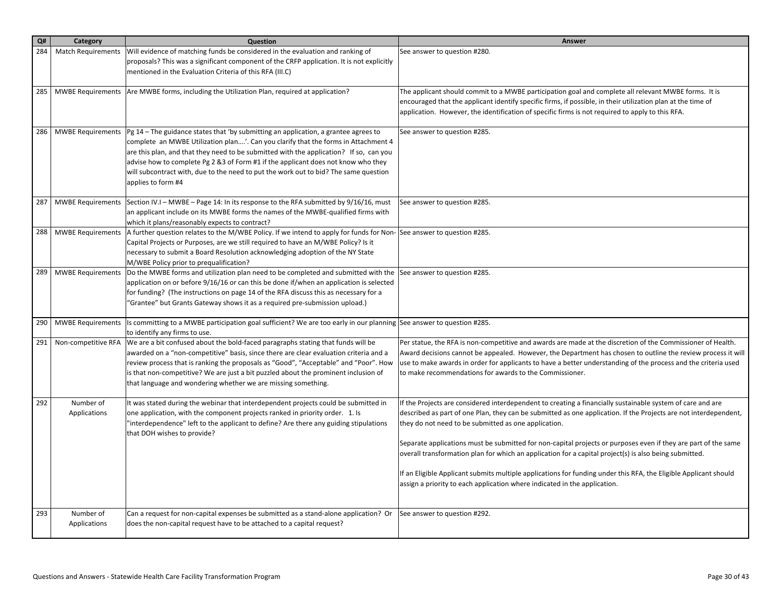| Q#  | Category                  | Question                                                                                                                                                                                                                                                                                                                                                                                                                                                                   | Answer                                                                                                                                                                                                                                                                                                                                                                                                                                                                                                                                                                                                                                                                                                              |
|-----|---------------------------|----------------------------------------------------------------------------------------------------------------------------------------------------------------------------------------------------------------------------------------------------------------------------------------------------------------------------------------------------------------------------------------------------------------------------------------------------------------------------|---------------------------------------------------------------------------------------------------------------------------------------------------------------------------------------------------------------------------------------------------------------------------------------------------------------------------------------------------------------------------------------------------------------------------------------------------------------------------------------------------------------------------------------------------------------------------------------------------------------------------------------------------------------------------------------------------------------------|
| 284 | <b>Match Requirements</b> | Will evidence of matching funds be considered in the evaluation and ranking of<br>proposals? This was a significant component of the CRFP application. It is not explicitly<br>mentioned in the Evaluation Criteria of this RFA (III.C)                                                                                                                                                                                                                                    | See answer to question #280.                                                                                                                                                                                                                                                                                                                                                                                                                                                                                                                                                                                                                                                                                        |
| 285 |                           | MWBE Requirements Are MWBE forms, including the Utilization Plan, required at application?                                                                                                                                                                                                                                                                                                                                                                                 | The applicant should commit to a MWBE participation goal and complete all relevant MWBE forms. It is<br>encouraged that the applicant identify specific firms, if possible, in their utilization plan at the time of<br>application. However, the identification of specific firms is not required to apply to this RFA.                                                                                                                                                                                                                                                                                                                                                                                            |
| 286 | <b>MWBE Requirements</b>  | $ Pg 14$ – The guidance states that 'by submitting an application, a grantee agrees to<br>complete an MWBE Utilization plan'. Can you clarify that the forms in Attachment 4<br>are this plan, and that they need to be submitted with the application? If so, can you<br>advise how to complete Pg 2 & 3 of Form #1 if the applicant does not know who they<br>will subcontract with, due to the need to put the work out to bid? The same question<br>applies to form #4 | See answer to question #285.                                                                                                                                                                                                                                                                                                                                                                                                                                                                                                                                                                                                                                                                                        |
| 287 |                           | MWBE Requirements Section IV.I - MWBE - Page 14: In its response to the RFA submitted by 9/16/16, must<br>an applicant include on its MWBE forms the names of the MWBE-qualified firms with<br>which it plans/reasonably expects to contract?                                                                                                                                                                                                                              | See answer to question #285.                                                                                                                                                                                                                                                                                                                                                                                                                                                                                                                                                                                                                                                                                        |
| 288 | <b>MWBE Requirements</b>  | A further question relates to the M/WBE Policy. If we intend to apply for funds for Non-See answer to question #285.<br>Capital Projects or Purposes, are we still required to have an M/WBE Policy? Is it<br>necessary to submit a Board Resolution acknowledging adoption of the NY State<br>M/WBE Policy prior to prequalification?                                                                                                                                     |                                                                                                                                                                                                                                                                                                                                                                                                                                                                                                                                                                                                                                                                                                                     |
| 289 | <b>MWBE Requirements</b>  | Do the MWBE forms and utilization plan need to be completed and submitted with the<br>application on or before 9/16/16 or can this be done if/when an application is selected<br>for funding? (The instructions on page 14 of the RFA discuss this as necessary for a<br>"Grantee" but Grants Gateway shows it as a required pre-submission upload.)                                                                                                                       | See answer to question #285.                                                                                                                                                                                                                                                                                                                                                                                                                                                                                                                                                                                                                                                                                        |
| 290 |                           | MWBE Requirements Is committing to a MWBE participation goal sufficient? We are too early in our planning See answer to question #285.<br>to identify any firms to use.                                                                                                                                                                                                                                                                                                    |                                                                                                                                                                                                                                                                                                                                                                                                                                                                                                                                                                                                                                                                                                                     |
| 291 | Non-competitive RFA       | We are a bit confused about the bold-faced paragraphs stating that funds will be<br>awarded on a "non-competitive" basis, since there are clear evaluation criteria and a<br>review process that is ranking the proposals as "Good", "Acceptable" and "Poor". How<br>is that non-competitive? We are just a bit puzzled about the prominent inclusion of<br>that language and wondering whether we are missing something.                                                  | Per statue, the RFA is non-competitive and awards are made at the discretion of the Commissioner of Health.<br>Award decisions cannot be appealed. However, the Department has chosen to outline the review process it will<br>use to make awards in order for applicants to have a better understanding of the process and the criteria used<br>to make recommendations for awards to the Commissioner.                                                                                                                                                                                                                                                                                                            |
| 292 | Number of<br>Applications | It was stated during the webinar that interdependent projects could be submitted in<br>one application, with the component projects ranked in priority order. 1. Is<br>"interdependence" left to the applicant to define? Are there any guiding stipulations<br>that DOH wishes to provide?                                                                                                                                                                                | If the Projects are considered interdependent to creating a financially sustainable system of care and are<br>described as part of one Plan, they can be submitted as one application. If the Projects are not interdependent,<br>they do not need to be submitted as one application.<br>Separate applications must be submitted for non-capital projects or purposes even if they are part of the same<br>overall transformation plan for which an application for a capital project(s) is also being submitted.<br>If an Eligible Applicant submits multiple applications for funding under this RFA, the Eligible Applicant should<br>assign a priority to each application where indicated in the application. |
| 293 | Number of<br>Applications | Can a request for non-capital expenses be submitted as a stand-alone application? Or<br>does the non-capital request have to be attached to a capital request?                                                                                                                                                                                                                                                                                                             | See answer to question #292.                                                                                                                                                                                                                                                                                                                                                                                                                                                                                                                                                                                                                                                                                        |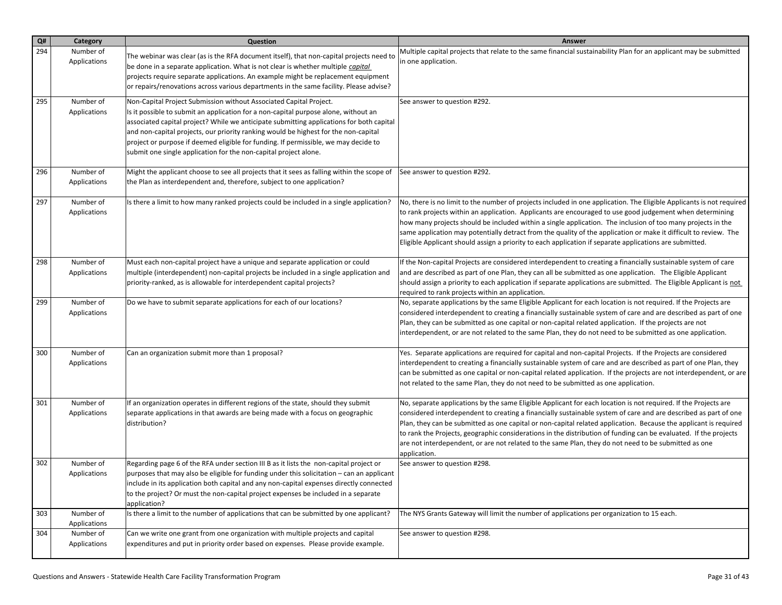| Q#  | Category                  | Question                                                                                                                                                                                                                                                                                                                                                                                                                                                                                                | <b>Answer</b>                                                                                                                                                                                                                                                                                                                                                                                                                                                                                                                                                                                      |
|-----|---------------------------|---------------------------------------------------------------------------------------------------------------------------------------------------------------------------------------------------------------------------------------------------------------------------------------------------------------------------------------------------------------------------------------------------------------------------------------------------------------------------------------------------------|----------------------------------------------------------------------------------------------------------------------------------------------------------------------------------------------------------------------------------------------------------------------------------------------------------------------------------------------------------------------------------------------------------------------------------------------------------------------------------------------------------------------------------------------------------------------------------------------------|
| 294 | Number of<br>Applications | The webinar was clear (as is the RFA document itself), that non-capital projects need to<br>be done in a separate application. What is not clear is whether multiple capital<br>projects require separate applications. An example might be replacement equipment<br>or repairs/renovations across various departments in the same facility. Please advise?                                                                                                                                             | Multiple capital projects that relate to the same financial sustainability Plan for an applicant may be submitted<br>in one application.                                                                                                                                                                                                                                                                                                                                                                                                                                                           |
| 295 | Number of<br>Applications | Non-Capital Project Submission without Associated Capital Project.<br>Is it possible to submit an application for a non-capital purpose alone, without an<br>associated capital project? While we anticipate submitting applications for both capital<br>and non-capital projects, our priority ranking would be highest for the non-capital<br>project or purpose if deemed eligible for funding. If permissible, we may decide to<br>submit one single application for the non-capital project alone. | See answer to question #292.                                                                                                                                                                                                                                                                                                                                                                                                                                                                                                                                                                       |
| 296 | Number of<br>Applications | Might the applicant choose to see all projects that it sees as falling within the scope of<br>the Plan as interdependent and, therefore, subject to one application?                                                                                                                                                                                                                                                                                                                                    | See answer to question #292.                                                                                                                                                                                                                                                                                                                                                                                                                                                                                                                                                                       |
| 297 | Number of<br>Applications | Is there a limit to how many ranked projects could be included in a single application?                                                                                                                                                                                                                                                                                                                                                                                                                 | No, there is no limit to the number of projects included in one application. The Eligible Applicants is not required<br>to rank projects within an application. Applicants are encouraged to use good judgement when determining<br>how many projects should be included within a single application. The inclusion of too many projects in the<br>same application may potentially detract from the quality of the application or make it difficult to review. The<br>Eligible Applicant should assign a priority to each application if separate applications are submitted.                     |
| 298 | Number of<br>Applications | Must each non-capital project have a unique and separate application or could<br>multiple (interdependent) non-capital projects be included in a single application and<br>priority-ranked, as is allowable for interdependent capital projects?                                                                                                                                                                                                                                                        | If the Non-capital Projects are considered interdependent to creating a financially sustainable system of care<br>and are described as part of one Plan, they can all be submitted as one application. The Eligible Applicant<br>should assign a priority to each application if separate applications are submitted. The Eligible Applicant is not<br>required to rank projects within an application.                                                                                                                                                                                            |
| 299 | Number of<br>Applications | Do we have to submit separate applications for each of our locations?                                                                                                                                                                                                                                                                                                                                                                                                                                   | No, separate applications by the same Eligible Applicant for each location is not required. If the Projects are<br>considered interdependent to creating a financially sustainable system of care and are described as part of one<br>Plan, they can be submitted as one capital or non-capital related application. If the projects are not<br>interdependent, or are not related to the same Plan, they do not need to be submitted as one application.                                                                                                                                          |
| 300 | Number of<br>Applications | Can an organization submit more than 1 proposal?                                                                                                                                                                                                                                                                                                                                                                                                                                                        | Yes. Separate applications are required for capital and non-capital Projects. If the Projects are considered<br>interdependent to creating a financially sustainable system of care and are described as part of one Plan, they<br>can be submitted as one capital or non-capital related application. If the projects are not interdependent, or are<br>not related to the same Plan, they do not need to be submitted as one application.                                                                                                                                                        |
| 301 | Number of<br>Applications | If an organization operates in different regions of the state, should they submit<br>separate applications in that awards are being made with a focus on geographic<br>distribution?                                                                                                                                                                                                                                                                                                                    | No, separate applications by the same Eligible Applicant for each location is not required. If the Projects are<br>considered interdependent to creating a financially sustainable system of care and are described as part of one<br>Plan, they can be submitted as one capital or non-capital related application. Because the applicant is required<br>to rank the Projects, geographic considerations in the distribution of funding can be evaluated. If the projects<br>are not interdependent, or are not related to the same Plan, they do not need to be submitted as one<br>application. |
| 302 | Number of<br>Applications | Regarding page 6 of the RFA under section III B as it lists the non-capital project or<br>$ $ purposes that may also be eligible for funding under this solicitation $-$ can an applicant<br>include in its application both capital and any non-capital expenses directly connected<br>to the project? Or must the non-capital project expenses be included in a separate<br>application?                                                                                                              | See answer to question #298.                                                                                                                                                                                                                                                                                                                                                                                                                                                                                                                                                                       |
| 303 | Number of<br>Applications | Is there a limit to the number of applications that can be submitted by one applicant?                                                                                                                                                                                                                                                                                                                                                                                                                  | The NYS Grants Gateway will limit the number of applications per organization to 15 each.                                                                                                                                                                                                                                                                                                                                                                                                                                                                                                          |
| 304 | Number of<br>Applications | Can we write one grant from one organization with multiple projects and capital<br>expenditures and put in priority order based on expenses. Please provide example.                                                                                                                                                                                                                                                                                                                                    | See answer to question #298.                                                                                                                                                                                                                                                                                                                                                                                                                                                                                                                                                                       |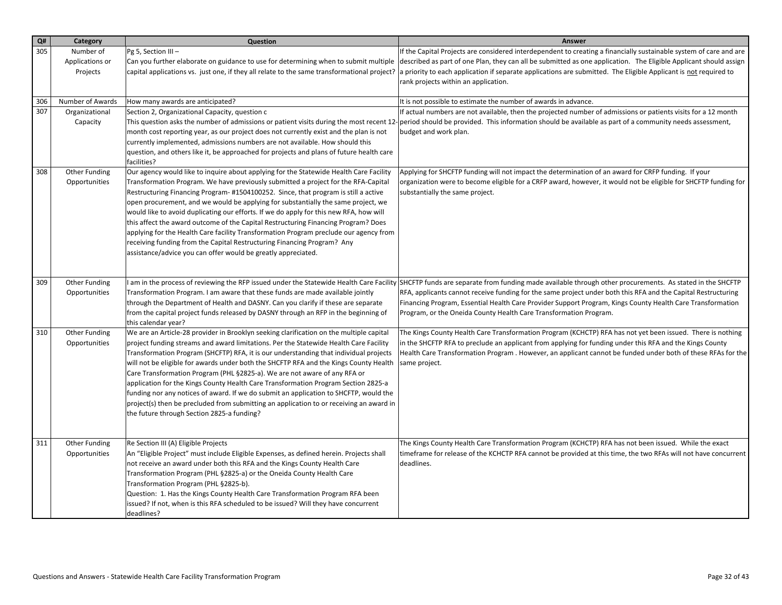| Q#  | Category                                 | Question                                                                                                                                                                                                                                                                                                                                                                                                                                                                                                                                                                                                                                                                                                                                                                     | Answer                                                                                                                                                                                                                                                                                                                                                                                                                                                                                                 |
|-----|------------------------------------------|------------------------------------------------------------------------------------------------------------------------------------------------------------------------------------------------------------------------------------------------------------------------------------------------------------------------------------------------------------------------------------------------------------------------------------------------------------------------------------------------------------------------------------------------------------------------------------------------------------------------------------------------------------------------------------------------------------------------------------------------------------------------------|--------------------------------------------------------------------------------------------------------------------------------------------------------------------------------------------------------------------------------------------------------------------------------------------------------------------------------------------------------------------------------------------------------------------------------------------------------------------------------------------------------|
| 305 | Number of<br>Applications or<br>Projects | Pg 5, Section III-<br>Can you further elaborate on guidance to use for determining when to submit multiple<br>capital applications vs. just one, if they all relate to the same transformational project?                                                                                                                                                                                                                                                                                                                                                                                                                                                                                                                                                                    | If the Capital Projects are considered interdependent to creating a financially sustainable system of care and are<br>described as part of one Plan, they can all be submitted as one application. The Eligible Applicant should assign<br>a priority to each application if separate applications are submitted. The Eligible Applicant is not required to<br>rank projects within an application.                                                                                                    |
| 306 | Number of Awards                         | How many awards are anticipated?                                                                                                                                                                                                                                                                                                                                                                                                                                                                                                                                                                                                                                                                                                                                             | It is not possible to estimate the number of awards in advance.                                                                                                                                                                                                                                                                                                                                                                                                                                        |
| 307 | Organizational<br>Capacity               | Section 2, Organizational Capacity, question c<br>This question asks the number of admissions or patient visits during the most recent 12-<br>month cost reporting year, as our project does not currently exist and the plan is not<br>currently implemented, admissions numbers are not available. How should this<br>question, and others like it, be approached for projects and plans of future health care<br>facilities?                                                                                                                                                                                                                                                                                                                                              | If actual numbers are not available, then the projected number of admissions or patients visits for a 12 month<br>period should be provided. This information should be available as part of a community needs assessment,<br>budget and work plan.                                                                                                                                                                                                                                                    |
| 308 | Other Funding<br>Opportunities           | Our agency would like to inquire about applying for the Statewide Health Care Facility<br>Transformation Program. We have previously submitted a project for the RFA-Capital<br>Restructuring Financing Program-#1504100252. Since, that program is still a active<br>open procurement, and we would be applying for substantially the same project, we<br>would like to avoid duplicating our efforts. If we do apply for this new RFA, how will<br>this affect the award outcome of the Capital Restructuring Financing Program? Does<br>applying for the Health Care facility Transformation Program preclude our agency from<br>receiving funding from the Capital Restructuring Financing Program? Any<br>assistance/advice you can offer would be greatly appreciated. | Applying for SHCFTP funding will not impact the determination of an award for CRFP funding. If your<br>organization were to become eligible for a CRFP award, however, it would not be eligible for SHCFTP funding for<br>substantially the same project.                                                                                                                                                                                                                                              |
| 309 | Other Funding<br>Opportunities           | Transformation Program. I am aware that these funds are made available jointly<br>through the Department of Health and DASNY. Can you clarify if these are separate<br>from the capital project funds released by DASNY through an RFP in the beginning of<br>this calendar year?                                                                                                                                                                                                                                                                                                                                                                                                                                                                                            | I am in the process of reviewing the RFP issued under the Statewide Health Care Facility SHCFTP funds are separate from funding made available through other procurements. As stated in the SHCFTP<br>RFA, applicants cannot receive funding for the same project under both this RFA and the Capital Restructuring<br>Financing Program, Essential Health Care Provider Support Program, Kings County Health Care Transformation<br>Program, or the Oneida County Health Care Transformation Program. |
| 310 | Other Funding<br>Opportunities           | We are an Article-28 provider in Brooklyn seeking clarification on the multiple capital<br>project funding streams and award limitations. Per the Statewide Health Care Facility<br>Transformation Program (SHCFTP) RFA, it is our understanding that individual projects<br>will not be eligible for awards under both the SHCFTP RFA and the Kings County Health<br>Care Transformation Program (PHL §2825-a). We are not aware of any RFA or<br>application for the Kings County Health Care Transformation Program Section 2825-a<br>funding nor any notices of award. If we do submit an application to SHCFTP, would the<br>project(s) then be precluded from submitting an application to or receiving an award in<br>the future through Section 2825-a funding?      | The Kings County Health Care Transformation Program (KCHCTP) RFA has not yet been issued. There is nothing<br>in the SHCFTP RFA to preclude an applicant from applying for funding under this RFA and the Kings County<br>Health Care Transformation Program . However, an applicant cannot be funded under both of these RFAs for the l<br>same project.                                                                                                                                              |
| 311 | Other Funding<br>Opportunities           | Re Section III (A) Eligible Projects<br>An "Eligible Project" must include Eligible Expenses, as defined herein. Projects shall<br>not receive an award under both this RFA and the Kings County Health Care<br>Transformation Program (PHL §2825-a) or the Oneida County Health Care<br>Transformation Program (PHL §2825-b).<br>Question: 1. Has the Kings County Health Care Transformation Program RFA been<br>issued? If not, when is this RFA scheduled to be issued? Will they have concurrent<br>deadlines?                                                                                                                                                                                                                                                          | The Kings County Health Care Transformation Program (KCHCTP) RFA has not been issued. While the exact<br>timeframe for release of the KCHCTP RFA cannot be provided at this time, the two RFAs will not have concurrent<br>deadlines.                                                                                                                                                                                                                                                                  |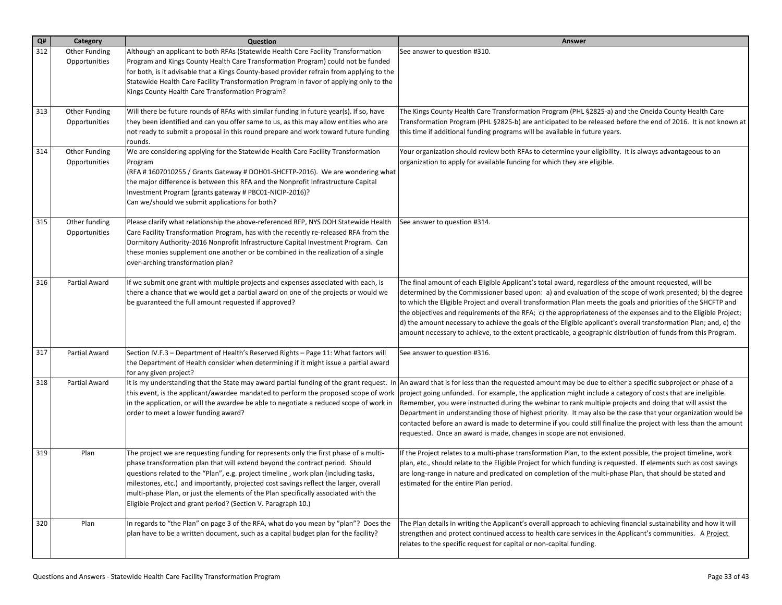| Q#  | Category                       | Question                                                                                                                                                                                                                                                                                                                                                                                                                                                                                                               | <b>Answer</b>                                                                                                                                                                                                                                                                                                                                                                                                                                                                                                                                                                                                                                                                                                                                     |
|-----|--------------------------------|------------------------------------------------------------------------------------------------------------------------------------------------------------------------------------------------------------------------------------------------------------------------------------------------------------------------------------------------------------------------------------------------------------------------------------------------------------------------------------------------------------------------|---------------------------------------------------------------------------------------------------------------------------------------------------------------------------------------------------------------------------------------------------------------------------------------------------------------------------------------------------------------------------------------------------------------------------------------------------------------------------------------------------------------------------------------------------------------------------------------------------------------------------------------------------------------------------------------------------------------------------------------------------|
| 312 | Other Funding<br>Opportunities | Although an applicant to both RFAs (Statewide Health Care Facility Transformation<br>Program and Kings County Health Care Transformation Program) could not be funded<br>for both, is it advisable that a Kings County-based provider refrain from applying to the<br>Statewide Health Care Facility Transformation Program in favor of applying only to the<br>Kings County Health Care Transformation Program?                                                                                                       | See answer to question #310.                                                                                                                                                                                                                                                                                                                                                                                                                                                                                                                                                                                                                                                                                                                      |
| 313 | Other Funding<br>Opportunities | Will there be future rounds of RFAs with similar funding in future year(s). If so, have<br>they been identified and can you offer same to us, as this may allow entities who are<br>not ready to submit a proposal in this round prepare and work toward future funding<br>rounds.                                                                                                                                                                                                                                     | The Kings County Health Care Transformation Program (PHL §2825-a) and the Oneida County Health Care<br>Transformation Program (PHL §2825-b) are anticipated to be released before the end of 2016. It is not known at<br>this time if additional funding programs will be available in future years.                                                                                                                                                                                                                                                                                                                                                                                                                                              |
| 314 | Other Funding<br>Opportunities | We are considering applying for the Statewide Health Care Facility Transformation<br>Program<br>(RFA #1607010255 / Grants Gateway #DOH01-SHCFTP-2016). We are wondering what<br>the major difference is between this RFA and the Nonprofit Infrastructure Capital<br>Investment Program (grants gateway # PBC01-NICIP-2016)?<br>Can we/should we submit applications for both?                                                                                                                                         | Your organization should review both RFAs to determine your eligibility. It is always advantageous to an<br>organization to apply for available funding for which they are eligible.                                                                                                                                                                                                                                                                                                                                                                                                                                                                                                                                                              |
| 315 | Other funding<br>Opportunities | Please clarify what relationship the above-referenced RFP, NYS DOH Statewide Health<br>Care Facility Transformation Program, has with the recently re-released RFA from the<br>Dormitory Authority-2016 Nonprofit Infrastructure Capital Investment Program. Can<br>these monies supplement one another or be combined in the realization of a single<br>over-arching transformation plan?                                                                                                                             | See answer to question #314.                                                                                                                                                                                                                                                                                                                                                                                                                                                                                                                                                                                                                                                                                                                      |
| 316 | Partial Award                  | If we submit one grant with multiple projects and expenses associated with each, is<br>there a chance that we would get a partial award on one of the projects or would we<br>be guaranteed the full amount requested if approved?                                                                                                                                                                                                                                                                                     | The final amount of each Eligible Applicant's total award, regardless of the amount requested, will be<br>determined by the Commissioner based upon: a) and evaluation of the scope of work presented; b) the degree<br>to which the Eligible Project and overall transformation Plan meets the goals and priorities of the SHCFTP and<br>the objectives and requirements of the RFA; c) the appropriateness of the expenses and to the Eligible Project;<br>d) the amount necessary to achieve the goals of the Eligible applicant's overall transformation Plan; and, e) the<br>amount necessary to achieve, to the extent practicable, a geographic distribution of funds from this Program.                                                   |
| 317 | Partial Award                  | Section IV.F.3 - Department of Health's Reserved Rights - Page 11: What factors will<br>the Department of Health consider when determining if it might issue a partial award<br>for any given project?                                                                                                                                                                                                                                                                                                                 | See answer to question #316.                                                                                                                                                                                                                                                                                                                                                                                                                                                                                                                                                                                                                                                                                                                      |
| 318 | Partial Award                  | this event, is the applicant/awardee mandated to perform the proposed scope of work<br>in the application, or will the awardee be able to negotiate a reduced scope of work in<br>order to meet a lower funding award?                                                                                                                                                                                                                                                                                                 | It is my understanding that the State may award partial funding of the grant request. In An award that is for less than the requested amount may be due to either a specific subproject or phase of a<br>project going unfunded. For example, the application might include a category of costs that are ineligible.<br>Remember, you were instructed during the webinar to rank multiple projects and doing that will assist the<br>Department in understanding those of highest priority. It may also be the case that your organization would be<br>contacted before an award is made to determine if you could still finalize the project with less than the amount<br>requested. Once an award is made, changes in scope are not envisioned. |
| 319 | Plan                           | The project we are requesting funding for represents only the first phase of a multi-<br>phase transformation plan that will extend beyond the contract period. Should<br>questions related to the "Plan", e.g. project timeline, work plan (including tasks,<br>milestones, etc.) and importantly, projected cost savings reflect the larger, overall<br>$\vert$ multi-phase Plan, or just the elements of the Plan specifically associated with the<br>Eligible Project and grant period? (Section V. Paragraph 10.) | If the Project relates to a multi-phase transformation Plan, to the extent possible, the project timeline, work<br>plan, etc., should relate to the Eligible Project for which funding is requested. If elements such as cost savings<br>are long-range in nature and predicated on completion of the multi-phase Plan, that should be stated and<br>estimated for the entire Plan period.                                                                                                                                                                                                                                                                                                                                                        |
| 320 | Plan                           | In regards to "the Plan" on page 3 of the RFA, what do you mean by "plan"? Does the<br>plan have to be a written document, such as a capital budget plan for the facility?                                                                                                                                                                                                                                                                                                                                             | The Plan details in writing the Applicant's overall approach to achieving financial sustainability and how it will<br>strengthen and protect continued access to health care services in the Applicant's communities. A Project<br>relates to the specific request for capital or non-capital funding.                                                                                                                                                                                                                                                                                                                                                                                                                                            |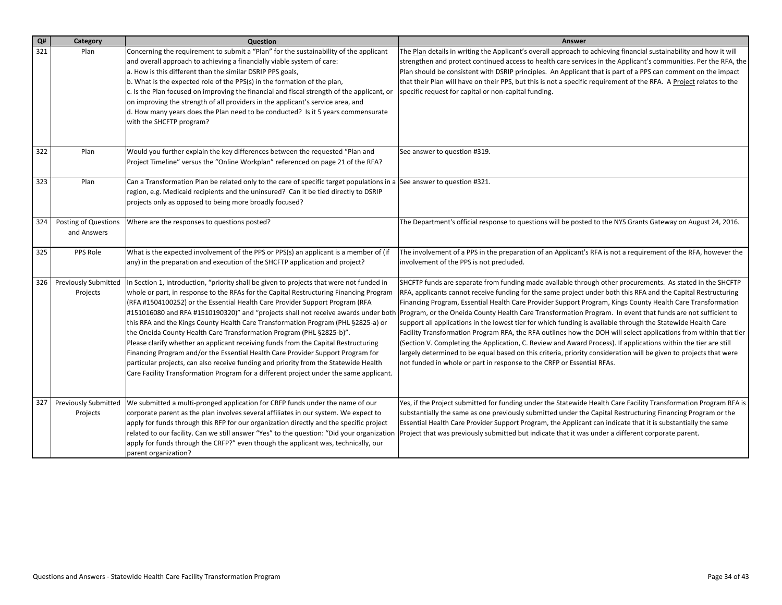| Q#  | Category                                | <b>Question</b>                                                                                                                                                                                                                                                                                                                                                                                                                                                                                                                                                                                                                                                                                                                                                                                                                                                                  | <b>Answer</b>                                                                                                                                                                                                                                                                                                                                                                                                                                                                                                                                                                                                                                                                                                                                                                                                                                                                                                                                                                                                 |
|-----|-----------------------------------------|----------------------------------------------------------------------------------------------------------------------------------------------------------------------------------------------------------------------------------------------------------------------------------------------------------------------------------------------------------------------------------------------------------------------------------------------------------------------------------------------------------------------------------------------------------------------------------------------------------------------------------------------------------------------------------------------------------------------------------------------------------------------------------------------------------------------------------------------------------------------------------|---------------------------------------------------------------------------------------------------------------------------------------------------------------------------------------------------------------------------------------------------------------------------------------------------------------------------------------------------------------------------------------------------------------------------------------------------------------------------------------------------------------------------------------------------------------------------------------------------------------------------------------------------------------------------------------------------------------------------------------------------------------------------------------------------------------------------------------------------------------------------------------------------------------------------------------------------------------------------------------------------------------|
| 321 | Plan                                    | Concerning the requirement to submit a "Plan" for the sustainability of the applicant<br>and overall approach to achieving a financially viable system of care:<br>a. How is this different than the similar DSRIP PPS goals,<br>b. What is the expected role of the PPS(s) in the formation of the plan,<br>c. Is the Plan focused on improving the financial and fiscal strength of the applicant, or<br>on improving the strength of all providers in the applicant's service area, and<br>d. How many years does the Plan need to be conducted? Is it 5 years commensurate<br>with the SHCFTP program?                                                                                                                                                                                                                                                                       | The Plan details in writing the Applicant's overall approach to achieving financial sustainability and how it will<br>strengthen and protect continued access to health care services in the Applicant's communities. Per the RFA, the<br>Plan should be consistent with DSRIP principles. An Applicant that is part of a PPS can comment on the impact<br>that their Plan will have on their PPS, but this is not a specific requirement of the RFA. A Project relates to the<br>specific request for capital or non-capital funding.                                                                                                                                                                                                                                                                                                                                                                                                                                                                        |
| 322 | Plan                                    | Would you further explain the key differences between the requested "Plan and<br>Project Timeline" versus the "Online Workplan" referenced on page 21 of the RFA?                                                                                                                                                                                                                                                                                                                                                                                                                                                                                                                                                                                                                                                                                                                | See answer to question #319.                                                                                                                                                                                                                                                                                                                                                                                                                                                                                                                                                                                                                                                                                                                                                                                                                                                                                                                                                                                  |
| 323 | Plan                                    | Can a Transformation Plan be related only to the care of specific target populations in a See answer to question #321.<br>region, e.g. Medicaid recipients and the uninsured? Can it be tied directly to DSRIP<br>projects only as opposed to being more broadly focused?                                                                                                                                                                                                                                                                                                                                                                                                                                                                                                                                                                                                        |                                                                                                                                                                                                                                                                                                                                                                                                                                                                                                                                                                                                                                                                                                                                                                                                                                                                                                                                                                                                               |
| 324 | Posting of Questions<br>and Answers     | Where are the responses to questions posted?                                                                                                                                                                                                                                                                                                                                                                                                                                                                                                                                                                                                                                                                                                                                                                                                                                     | The Department's official response to questions will be posted to the NYS Grants Gateway on August 24, 2016.                                                                                                                                                                                                                                                                                                                                                                                                                                                                                                                                                                                                                                                                                                                                                                                                                                                                                                  |
| 325 | PPS Role                                | What is the expected involvement of the PPS or PPS(s) an applicant is a member of (if<br>any) in the preparation and execution of the SHCFTP application and project?                                                                                                                                                                                                                                                                                                                                                                                                                                                                                                                                                                                                                                                                                                            | The involvement of a PPS in the preparation of an Applicant's RFA is not a requirement of the RFA, however the<br>involvement of the PPS is not precluded.                                                                                                                                                                                                                                                                                                                                                                                                                                                                                                                                                                                                                                                                                                                                                                                                                                                    |
| 326 | <b>Previously Submitted</b><br>Projects | In Section 1, Introduction, "priority shall be given to projects that were not funded in<br>whole or part, in response to the RFAs for the Capital Restructuring Financing Program<br>(RFA #1504100252) or the Essential Health Care Provider Support Program (RFA<br>#151016080 and RFA #1510190320)" and "projects shall not receive awards under both<br>this RFA and the Kings County Health Care Transformation Program (PHL §2825-a) or<br>the Oneida County Health Care Transformation Program (PHL §2825-b)".<br>Please clarify whether an applicant receiving funds from the Capital Restructuring<br>Financing Program and/or the Essential Health Care Provider Support Program for<br>particular projects, can also receive funding and priority from the Statewide Health<br>Care Facility Transformation Program for a different project under the same applicant. | SHCFTP funds are separate from funding made available through other procurements. As stated in the SHCFTP<br>RFA, applicants cannot receive funding for the same project under both this RFA and the Capital Restructuring<br>Financing Program, Essential Health Care Provider Support Program, Kings County Health Care Transformation<br>Program, or the Oneida County Health Care Transformation Program. In event that funds are not sufficient to<br>support all applications in the lowest tier for which funding is available through the Statewide Health Care<br>Facility Transformation Program RFA, the RFA outlines how the DOH will select applications from within that tier<br>(Section V. Completing the Application, C. Review and Award Process). If applications within the tier are still<br>largely determined to be equal based on this criteria, priority consideration will be given to projects that were<br>not funded in whole or part in response to the CRFP or Essential RFAs. |
| 327 | <b>Previously Submitted</b><br>Projects | We submitted a multi-pronged application for CRFP funds under the name of our<br>corporate parent as the plan involves several affiliates in our system. We expect to<br>apply for funds through this RFP for our organization directly and the specific project<br>related to our facility. Can we still answer "Yes" to the question: "Did your organization<br>apply for funds through the CRFP?" even though the applicant was, technically, our<br>parent organization?                                                                                                                                                                                                                                                                                                                                                                                                     | Yes, if the Project submitted for funding under the Statewide Health Care Facility Transformation Program RFA is<br>substantially the same as one previously submitted under the Capital Restructuring Financing Program or the<br>Essential Health Care Provider Support Program, the Applicant can indicate that it is substantially the same<br>Project that was previously submitted but indicate that it was under a different corporate parent.                                                                                                                                                                                                                                                                                                                                                                                                                                                                                                                                                         |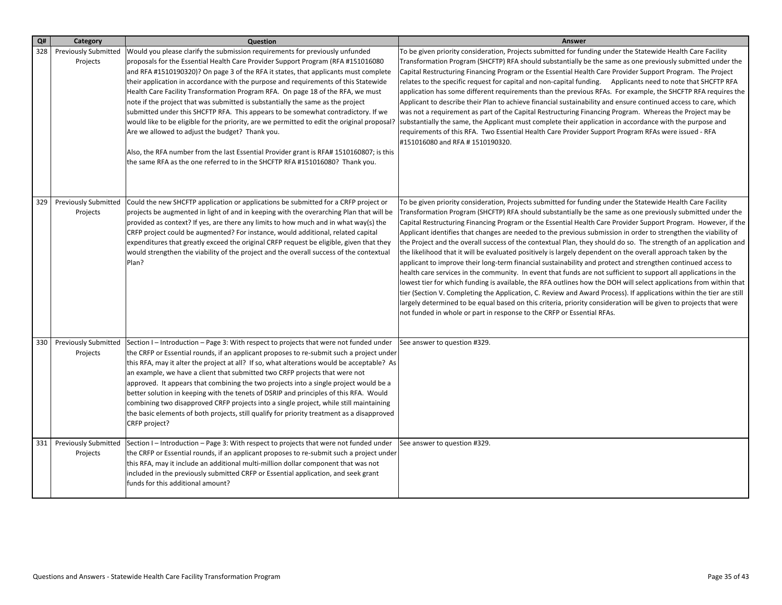| Q#  | Category                                | Question                                                                                                                                                                                                                                                                                                                                                                                                                                                                                                                                                                                                                                                                                                                                                                                                                                                                                                                               | Answer                                                                                                                                                                                                                                                                                                                                                                                                                                                                                                                                                                                                                                                                                                                                                                                                                                                                                                                                                                                                                                                                                                                                                                                                                                                                                                                                                                                |
|-----|-----------------------------------------|----------------------------------------------------------------------------------------------------------------------------------------------------------------------------------------------------------------------------------------------------------------------------------------------------------------------------------------------------------------------------------------------------------------------------------------------------------------------------------------------------------------------------------------------------------------------------------------------------------------------------------------------------------------------------------------------------------------------------------------------------------------------------------------------------------------------------------------------------------------------------------------------------------------------------------------|---------------------------------------------------------------------------------------------------------------------------------------------------------------------------------------------------------------------------------------------------------------------------------------------------------------------------------------------------------------------------------------------------------------------------------------------------------------------------------------------------------------------------------------------------------------------------------------------------------------------------------------------------------------------------------------------------------------------------------------------------------------------------------------------------------------------------------------------------------------------------------------------------------------------------------------------------------------------------------------------------------------------------------------------------------------------------------------------------------------------------------------------------------------------------------------------------------------------------------------------------------------------------------------------------------------------------------------------------------------------------------------|
| 328 | <b>Previously Submitted</b><br>Projects | Would you please clarify the submission requirements for previously unfunded<br>proposals for the Essential Health Care Provider Support Program (RFA #151016080<br>and RFA #1510190320)? On page 3 of the RFA it states, that applicants must complete<br>their application in accordance with the purpose and requirements of this Statewide<br>Health Care Facility Transformation Program RFA. On page 18 of the RFA, we must<br>note if the project that was submitted is substantially the same as the project<br>submitted under this SHCFTP RFA. This appears to be somewhat contradictory. If we<br>would like to be eligible for the priority, are we permitted to edit the original proposal?<br>Are we allowed to adjust the budget? Thank you.<br>Also, the RFA number from the last Essential Provider grant is RFA# 1510160807; is this<br>the same RFA as the one referred to in the SHCFTP RFA #151016080? Thank you. | To be given priority consideration, Projects submitted for funding under the Statewide Health Care Facility<br>Transformation Program (SHCFTP) RFA should substantially be the same as one previously submitted under the<br>Capital Restructuring Financing Program or the Essential Health Care Provider Support Program. The Project<br>relates to the specific request for capital and non-capital funding. Applicants need to note that SHCFTP RFA<br>application has some different requirements than the previous RFAs. For example, the SHCFTP RFA requires the<br>Applicant to describe their Plan to achieve financial sustainability and ensure continued access to care, which<br>was not a requirement as part of the Capital Restructuring Financing Program. Whereas the Project may be<br>substantially the same, the Applicant must complete their application in accordance with the purpose and<br>requirements of this RFA. Two Essential Health Care Provider Support Program RFAs were issued - RFA<br>#151016080 and RFA # 1510190320.                                                                                                                                                                                                                                                                                                                         |
| 329 | Projects                                | Previously Submitted   Could the new SHCFTP application or applications be submitted for a CRFP project or<br>projects be augmented in light of and in keeping with the overarching Plan that will be<br>provided as context? If yes, are there any limits to how much and in what way(s) the<br>CRFP project could be augmented? For instance, would additional, related capital<br>expenditures that greatly exceed the original CRFP request be eligible, given that they<br>would strengthen the viability of the project and the overall success of the contextual<br>Plan?                                                                                                                                                                                                                                                                                                                                                       | To be given priority consideration, Projects submitted for funding under the Statewide Health Care Facility<br>Transformation Program (SHCFTP) RFA should substantially be the same as one previously submitted under the<br>Capital Restructuring Financing Program or the Essential Health Care Provider Support Program. However, if the<br>Applicant identifies that changes are needed to the previous submission in order to strengthen the viability of<br>the Project and the overall success of the contextual Plan, they should do so. The strength of an application and<br>the likelihood that it will be evaluated positively is largely dependent on the overall approach taken by the<br>applicant to improve their long-term financial sustainability and protect and strengthen continued access to<br>health care services in the community. In event that funds are not sufficient to support all applications in the<br>lowest tier for which funding is available, the RFA outlines how the DOH will select applications from within that<br>tier (Section V. Completing the Application, C. Review and Award Process). If applications within the tier are still<br>largely determined to be equal based on this criteria, priority consideration will be given to projects that were<br>not funded in whole or part in response to the CRFP or Essential RFAs. |
| 330 | <b>Previously Submitted</b><br>Projects | Section I - Introduction - Page 3: With respect to projects that were not funded under<br>the CRFP or Essential rounds, if an applicant proposes to re-submit such a project under<br>this RFA, may it alter the project at all? If so, what alterations would be acceptable? As<br>an example, we have a client that submitted two CRFP projects that were not<br>approved. It appears that combining the two projects into a single project would be a<br>better solution in keeping with the tenets of DSRIP and principles of this RFA. Would<br>combining two disapproved CRFP projects into a single project, while still maintaining<br>the basic elements of both projects, still qualify for priority treatment as a disapproved<br>CRFP project?                                                                                                                                                                             | See answer to question #329.                                                                                                                                                                                                                                                                                                                                                                                                                                                                                                                                                                                                                                                                                                                                                                                                                                                                                                                                                                                                                                                                                                                                                                                                                                                                                                                                                          |
| 331 | <b>Previously Submitted</b><br>Projects | Section I – Introduction – Page 3: With respect to projects that were not funded under<br>the CRFP or Essential rounds, if an applicant proposes to re-submit such a project under<br>this RFA, may it include an additional multi-million dollar component that was not<br>included in the previously submitted CRFP or Essential application, and seek grant<br>funds for this additional amount?                                                                                                                                                                                                                                                                                                                                                                                                                                                                                                                                    | See answer to question #329.                                                                                                                                                                                                                                                                                                                                                                                                                                                                                                                                                                                                                                                                                                                                                                                                                                                                                                                                                                                                                                                                                                                                                                                                                                                                                                                                                          |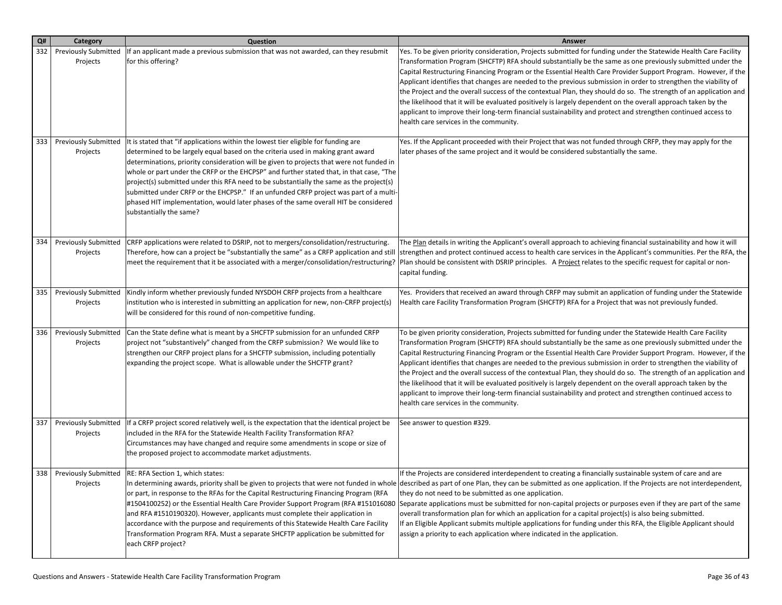| Q#  | Category                                | Question                                                                                                                                                                                                                                                                                                                                                                                                                                                                                                                                                                                                                                                           | Answer                                                                                                                                                                                                                                                                                                                                                                                                                                                                                                                                                                                                                                                                                                                                                                                                                                                              |
|-----|-----------------------------------------|--------------------------------------------------------------------------------------------------------------------------------------------------------------------------------------------------------------------------------------------------------------------------------------------------------------------------------------------------------------------------------------------------------------------------------------------------------------------------------------------------------------------------------------------------------------------------------------------------------------------------------------------------------------------|---------------------------------------------------------------------------------------------------------------------------------------------------------------------------------------------------------------------------------------------------------------------------------------------------------------------------------------------------------------------------------------------------------------------------------------------------------------------------------------------------------------------------------------------------------------------------------------------------------------------------------------------------------------------------------------------------------------------------------------------------------------------------------------------------------------------------------------------------------------------|
| 332 | <b>Previously Submitted</b><br>Projects | If an applicant made a previous submission that was not awarded, can they resubmit<br>for this offering?                                                                                                                                                                                                                                                                                                                                                                                                                                                                                                                                                           | Yes. To be given priority consideration, Projects submitted for funding under the Statewide Health Care Facility<br>Transformation Program (SHCFTP) RFA should substantially be the same as one previously submitted under the<br>Capital Restructuring Financing Program or the Essential Health Care Provider Support Program. However, if the<br>Applicant identifies that changes are needed to the previous submission in order to strengthen the viability of<br>the Project and the overall success of the contextual Plan, they should do so. The strength of an application and<br>the likelihood that it will be evaluated positively is largely dependent on the overall approach taken by the<br>applicant to improve their long-term financial sustainability and protect and strengthen continued access to<br>health care services in the community. |
| 333 | <b>Previously Submitted</b><br>Projects | It is stated that "if applications within the lowest tier eligible for funding are<br>determined to be largely equal based on the criteria used in making grant award<br>determinations, priority consideration will be given to projects that were not funded in<br>whole or part under the CRFP or the EHCPSP" and further stated that, in that case, "The<br>project(s) submitted under this RFA need to be substantially the same as the project(s)<br>submitted under CRFP or the EHCPSP." If an unfunded CRFP project was part of a multi-<br>phased HIT implementation, would later phases of the same overall HIT be considered<br>substantially the same? | Yes. If the Applicant proceeded with their Project that was not funded through CRFP, they may apply for the<br>later phases of the same project and it would be considered substantially the same.                                                                                                                                                                                                                                                                                                                                                                                                                                                                                                                                                                                                                                                                  |
| 334 | <b>Previously Submitted</b><br>Projects | CRFP applications were related to DSRIP, not to mergers/consolidation/restructuring.<br>Therefore, how can a project be "substantially the same" as a CRFP application and still<br>meet the requirement that it be associated with a merger/consolidation/restructuring?                                                                                                                                                                                                                                                                                                                                                                                          | The Plan details in writing the Applicant's overall approach to achieving financial sustainability and how it will<br>strengthen and protect continued access to health care services in the Applicant's communities. Per the RFA, the<br>Plan should be consistent with DSRIP principles. A Project relates to the specific request for capital or non-<br>capital funding.                                                                                                                                                                                                                                                                                                                                                                                                                                                                                        |
| 335 | Previously Submitted<br>Projects        | Kindly inform whether previously funded NYSDOH CRFP projects from a healthcare<br>institution who is interested in submitting an application for new, non-CRFP project(s)<br>will be considered for this round of non-competitive funding.                                                                                                                                                                                                                                                                                                                                                                                                                         | Yes. Providers that received an award through CRFP may submit an application of funding under the Statewide<br>Health care Facility Transformation Program (SHCFTP) RFA for a Project that was not previously funded.                                                                                                                                                                                                                                                                                                                                                                                                                                                                                                                                                                                                                                               |
| 336 | <b>Previously Submitted</b><br>Projects | Can the State define what is meant by a SHCFTP submission for an unfunded CRFP<br>project not "substantively" changed from the CRFP submission? We would like to<br>strengthen our CRFP project plans for a SHCFTP submission, including potentially<br>expanding the project scope. What is allowable under the SHCFTP grant?                                                                                                                                                                                                                                                                                                                                     | To be given priority consideration, Projects submitted for funding under the Statewide Health Care Facility<br>Transformation Program (SHCFTP) RFA should substantially be the same as one previously submitted under the<br>Capital Restructuring Financing Program or the Essential Health Care Provider Support Program. However, if the<br>Applicant identifies that changes are needed to the previous submission in order to strengthen the viability of<br>the Project and the overall success of the contextual Plan, they should do so. The strength of an application and<br>the likelihood that it will be evaluated positively is largely dependent on the overall approach taken by the<br>applicant to improve their long-term financial sustainability and protect and strengthen continued access to<br>health care services in the community.      |
| 337 | <b>Previously Submitted</b><br>Projects | If a CRFP project scored relatively well, is the expectation that the identical project be<br>included in the RFA for the Statewide Health Facility Transformation RFA?<br>Circumstances may have changed and require some amendments in scope or size of<br>the proposed project to accommodate market adjustments.                                                                                                                                                                                                                                                                                                                                               | See answer to question #329.                                                                                                                                                                                                                                                                                                                                                                                                                                                                                                                                                                                                                                                                                                                                                                                                                                        |
| 338 | Projects                                | Previously Submitted   RE: RFA Section 1, which states:<br>or part, in response to the RFAs for the Capital Restructuring Financing Program (RFA<br>#1504100252) or the Essential Health Care Provider Support Program (RFA #151016080<br>and RFA #1510190320). However, applicants must complete their application in<br>accordance with the purpose and requirements of this Statewide Health Care Facility<br>Transformation Program RFA. Must a separate SHCFTP application be submitted for<br>each CRFP project?                                                                                                                                             | If the Projects are considered interdependent to creating a financially sustainable system of care and are<br>In determining awards, priority shall be given to projects that were not funded in whole described as part of one Plan, they can be submitted as one application. If the Projects are not interdependent,<br>they do not need to be submitted as one application.<br>Separate applications must be submitted for non-capital projects or purposes even if they are part of the same<br>overall transformation plan for which an application for a capital project(s) is also being submitted.<br>If an Eligible Applicant submits multiple applications for funding under this RFA, the Eligible Applicant should<br>assign a priority to each application where indicated in the application.                                                        |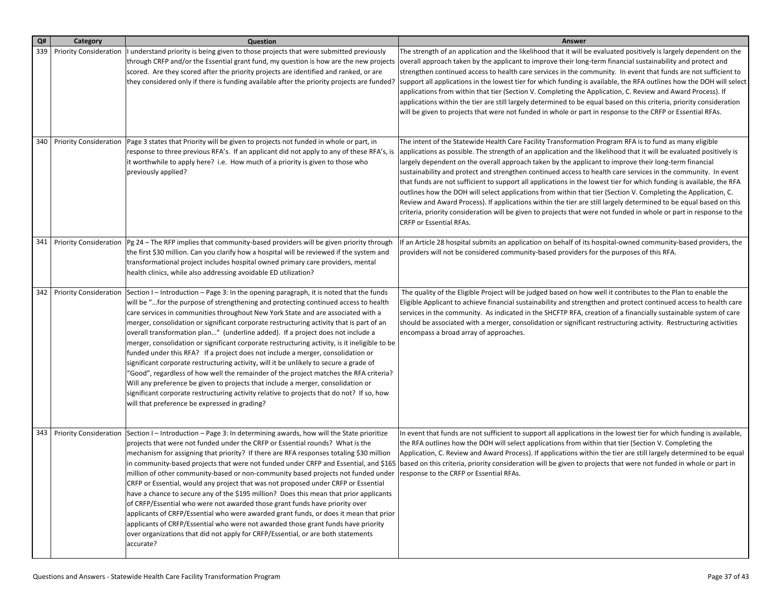| Q#  | Category                      | Question                                                                                                                                                                                                                                                                                                                                                                                                                                                                                                                                                                                                                                                                                                                                                                                                                                                                                                                                                                                                                                                     | <b>Answer</b>                                                                                                                                                                                                                                                                                                                                                                                                                                                                                                                                                                                                                                                                                                                                                                                                                                                                                                                                                                    |
|-----|-------------------------------|--------------------------------------------------------------------------------------------------------------------------------------------------------------------------------------------------------------------------------------------------------------------------------------------------------------------------------------------------------------------------------------------------------------------------------------------------------------------------------------------------------------------------------------------------------------------------------------------------------------------------------------------------------------------------------------------------------------------------------------------------------------------------------------------------------------------------------------------------------------------------------------------------------------------------------------------------------------------------------------------------------------------------------------------------------------|----------------------------------------------------------------------------------------------------------------------------------------------------------------------------------------------------------------------------------------------------------------------------------------------------------------------------------------------------------------------------------------------------------------------------------------------------------------------------------------------------------------------------------------------------------------------------------------------------------------------------------------------------------------------------------------------------------------------------------------------------------------------------------------------------------------------------------------------------------------------------------------------------------------------------------------------------------------------------------|
| 339 |                               | Priority Consideration   I understand priority is being given to those projects that were submitted previously<br>through CRFP and/or the Essential grant fund, my question is how are the new projects<br>scored. Are they scored after the priority projects are identified and ranked, or are<br>they considered only if there is funding available after the priority projects are funded?                                                                                                                                                                                                                                                                                                                                                                                                                                                                                                                                                                                                                                                               | The strength of an application and the likelihood that it will be evaluated positively is largely dependent on the<br>overall approach taken by the applicant to improve their long-term financial sustainability and protect and<br>strengthen continued access to health care services in the community. In event that funds are not sufficient to<br>support all applications in the lowest tier for which funding is available, the RFA outlines how the DOH will select<br>applications from within that tier (Section V. Completing the Application, C. Review and Award Process). If<br>applications within the tier are still largely determined to be equal based on this criteria, priority consideration<br>will be given to projects that were not funded in whole or part in response to the CRFP or Essential RFAs.                                                                                                                                                |
|     |                               | 340   Priority Consideration   Page 3 states that Priority will be given to projects not funded in whole or part, in<br>response to three previous RFA's. If an applicant did not apply to any of these RFA's, is<br>it worthwhile to apply here? i.e. How much of a priority is given to those who<br>previously applied?                                                                                                                                                                                                                                                                                                                                                                                                                                                                                                                                                                                                                                                                                                                                   | The intent of the Statewide Health Care Facility Transformation Program RFA is to fund as many eligible<br>applications as possible. The strength of an application and the likelihood that it will be evaluated positively is<br>largely dependent on the overall approach taken by the applicant to improve their long-term financial<br>sustainability and protect and strengthen continued access to health care services in the community. In event<br>that funds are not sufficient to support all applications in the lowest tier for which funding is available, the RFA<br>outlines how the DOH will select applications from within that tier (Section V. Completing the Application, C.<br>Review and Award Process). If applications within the tier are still largely determined to be equal based on this<br>criteria, priority consideration will be given to projects that were not funded in whole or part in response to the<br><b>CRFP or Essential RFAs.</b> |
| 341 |                               | Priority Consideration $ Pg 24 -$ The RFP implies that community-based providers will be given priority through<br>the first \$30 million. Can you clarify how a hospital will be reviewed if the system and<br>transformational project includes hospital owned primary care providers, mental<br>health clinics, while also addressing avoidable ED utilization?                                                                                                                                                                                                                                                                                                                                                                                                                                                                                                                                                                                                                                                                                           | If an Article 28 hospital submits an application on behalf of its hospital-owned community-based providers, the<br>providers will not be considered community-based providers for the purposes of this RFA.                                                                                                                                                                                                                                                                                                                                                                                                                                                                                                                                                                                                                                                                                                                                                                      |
| 342 | <b>Priority Consideration</b> | Section $I$ – Introduction – Page 3: In the opening paragraph, it is noted that the funds<br>will be "for the purpose of strengthening and protecting continued access to health<br>care services in communities throughout New York State and are associated with a<br>merger, consolidation or significant corporate restructuring activity that is part of an<br>overall transformation plan" (underline added). If a project does not include a<br>merger, consolidation or significant corporate restructuring activity, is it ineligible to be<br>funded under this RFA? If a project does not include a merger, consolidation or<br>significant corporate restructuring activity, will it be unlikely to secure a grade of<br>"Good", regardless of how well the remainder of the project matches the RFA criteria?<br>Will any preference be given to projects that include a merger, consolidation or<br>significant corporate restructuring activity relative to projects that do not? If so, how<br>will that preference be expressed in grading? | The quality of the Eligible Project will be judged based on how well it contributes to the Plan to enable the<br>Eligible Applicant to achieve financial sustainability and strengthen and protect continued access to health care<br>services in the community. As indicated in the SHCFTP RFA, creation of a financially sustainable system of care<br>should be associated with a merger, consolidation or significant restructuring activity. Restructuring activities<br>encompass a broad array of approaches.                                                                                                                                                                                                                                                                                                                                                                                                                                                             |
|     | 343   Priority Consideration  | Section I – Introduction – Page 3: In determining awards, how will the State prioritize<br>projects that were not funded under the CRFP or Essential rounds? What is the<br>mechanism for assigning that priority? If there are RFA responses totaling \$30 million<br>million of other community-based or non-community based projects not funded under<br>CRFP or Essential, would any project that was not proposed under CRFP or Essential<br>have a chance to secure any of the \$195 million? Does this mean that prior applicants<br>of CRFP/Essential who were not awarded those grant funds have priority over<br>applicants of CRFP/Essential who were awarded grant funds, or does it mean that prior<br>applicants of CRFP/Essential who were not awarded those grant funds have priority<br>over organizations that did not apply for CRFP/Essential, or are both statements<br>accurate?                                                                                                                                                       | In event that funds are not sufficient to support all applications in the lowest tier for which funding is available,<br>the RFA outlines how the DOH will select applications from within that tier (Section V. Completing the<br>Application, C. Review and Award Process). If applications within the tier are still largely determined to be equal<br>in community-based projects that were not funded under CRFP and Essential, and \$165  based on this criteria, priority consideration will be given to projects that were not funded in whole or part in<br>response to the CRFP or Essential RFAs.                                                                                                                                                                                                                                                                                                                                                                     |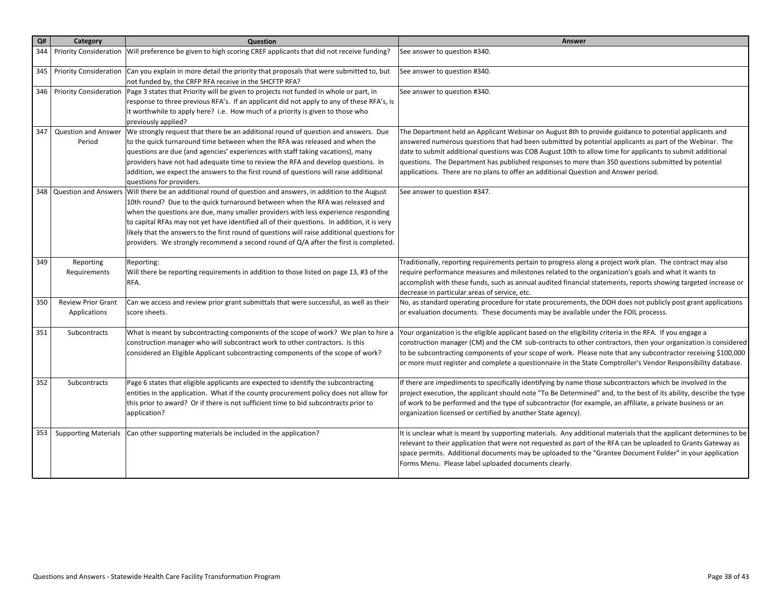| Q#  | Category                                  | Question                                                                                                                                                                                                                                                                                                                                                                                                                                                                                                                                                                   | Answer                                                                                                                                                                                                                                                                                                                                                                                                                                                                                                                       |
|-----|-------------------------------------------|----------------------------------------------------------------------------------------------------------------------------------------------------------------------------------------------------------------------------------------------------------------------------------------------------------------------------------------------------------------------------------------------------------------------------------------------------------------------------------------------------------------------------------------------------------------------------|------------------------------------------------------------------------------------------------------------------------------------------------------------------------------------------------------------------------------------------------------------------------------------------------------------------------------------------------------------------------------------------------------------------------------------------------------------------------------------------------------------------------------|
| 344 |                                           | Priority Consideration   Will preference be given to high scoring CREF applicants that did not receive funding?                                                                                                                                                                                                                                                                                                                                                                                                                                                            | See answer to question #340.                                                                                                                                                                                                                                                                                                                                                                                                                                                                                                 |
| 345 | <b>Priority Consideration</b>             | Can you explain in more detail the priority that proposals that were submitted to, but<br>not funded by, the CRFP RFA receive in the SHCFTP RFA?                                                                                                                                                                                                                                                                                                                                                                                                                           | See answer to question #340.                                                                                                                                                                                                                                                                                                                                                                                                                                                                                                 |
|     | 346   Priority Consideration              | Page 3 states that Priority will be given to projects not funded in whole or part, in<br>response to three previous RFA's. If an applicant did not apply to any of these RFA's, is<br>it worthwhile to apply here? i.e. How much of a priority is given to those who<br>previously applied?                                                                                                                                                                                                                                                                                | See answer to question #340.                                                                                                                                                                                                                                                                                                                                                                                                                                                                                                 |
| 347 | <b>Question and Answer</b><br>Period      | We strongly request that there be an additional round of question and answers. Due<br>to the quick turnaround time between when the RFA was released and when the<br>questions are due (and agencies' experiences with staff taking vacations), many<br>providers have not had adequate time to review the RFA and develop questions. In<br>addition, we expect the answers to the first round of questions will raise additional<br>questions for providers.                                                                                                              | The Department held an Applicant Webinar on August 8th to provide guidance to potential applicants and<br>answered numerous questions that had been submitted by potential applicants as part of the Webinar. The<br>date to submit additional questions was COB August 10th to allow time for applicants to submit additional<br>questions. The Department has published responses to more than 350 questions submitted by potential<br>applications. There are no plans to offer an additional Question and Answer period. |
|     |                                           | 348 Question and Answers Will there be an additional round of question and answers, in addition to the August<br>10th round? Due to the quick turnaround between when the RFA was released and<br>when the questions are due, many smaller providers with less experience responding<br>to capital RFAs may not yet have identified all of their questions. In addition, it is very<br>likely that the answers to the first round of questions will raise additional questions for<br>providers. We strongly recommend a second round of Q/A after the first is completed. | See answer to question #347.                                                                                                                                                                                                                                                                                                                                                                                                                                                                                                 |
| 349 | Reporting<br>Requirements                 | Reporting:<br>Will there be reporting requirements in addition to those listed on page 13, #3 of the<br>RFA.                                                                                                                                                                                                                                                                                                                                                                                                                                                               | Traditionally, reporting requirements pertain to progress along a project work plan. The contract may also<br>require performance measures and milestones related to the organization's goals and what it wants to<br>accomplish with these funds, such as annual audited financial statements, reports showing targeted increase or<br>decrease in particular areas of service, etc.                                                                                                                                        |
| 350 | <b>Review Prior Grant</b><br>Applications | Can we access and review prior grant submittals that were successful, as well as their<br>score sheets.                                                                                                                                                                                                                                                                                                                                                                                                                                                                    | No, as standard operating procedure for state procurements, the DOH does not publicly post grant applications<br>or evaluation documents. These documents may be available under the FOIL processs.                                                                                                                                                                                                                                                                                                                          |
| 351 | Subcontracts                              | What is meant by subcontracting components of the scope of work? We plan to hire a<br>construction manager who will subcontract work to other contractors. Is this<br>considered an Eligible Applicant subcontracting components of the scope of work?                                                                                                                                                                                                                                                                                                                     | Your organization is the eligible applicant based on the eligibility criteria in the RFA. If you engage a<br>construction manager (CM) and the CM sub-contracts to other contractors, then your organization is considered<br>to be subcontracting components of your scope of work. Please note that any subcontractor receiving \$100,000<br>or more must register and complete a questionnaire in the State Comptroller's Vendor Responsibility database.                                                                 |
| 352 | Subcontracts                              | Page 6 states that eligible applicants are expected to identify the subcontracting<br>entities in the application. What if the county procurement policy does not allow for<br>this prior to award? Or if there is not sufficient time to bid subcontracts prior to<br>application?                                                                                                                                                                                                                                                                                        | If there are impediments to specifically identifying by name those subcontractors which be involved in the<br>project execution, the applicant should note "To Be Determined" and, to the best of its ability, describe the type<br>of work to be performed and the type of subcontractor (for example, an affiliate, a private business or an<br>organization licensed or certified by another State agency).                                                                                                               |
| 353 | <b>Supporting Materials</b>               | Can other supporting materials be included in the application?                                                                                                                                                                                                                                                                                                                                                                                                                                                                                                             | It is unclear what is meant by supporting materials. Any additional materials that the applicant determines to be<br>relevant to their application that were not requested as part of the RFA can be uploaded to Grants Gateway as<br>space permits. Additional documents may be uploaded to the "Grantee Document Folder" in your application<br>Forms Menu. Please label uploaded documents clearly.                                                                                                                       |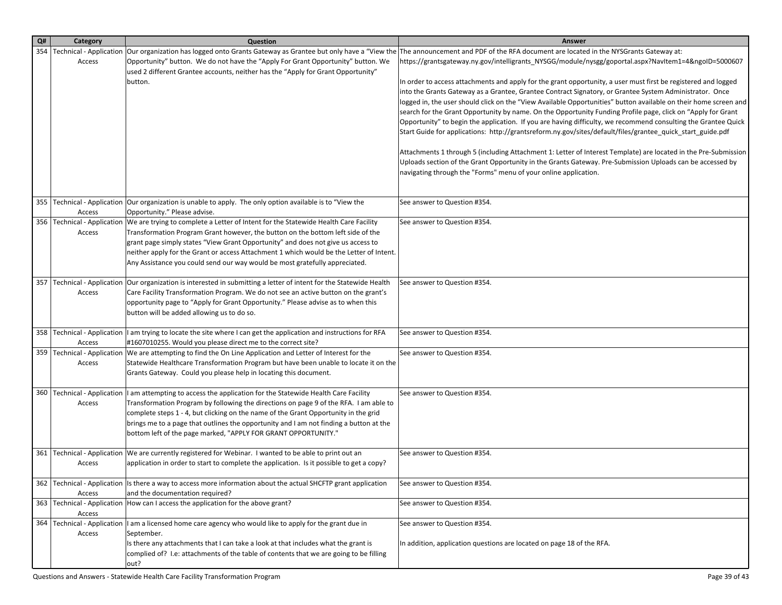| Q# | Category                                | Question                                                                                                                                                                      | <b>Answer</b>                                                                                                                                                              |
|----|-----------------------------------------|-------------------------------------------------------------------------------------------------------------------------------------------------------------------------------|----------------------------------------------------------------------------------------------------------------------------------------------------------------------------|
|    | 354   Technical - Application           |                                                                                                                                                                               | Our organization has logged onto Grants Gateway as Grantee but only have a "View the The announcement and PDF of the RFA document are located in the NYSGrants Gateway at: |
|    | Access                                  | Opportunity" button. We do not have the "Apply For Grant Opportunity" button. We<br>used 2 different Grantee accounts, neither has the "Apply for Grant Opportunity"          | https://grantsgateway.ny.gov/intelligrants_NYSGG/module/nysgg/goportal.aspx?NavItem1=4&ngoID=5000607                                                                       |
|    |                                         | button.                                                                                                                                                                       | In order to access attachments and apply for the grant opportunity, a user must first be registered and logged                                                             |
|    |                                         |                                                                                                                                                                               | into the Grants Gateway as a Grantee, Grantee Contract Signatory, or Grantee System Administrator. Once                                                                    |
|    |                                         |                                                                                                                                                                               | logged in, the user should click on the "View Available Opportunities" button available on their home screen and                                                           |
|    |                                         |                                                                                                                                                                               | search for the Grant Opportunity by name. On the Opportunity Funding Profile page, click on "Apply for Grant                                                               |
|    |                                         |                                                                                                                                                                               | Opportunity" to begin the application. If you are having difficulty, we recommend consulting the Grantee Quick                                                             |
|    |                                         |                                                                                                                                                                               | Start Guide for applications: http://grantsreform.ny.gov/sites/default/files/grantee_quick_start_guide.pdf                                                                 |
|    |                                         |                                                                                                                                                                               | Attachments 1 through 5 (including Attachment 1: Letter of Interest Template) are located in the Pre-Submission                                                            |
|    |                                         |                                                                                                                                                                               | Uploads section of the Grant Opportunity in the Grants Gateway. Pre-Submission Uploads can be accessed by                                                                  |
|    |                                         |                                                                                                                                                                               | navigating through the "Forms" menu of your online application.                                                                                                            |
|    |                                         |                                                                                                                                                                               |                                                                                                                                                                            |
|    |                                         | 355 Technical - Application   Our organization is unable to apply. The only option available is to "View the                                                                  | See answer to Question #354.                                                                                                                                               |
|    | Access                                  | Opportunity." Please advise.<br>356   Technical - Application   We are trying to complete a Letter of Intent for the Statewide Health Care Facility                           | See answer to Question #354.                                                                                                                                               |
|    | Access                                  | Transformation Program Grant however, the button on the bottom left side of the                                                                                               |                                                                                                                                                                            |
|    |                                         | grant page simply states "View Grant Opportunity" and does not give us access to                                                                                              |                                                                                                                                                                            |
|    |                                         | neither apply for the Grant or access Attachment 1 which would be the Letter of Intent.                                                                                       |                                                                                                                                                                            |
|    |                                         | Any Assistance you could send our way would be most gratefully appreciated.                                                                                                   |                                                                                                                                                                            |
|    | 357   Technical - Application           | Our organization is interested in submitting a letter of intent for the Statewide Health                                                                                      | See answer to Question #354.                                                                                                                                               |
|    | Access                                  | Care Facility Transformation Program. We do not see an active button on the grant's                                                                                           |                                                                                                                                                                            |
|    |                                         | opportunity page to "Apply for Grant Opportunity." Please advise as to when this                                                                                              |                                                                                                                                                                            |
|    |                                         | button will be added allowing us to do so.                                                                                                                                    |                                                                                                                                                                            |
|    |                                         | 358 Technical - Application  I am trying to locate the site where I can get the application and instructions for RFA                                                          | See answer to Question #354.                                                                                                                                               |
|    | Access                                  | #1607010255. Would you please direct me to the correct site?                                                                                                                  |                                                                                                                                                                            |
|    | 359   Technical - Application<br>Access | We are attempting to find the On Line Application and Letter of Interest for the<br>Statewide Healthcare Transformation Program but have been unable to locate it on the      | See answer to Question #354.                                                                                                                                               |
|    |                                         | Grants Gateway. Could you please help in locating this document.                                                                                                              |                                                                                                                                                                            |
|    |                                         |                                                                                                                                                                               |                                                                                                                                                                            |
|    |                                         | 360   Technical - Application   I am attempting to access the application for the Statewide Health Care Facility                                                              | See answer to Question #354.                                                                                                                                               |
|    | Access                                  | Transformation Program by following the directions on page 9 of the RFA. I am able to                                                                                         |                                                                                                                                                                            |
|    |                                         | complete steps 1 - 4, but clicking on the name of the Grant Opportunity in the grid<br>brings me to a page that outlines the opportunity and I am not finding a button at the |                                                                                                                                                                            |
|    |                                         | bottom left of the page marked, "APPLY FOR GRANT OPPORTUNITY."                                                                                                                |                                                                                                                                                                            |
|    |                                         |                                                                                                                                                                               |                                                                                                                                                                            |
|    |                                         | 361   Technical - Application   We are currently registered for Webinar. I wanted to be able to print out an                                                                  | See answer to Question #354.                                                                                                                                               |
|    | Access                                  | application in order to start to complete the application. Is it possible to get a copy?                                                                                      |                                                                                                                                                                            |
|    |                                         | 362 Technical - Application Is there a way to access more information about the actual SHCFTP grant application                                                               | See answer to Question #354.                                                                                                                                               |
|    | Access                                  | and the documentation required?                                                                                                                                               |                                                                                                                                                                            |
|    | Access                                  | 363   Technical - Application   How can I access the application for the above grant?                                                                                         | See answer to Question #354.                                                                                                                                               |
|    | 364   Technical - Application           | I am a licensed home care agency who would like to apply for the grant due in                                                                                                 | See answer to Question #354.                                                                                                                                               |
|    | Access                                  | September.                                                                                                                                                                    |                                                                                                                                                                            |
|    |                                         | Is there any attachments that I can take a look at that includes what the grant is                                                                                            | In addition, application questions are located on page 18 of the RFA.                                                                                                      |
|    |                                         | complied of? I.e: attachments of the table of contents that we are going to be filling                                                                                        |                                                                                                                                                                            |
|    |                                         | out?                                                                                                                                                                          |                                                                                                                                                                            |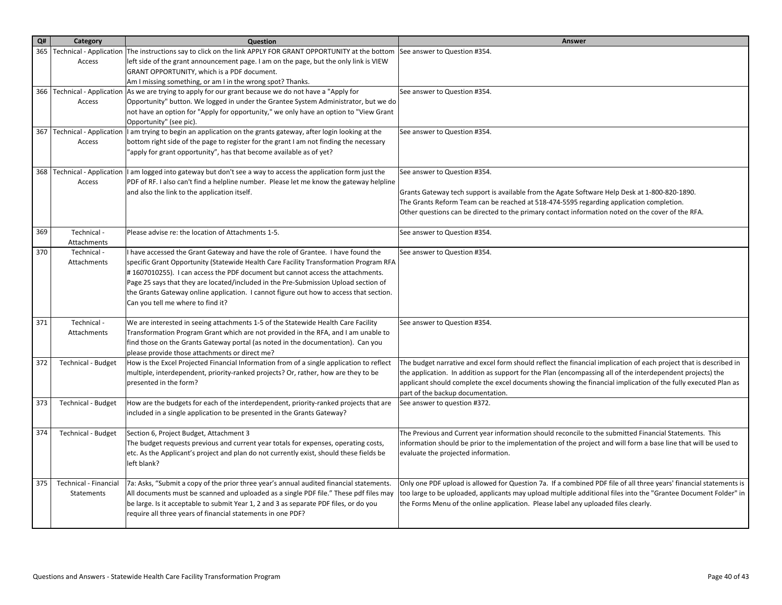| Q#  | Category                       | Question                                                                                                                                                               | Answer                                                                                                             |
|-----|--------------------------------|------------------------------------------------------------------------------------------------------------------------------------------------------------------------|--------------------------------------------------------------------------------------------------------------------|
| 365 | <b>Technical - Application</b> | The instructions say to click on the link APPLY FOR GRANT OPPORTUNITY at the bottom                                                                                    | See answer to Question #354.                                                                                       |
|     | Access                         | left side of the grant announcement page. I am on the page, but the only link is VIEW                                                                                  |                                                                                                                    |
|     |                                | GRANT OPPORTUNITY, which is a PDF document.                                                                                                                            |                                                                                                                    |
|     |                                | Am I missing something, or am I in the wrong spot? Thanks.                                                                                                             |                                                                                                                    |
|     |                                | 366 Technical - Application As we are trying to apply for our grant because we do not have a "Apply for                                                                | See answer to Question #354.                                                                                       |
|     | Access                         | Opportunity" button. We logged in under the Grantee System Administrator, but we do                                                                                    |                                                                                                                    |
|     |                                | not have an option for "Apply for opportunity," we only have an option to "View Grant                                                                                  |                                                                                                                    |
| 367 |                                | Opportunity" (see pic).<br>Technical - Application  I am trying to begin an application on the grants gateway, after login looking at the                              | See answer to Question #354.                                                                                       |
|     | Access                         | bottom right side of the page to register for the grant I am not finding the necessary                                                                                 |                                                                                                                    |
|     |                                | "apply for grant opportunity", has that become available as of yet?                                                                                                    |                                                                                                                    |
|     |                                |                                                                                                                                                                        |                                                                                                                    |
|     |                                | 368   Technical - Application   I am logged into gateway but don't see a way to access the application form just the                                                   | See answer to Question #354.                                                                                       |
|     | Access                         | PDF of RF. I also can't find a helpline number. Please let me know the gateway helpline                                                                                |                                                                                                                    |
|     |                                | and also the link to the application itself.                                                                                                                           | Grants Gateway tech support is available from the Agate Software Help Desk at 1-800-820-1890.                      |
|     |                                |                                                                                                                                                                        | The Grants Reform Team can be reached at 518-474-5595 regarding application completion.                            |
|     |                                |                                                                                                                                                                        | Other questions can be directed to the primary contact information noted on the cover of the RFA.                  |
| 369 |                                |                                                                                                                                                                        |                                                                                                                    |
|     | Technical -<br>Attachments     | Please advise re: the location of Attachments 1-5.                                                                                                                     | See answer to Question #354.                                                                                       |
| 370 | Technical -                    | I have accessed the Grant Gateway and have the role of Grantee. I have found the                                                                                       | See answer to Question #354.                                                                                       |
|     | Attachments                    | specific Grant Opportunity (Statewide Health Care Facility Transformation Program RFA                                                                                  |                                                                                                                    |
|     |                                | #1607010255). I can access the PDF document but cannot access the attachments.                                                                                         |                                                                                                                    |
|     |                                | Page 25 says that they are located/included in the Pre-Submission Upload section of                                                                                    |                                                                                                                    |
|     |                                | the Grants Gateway online application. I cannot figure out how to access that section.                                                                                 |                                                                                                                    |
|     |                                | Can you tell me where to find it?                                                                                                                                      |                                                                                                                    |
|     |                                |                                                                                                                                                                        |                                                                                                                    |
| 371 | Technical -<br>Attachments     | We are interested in seeing attachments 1-5 of the Statewide Health Care Facility                                                                                      | See answer to Question #354.                                                                                       |
|     |                                | Transformation Program Grant which are not provided in the RFA, and I am unable to<br>find those on the Grants Gateway portal (as noted in the documentation). Can you |                                                                                                                    |
|     |                                | please provide those attachments or direct me?                                                                                                                         |                                                                                                                    |
| 372 | <b>Technical - Budget</b>      | How is the Excel Projected Financial Information from of a single application to reflect                                                                               | The budget narrative and excel form should reflect the financial implication of each project that is described in  |
|     |                                | multiple, interdependent, priority-ranked projects? Or, rather, how are they to be                                                                                     | the application. In addition as support for the Plan (encompassing all of the interdependent projects) the         |
|     |                                | presented in the form?                                                                                                                                                 | applicant should complete the excel documents showing the financial implication of the fully executed Plan as      |
|     |                                |                                                                                                                                                                        | part of the backup documentation.                                                                                  |
| 373 | <b>Technical - Budget</b>      | How are the budgets for each of the interdependent, priority-ranked projects that are                                                                                  | See answer to question #372.                                                                                       |
|     |                                | included in a single application to be presented in the Grants Gateway?                                                                                                |                                                                                                                    |
| 374 | <b>Technical - Budget</b>      | Section 6, Project Budget, Attachment 3                                                                                                                                | The Previous and Current year information should reconcile to the submitted Financial Statements. This             |
|     |                                | The budget requests previous and current year totals for expenses, operating costs,                                                                                    | information should be prior to the implementation of the project and will form a base line that will be used to    |
|     |                                | etc. As the Applicant's project and plan do not currently exist, should these fields be                                                                                | evaluate the projected information.                                                                                |
|     |                                | left blank?                                                                                                                                                            |                                                                                                                    |
|     |                                |                                                                                                                                                                        |                                                                                                                    |
| 375 | Technical - Financial          | 7a: Asks, "Submit a copy of the prior three year's annual audited financial statements.                                                                                | Only one PDF upload is allowed for Question 7a. If a combined PDF file of all three years' financial statements is |
|     | Statements                     | All documents must be scanned and uploaded as a single PDF file." These pdf files may                                                                                  | too large to be uploaded, applicants may upload multiple additional files into the "Grantee Document Folder" in    |
|     |                                | be large. Is it acceptable to submit Year 1, 2 and 3 as separate PDF files, or do you                                                                                  | the Forms Menu of the online application. Please label any uploaded files clearly.                                 |
|     |                                | require all three years of financial statements in one PDF?                                                                                                            |                                                                                                                    |
|     |                                |                                                                                                                                                                        |                                                                                                                    |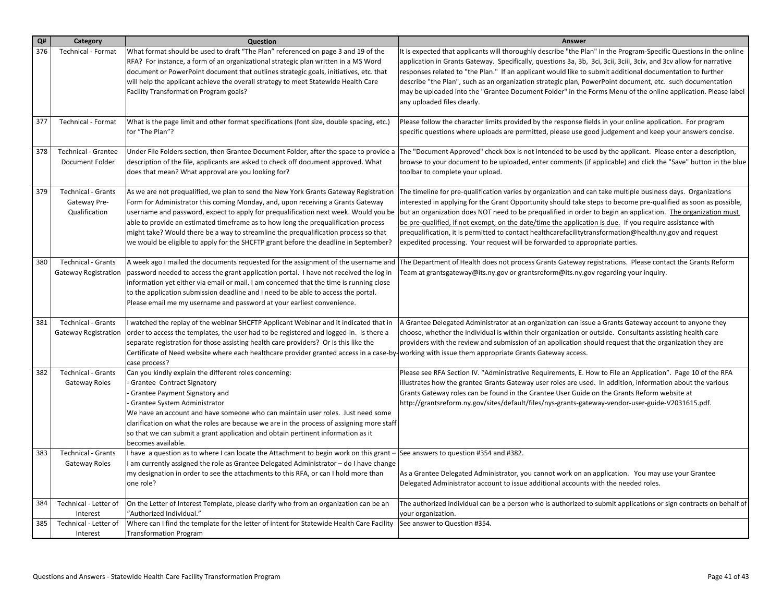| Q#  | Category                    | Question                                                                                                                                          | Answer                                                                                                                                                                                                    |
|-----|-----------------------------|---------------------------------------------------------------------------------------------------------------------------------------------------|-----------------------------------------------------------------------------------------------------------------------------------------------------------------------------------------------------------|
| 376 | Technical - Format          | What format should be used to draft "The Plan" referenced on page 3 and 19 of the                                                                 | It is expected that applicants will thoroughly describe "the Plan" in the Program-Specific Questions in the online                                                                                        |
|     |                             | RFA? For instance, a form of an organizational strategic plan written in a MS Word                                                                | application in Grants Gateway. Specifically, questions 3a, 3b, 3ci, 3cii, 3ciii, 3civ, and 3cv allow for narrative                                                                                        |
|     |                             | document or PowerPoint document that outlines strategic goals, initiatives, etc. that                                                             | responses related to "the Plan." If an applicant would like to submit additional documentation to further                                                                                                 |
|     |                             | will help the applicant achieve the overall strategy to meet Statewide Health Care                                                                | describe "the Plan", such as an organization strategic plan, PowerPoint document, etc. such documentation                                                                                                 |
|     |                             | Facility Transformation Program goals?                                                                                                            | may be uploaded into the "Grantee Document Folder" in the Forms Menu of the online application. Please label                                                                                              |
|     |                             |                                                                                                                                                   | any uploaded files clearly.                                                                                                                                                                               |
|     |                             |                                                                                                                                                   |                                                                                                                                                                                                           |
| 377 | <b>Technical - Format</b>   | What is the page limit and other format specifications (font size, double spacing, etc.)                                                          | Please follow the character limits provided by the response fields in your online application. For program                                                                                                |
|     |                             | for "The Plan"?                                                                                                                                   | specific questions where uploads are permitted, please use good judgement and keep your answers concise.                                                                                                  |
| 378 | <b>Technical - Grantee</b>  | Under File Folders section, then Grantee Document Folder, after the space to provide a                                                            | The "Document Approved" check box is not intended to be used by the applicant. Please enter a description,                                                                                                |
|     | Document Folder             | description of the file, applicants are asked to check off document approved. What                                                                | browse to your document to be uploaded, enter comments (if applicable) and click the "Save" button in the blue                                                                                            |
|     |                             | does that mean? What approval are you looking for?                                                                                                | toolbar to complete your upload.                                                                                                                                                                          |
|     |                             |                                                                                                                                                   |                                                                                                                                                                                                           |
| 379 | <b>Technical - Grants</b>   | As we are not prequalified, we plan to send the New York Grants Gateway Registration                                                              | The timeline for pre-qualification varies by organization and can take multiple business days. Organizations                                                                                              |
|     | Gateway Pre-                | Form for Administrator this coming Monday, and, upon receiving a Grants Gateway                                                                   | interested in applying for the Grant Opportunity should take steps to become pre-qualified as soon as possible,                                                                                           |
|     | Qualification               | username and password, expect to apply for prequalification next week. Would you be                                                               | but an organization does NOT need to be prequalified in order to begin an application. The organization must                                                                                              |
|     |                             | able to provide an estimated timeframe as to how long the prequalification process                                                                | be pre-qualified, if not exempt, on the date/time the application is due. If you require assistance with                                                                                                  |
|     |                             | might take? Would there be a way to streamline the prequalification process so that                                                               | prequalification, it is permitted to contact healthcarefacilitytransformation@health.ny.gov and request                                                                                                   |
|     |                             | we would be eligible to apply for the SHCFTP grant before the deadline in September?                                                              | expedited processing. Your request will be forwarded to appropriate parties.                                                                                                                              |
| 380 | <b>Technical - Grants</b>   | A week ago I mailed the documents requested for the assignment of the username and                                                                | The Department of Health does not process Grants Gateway registrations. Please contact the Grants Reform                                                                                                  |
|     | <b>Gateway Registration</b> | password needed to access the grant application portal. I have not received the log in                                                            | Team at grantsgateway@its.ny.gov or grantsreform@its.ny.gov regarding your inquiry.                                                                                                                       |
|     |                             | information yet either via email or mail. I am concerned that the time is running close                                                           |                                                                                                                                                                                                           |
|     |                             | to the application submission deadline and I need to be able to access the portal.                                                                |                                                                                                                                                                                                           |
|     |                             | Please email me my username and password at your earliest convenience.                                                                            |                                                                                                                                                                                                           |
|     |                             |                                                                                                                                                   |                                                                                                                                                                                                           |
| 381 | <b>Technical - Grants</b>   | I watched the replay of the webinar SHCFTP Applicant Webinar and it indicated that in                                                             | A Grantee Delegated Administrator at an organization can issue a Grants Gateway account to anyone they                                                                                                    |
|     | <b>Gateway Registration</b> | order to access the templates, the user had to be registered and logged-in. Is there a                                                            | choose, whether the individual is within their organization or outside. Consultants assisting health care                                                                                                 |
|     |                             | separate registration for those assisting health care providers? Or is this like the                                                              | providers with the review and submission of an application should request that the organization they are                                                                                                  |
|     |                             | Certificate of Need website where each healthcare provider granted access in a case-by-working with issue them appropriate Grants Gateway access. |                                                                                                                                                                                                           |
| 382 | <b>Technical - Grants</b>   | case process?                                                                                                                                     |                                                                                                                                                                                                           |
|     |                             | Can you kindly explain the different roles concerning:                                                                                            | Please see RFA Section IV. "Administrative Requirements, E. How to File an Application". Page 10 of the RFA                                                                                               |
|     | Gateway Roles               | Grantee Contract Signatory<br>Grantee Payment Signatory and                                                                                       | illustrates how the grantee Grants Gateway user roles are used. In addition, information about the various<br>Grants Gateway roles can be found in the Grantee User Guide on the Grants Reform website at |
|     |                             | Grantee System Administrator                                                                                                                      | http://grantsreform.ny.gov/sites/default/files/nys-grants-gateway-vendor-user-guide-V2031615.pdf.                                                                                                         |
|     |                             | We have an account and have someone who can maintain user roles. Just need some                                                                   |                                                                                                                                                                                                           |
|     |                             | clarification on what the roles are because we are in the process of assigning more staff                                                         |                                                                                                                                                                                                           |
|     |                             | so that we can submit a grant application and obtain pertinent information as it                                                                  |                                                                                                                                                                                                           |
|     |                             | becomes available.                                                                                                                                |                                                                                                                                                                                                           |
| 383 | <b>Technical - Grants</b>   | I have a question as to where I can locate the Attachment to begin work on this grant -                                                           | See answers to question #354 and #382.                                                                                                                                                                    |
|     | Gateway Roles               | I am currently assigned the role as Grantee Delegated Administrator - do I have change                                                            |                                                                                                                                                                                                           |
|     |                             | my designation in order to see the attachments to this RFA, or can I hold more than                                                               | As a Grantee Delegated Administrator, you cannot work on an application. You may use your Grantee                                                                                                         |
|     |                             | one role?                                                                                                                                         | Delegated Administrator account to issue additional accounts with the needed roles.                                                                                                                       |
|     | Technical - Letter of       |                                                                                                                                                   |                                                                                                                                                                                                           |
| 384 | Interest                    | On the Letter of Interest Template, please clarify who from an organization can be an<br>"Authorized Individual."                                 | The authorized individual can be a person who is authorized to submit applications or sign contracts on behalf of<br>your organization.                                                                   |
| 385 | Technical - Letter of       | Where can I find the template for the letter of intent for Statewide Health Care Facility                                                         | See answer to Question #354.                                                                                                                                                                              |
|     |                             | <b>Transformation Program</b>                                                                                                                     |                                                                                                                                                                                                           |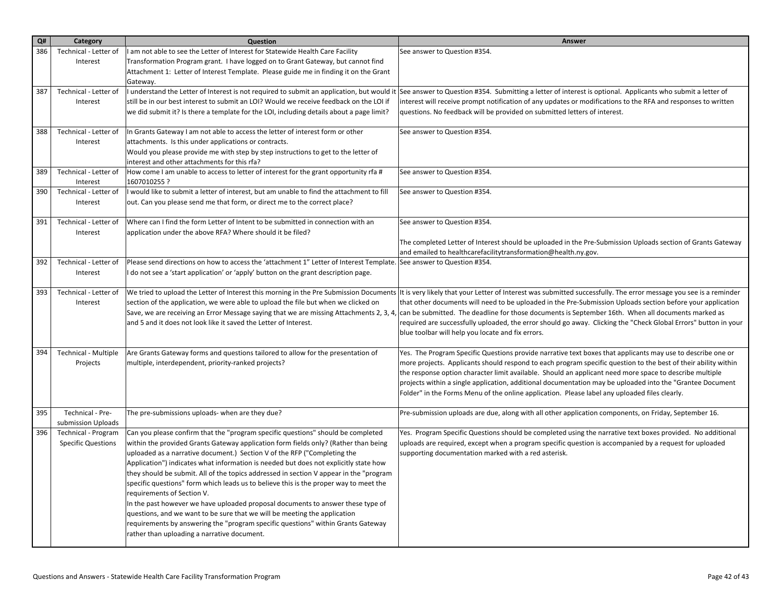| Q#  | Category                                | Question                                                                                                                                                        | Answer                                                                                                                                                                                                                        |
|-----|-----------------------------------------|-----------------------------------------------------------------------------------------------------------------------------------------------------------------|-------------------------------------------------------------------------------------------------------------------------------------------------------------------------------------------------------------------------------|
| 386 | Technical - Letter of                   | am not able to see the Letter of Interest for Statewide Health Care Facility                                                                                    | See answer to Question #354.                                                                                                                                                                                                  |
|     | Interest                                | Transformation Program grant. I have logged on to Grant Gateway, but cannot find                                                                                |                                                                                                                                                                                                                               |
|     |                                         | Attachment 1: Letter of Interest Template. Please guide me in finding it on the Grant                                                                           |                                                                                                                                                                                                                               |
|     |                                         | Gateway.                                                                                                                                                        |                                                                                                                                                                                                                               |
| 387 | Technical - Letter of                   | I understand the Letter of Interest is not required to submit an application, but would it                                                                      | See answer to Question #354. Submitting a letter of interest is optional. Applicants who submit a letter of                                                                                                                   |
|     | Interest                                | still be in our best interest to submit an LOI? Would we receive feedback on the LOI if                                                                         | interest will receive prompt notification of any updates or modifications to the RFA and responses to written                                                                                                                 |
|     |                                         | we did submit it? Is there a template for the LOI, including details about a page limit?                                                                        | questions. No feedback will be provided on submitted letters of interest.                                                                                                                                                     |
| 388 | Technical - Letter of                   | In Grants Gateway I am not able to access the letter of interest form or other                                                                                  | See answer to Question #354.                                                                                                                                                                                                  |
|     | Interest                                | attachments. Is this under applications or contracts.                                                                                                           |                                                                                                                                                                                                                               |
|     |                                         | Would you please provide me with step by step instructions to get to the letter of                                                                              |                                                                                                                                                                                                                               |
|     |                                         | interest and other attachments for this rfa?                                                                                                                    |                                                                                                                                                                                                                               |
| 389 | Technical - Letter of<br>Interest       | How come I am unable to access to letter of interest for the grant opportunity rfa #<br>1607010255 ?                                                            | See answer to Question #354.                                                                                                                                                                                                  |
| 390 | Technical - Letter of                   | would like to submit a letter of interest, but am unable to find the attachment to fill                                                                         | See answer to Question #354.                                                                                                                                                                                                  |
|     | Interest                                | out. Can you please send me that form, or direct me to the correct place?                                                                                       |                                                                                                                                                                                                                               |
| 391 | Technical - Letter of                   | Where can I find the form Letter of Intent to be submitted in connection with an                                                                                | See answer to Question #354.                                                                                                                                                                                                  |
|     | Interest                                | application under the above RFA? Where should it be filed?                                                                                                      |                                                                                                                                                                                                                               |
|     |                                         |                                                                                                                                                                 | The completed Letter of Interest should be uploaded in the Pre-Submission Uploads section of Grants Gateway                                                                                                                   |
|     |                                         |                                                                                                                                                                 | and emailed to healthcarefacilitytransformation@health.ny.gov.                                                                                                                                                                |
| 392 | Technical - Letter of                   | Please send directions on how to access the 'attachment 1" Letter of Interest Template.                                                                         | See answer to Question #354.                                                                                                                                                                                                  |
|     | Interest                                | I do not see a 'start application' or 'apply' button on the grant description page.                                                                             |                                                                                                                                                                                                                               |
| 393 | Technical - Letter of                   |                                                                                                                                                                 | We tried to upload the Letter of Interest this morning in the Pre Submission Documents  It is very likely that your Letter of Interest was submitted successfully. The error message you see is a reminder                    |
|     | Interest                                | section of the application, we were able to upload the file but when we clicked on                                                                              | that other documents will need to be uploaded in the Pre-Submission Uploads section before your application                                                                                                                   |
|     |                                         |                                                                                                                                                                 | Save, we are receiving an Error Message saying that we are missing Attachments 2, 3, 4, can be submitted. The deadline for those documents is September 16th. When all documents marked as                                    |
|     |                                         | and 5 and it does not look like it saved the Letter of Interest.                                                                                                | required are successfully uploaded, the error should go away. Clicking the "Check Global Errors" button in your                                                                                                               |
|     |                                         |                                                                                                                                                                 | blue toolbar will help you locate and fix errors.                                                                                                                                                                             |
|     |                                         |                                                                                                                                                                 |                                                                                                                                                                                                                               |
| 394 | <b>Technical - Multiple</b><br>Projects | Are Grants Gateway forms and questions tailored to allow for the presentation of<br>multiple, interdependent, priority-ranked projects?                         | Yes. The Program Specific Questions provide narrative text boxes that applicants may use to describe one or<br>more projects. Applicants should respond to each program specific question to the best of their ability within |
|     |                                         |                                                                                                                                                                 | the response option character limit available. Should an applicant need more space to describe multiple                                                                                                                       |
|     |                                         |                                                                                                                                                                 | projects within a single application, additional documentation may be uploaded into the "Grantee Document"                                                                                                                    |
|     |                                         |                                                                                                                                                                 | Folder" in the Forms Menu of the online application. Please label any uploaded files clearly.                                                                                                                                 |
|     |                                         |                                                                                                                                                                 |                                                                                                                                                                                                                               |
| 395 | Technical - Pre-                        | The pre-submissions uploads- when are they due?                                                                                                                 | Pre-submission uploads are due, along with all other application components, on Friday, September 16.                                                                                                                         |
|     | submission Uploads                      |                                                                                                                                                                 |                                                                                                                                                                                                                               |
| 396 | Technical - Program                     | Can you please confirm that the "program specific questions" should be completed                                                                                | Yes. Program Specific Questions should be completed using the narrative text boxes provided. No additional                                                                                                                    |
|     | <b>Specific Questions</b>               | within the provided Grants Gateway application form fields only? (Rather than being<br>uploaded as a narrative document.) Section V of the RFP ("Completing the | uploads are required, except when a program specific question is accompanied by a request for uploaded<br>supporting documentation marked with a red asterisk.                                                                |
|     |                                         | Application") indicates what information is needed but does not explicitly state how                                                                            |                                                                                                                                                                                                                               |
|     |                                         | they should be submit. All of the topics addressed in section V appear in the "program                                                                          |                                                                                                                                                                                                                               |
|     |                                         | specific questions" form which leads us to believe this is the proper way to meet the                                                                           |                                                                                                                                                                                                                               |
|     |                                         | requirements of Section V.                                                                                                                                      |                                                                                                                                                                                                                               |
|     |                                         | In the past however we have uploaded proposal documents to answer these type of                                                                                 |                                                                                                                                                                                                                               |
|     |                                         | questions, and we want to be sure that we will be meeting the application                                                                                       |                                                                                                                                                                                                                               |
|     |                                         | requirements by answering the "program specific questions" within Grants Gateway                                                                                |                                                                                                                                                                                                                               |
|     |                                         | rather than uploading a narrative document.                                                                                                                     |                                                                                                                                                                                                                               |
|     |                                         |                                                                                                                                                                 |                                                                                                                                                                                                                               |